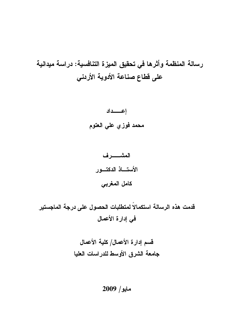رسالة المنظمة وأثرها في تحقيق الميزة التنافسية: دراسة ميدانية على قطاع صناعة الأدوية الأردني

المشـــــــــرف الأستساذ الدكتسور كامل المغربي

قدمت هذه الرسالة استكمالاً لمتطلبات الحصول على درجة الماجستير في إدارة الأعمال

 $2009 /$ مايو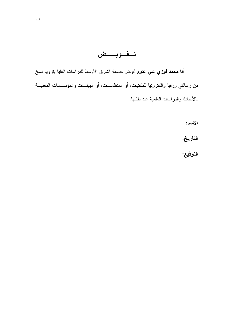## تفويضض

 $\overline{\phantom{0}}$ 

أنا **محمد فوزي علي عتوم** أفوض جامعة الشرق الأوسط للدراسات العليا بنزويد نسخ من رسالتي ورقيا والكترونيا للمكتبات، أو المنظمـــات، أو الـهيئـــات والمؤســـسات المعنيـــة بالأبحاث والدراسات العلمية عند طلبها.

الاسم:

التاريخ:

التوقيع: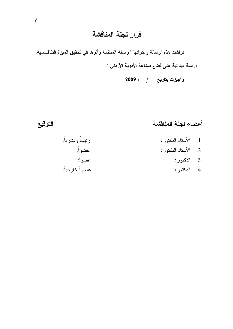## قرار لجنة المناقشة

نوفشت هذه الرسالة وعنوانها " **رسالة المنظمة وأثرها في تحقيق الميزة التناف سية:** دراسة ميدانية على قطاع صناعة الأدوية الأردنى ".

وأجيزت بتاريخ / / 2009

أعضاء لجنة المناقشة

- 1. الأستاذ الدكتور:
	- 2. الأستاذ الدكتور:
		- 3. الدكتور:
		- 4. الدكتور :

التوقيع

رئيساً ومشرفاً: عضو اً: عضو اً: عضواً خارجياً: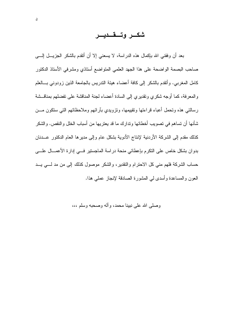شكــر وتــقــديــر

بعد أن وفقني الله بإكمال هذه الدراسة، لا يسعني إلا أن أنقدم بالشكر الجزيـــل إلــــي صاحب البصمة الواضحة على هذا الجهد العلمي المنواضع أستاذي ومشرفي الأستاذ الدكتور كامل المغربي. وأنقدم بالشكر إلى كافة أعضاء هيئة الندريس بالجامعة الذين زودوني بسالعلم و المعرفة، كما أوجه شكري وتقديري إلى السادة أعضاء لجنة المناقشة على تفضلهم بمناقـــشة رسالتي هذه ونحمل أعباء قراءتها ونقييمها، ونزويدي بآرائهم وملاحظاتهم التبي سنكون مـــن شأنها أن نساهم في نصويب أخطائها وندارك ما قد يعتريها من أسباب الخلل والنقص. والشكر كذلك مقدم إلىي الشركة الأردنية لإنتاج الأدوية بشكل عام وإلىي مديرها العام الدكتور عــدنان بدوان بشكل خاص على النكرم بإعطائي منحة دراسة الماجستير فسي إدارة الأعمـــال علــــي حساب الشركة فلهم منبي كل الاحترام والنقدير، والشكر موصول كذلك إلى من مد لــــى يـــد العون والمساعدة وأسدى لمي المشورة الصادقة لإنجاز عملي هذا.

وصلى الله على نبينا محمد، وأله وصحبه وسلم ،،،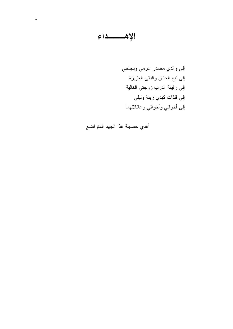الإهسماء

 $\bullet$ 

إلى والدي مصدر عزمي ونجاحي إلى نبع الحنان والدتي العزيزة إلى رفيقة الدرب زوجتي الغالية إلى فلذات كبدي زينة وليلي إلى أخواني وأخواتي وعائلاتهما

أهدي حصيلة هذا الجهد المتواضع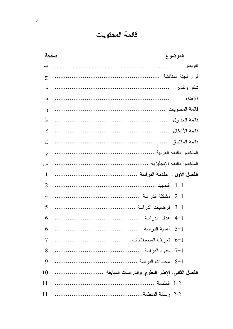# فائمة المحتويات

|                | صفحة |               |
|----------------|------|---------------|
| ب              |      | تفويض         |
| $\tilde{c}$    |      |               |
| د              |      | شكر وتقدير    |
| ٥              |      | الإهداء       |
| و              |      |               |
| ط              |      | قائمة الجداول |
| ك              |      |               |
| ل              |      |               |
| م              |      |               |
| سر ،           |      |               |
| 1              |      |               |
| $\overline{2}$ |      |               |
| 4              |      |               |
| 5              |      |               |
| 6              |      |               |
| 6              |      |               |
| 7              |      |               |
| 8              |      |               |
| 9              |      |               |
| 10             |      |               |
| 11             |      |               |
| 11             |      |               |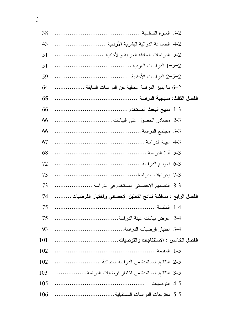| 38  |                                                               |
|-----|---------------------------------------------------------------|
| 43  |                                                               |
| 51  |                                                               |
| 51  |                                                               |
| 59  |                                                               |
| 64  | 6–2 ما يميز الدراسة الحالية عن الدراسات السابقة               |
| 65  |                                                               |
| 66  |                                                               |
| 66  |                                                               |
| 66  |                                                               |
| 67  |                                                               |
| 68  |                                                               |
| 72  |                                                               |
| 73  |                                                               |
| 73  |                                                               |
| 74  | الفصل الرابع : مناقشة نتائج التحليل الإحصائى واختبار الفرضيات |
| 75  |                                                               |
| 75  |                                                               |
| 93  |                                                               |
| 101 |                                                               |
| 102 |                                                               |
| 102 |                                                               |
| 103 | 5-3 النتائج المستمدة من اختبار فرضيات الدراسة                 |
| 105 |                                                               |
| 106 |                                                               |
|     |                                                               |

 $\mathcal{L}$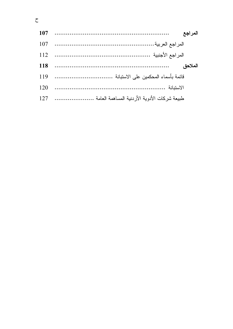| 107        | المراجع |
|------------|---------|
| 107        |         |
| 112        |         |
| <b>118</b> | الملاحق |
| 119        |         |
| 120        |         |
| 127        |         |

 $\zeta$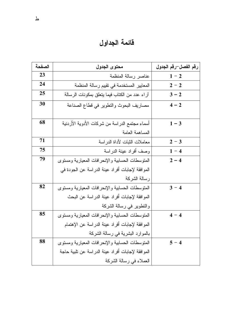قائمة الجداول

| الصفحة | محتوى الجدول                                      | رقم الفصل–رقم الجدول |
|--------|---------------------------------------------------|----------------------|
| 23     | عناصر رسالة المنظمة                               | $1 - 2$              |
| 24     | المعايير المستخدمة في نقييم رسالة المنظمة         | $2 - 2$              |
| 25     | آراء عدد من الكتاب فيما يتعلق بمكونات الرسالة     | $3 - 2$              |
| 30     | مصاريف البحوث والنطوير في قطاع الصناعة            | $4 - 2$              |
|        |                                                   |                      |
| 68     | أسماء مجتمع الدراسة من شركات الأدوية الأردنية     | $1 - 3$              |
|        | المساهمة العامة                                   |                      |
| 71     | معاملات الثبات لأداة الدراسة                      | $2 - 3$              |
| 75     | وصف أفراد عينة الدراسة                            | $1 - 4$              |
| 79     | المنوسطات الحسابية والإنحرافات المعيارية ومسنوى   | $2 - 4$              |
|        | الموافقة لإجابات أفراد عينة الدراسة عن الجودة في  |                      |
|        | رسالة الشركة                                      |                      |
| 82     | المنوسطات الحسابية والإنحر افات المعيارية ومسنوى  | $3 - 4$              |
|        | الموافقة لإجابات أفراد عينة الدراسة عن البحث      |                      |
|        | والنطوير في رسالة الشركة                          |                      |
| 85     | المتوسطات الحسابية والإنحرافات المعيارية ومستوى   | $4 - 4$              |
|        | الموافقة لإجابات أفراد عينة الدراسة عن الإهتمام   |                      |
|        | بالموارد البشرية في رسالة الشركة                  |                      |
| 88     | المتوسطات الحسابية والإنحرافات المعيارية ومستوى   | $5 - 4$              |
|        | الموافقة لإجابات أفراد عينة الدراسة عن تلبية حاجة |                      |
|        | العملاء في رسالة الشركة                           |                      |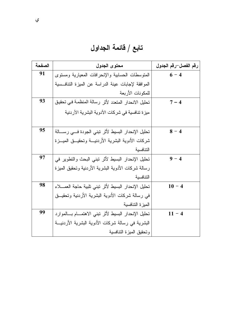تابع / قائمة الجداول

| الصفحة | محتوى الجدول                                             | رقم الفصل–رقم الجدول |
|--------|----------------------------------------------------------|----------------------|
| 91     | المنوسطات الحسابية والإنحرافات المعيارية ومسنوى          | $6 - 4$              |
|        | الموافقة لإجابات عينة الدراسة عن الميزة النتافسية        |                      |
|        | للمكونات الأربعة                                         |                      |
| 93     | تحليل الانحدار المتعدد لأثر رسالة المنظمة في تحقيق       | $7 - 4$              |
|        | ميزة تنافسية في شركات الأدوية البشرية الأردنية           |                      |
|        |                                                          |                      |
| 95     | تحليل الإنحدار البسيط لأثر تبنى الجودة فسى رسسالة        | $8 - 4$              |
|        | شركات الأدوية البشرية الأردنيـــة وتحقيـــق الميــــزة   |                      |
|        | التنافسية                                                |                      |
| 97     | تحليل الإنحدار البسيط لأثر نبني البحث والنطوير في        | $9 - 4$              |
|        | رسالة شركات الأدوية البشرية الأردنية وتحقيق الميزة       |                      |
|        | التنافسبة                                                |                      |
| 98     | تحليل الإنحدار البسيط لأثر تبنى نلبية حاجة العمـــلاء    | $10 - 4$             |
|        | في رسالة شركات الأدوية البشرية الأردنية وتحقيـــق        |                      |
|        | المبزة التنافسية                                         |                      |
| 99     | تحليل الإنحدار البسيط لأثر ننبنى الاهتمـــام بـــالموارد | $11 - 4$             |
|        | البشرية في رسالة شركات الأدوية البشرية الأردنيـــة       |                      |
|        | وتحقيق الميزة التنافسية                                  |                      |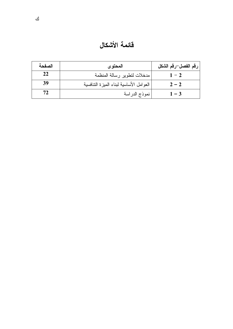فائمة الأشكال

| الصفحة | المحتوى                                 | رقم الفصل–رقم الشكل |
|--------|-----------------------------------------|---------------------|
| 22     | مدخلات لتطوير رسالة المنظمة             | $1 - 2$             |
| 39     | العوامل الأساسية لبناء الميزة النتافسية | $2 - 2$             |
| 72     | نموذج الدراسة                           | $1 - 3$             |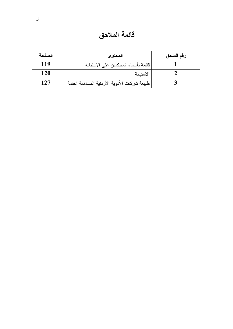| الصفحة     | المحتو ي                                     | رقم الملحق |
|------------|----------------------------------------------|------------|
| 119        | فائمة بأسماء المحكمين على الاستبانة          |            |
| <b>120</b> | الاستبانة                                    |            |
| 127        | طبيعة شركات الأدوية الأردنية المساهمة العامة |            |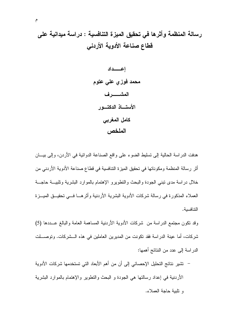رسالة المنظمة وأثرها في تحقيق الميزة التنافسية : دراسة ميدانية على قطاع صناعة الأدوية الأردني

> إعسداد محمد فوزي على عتوم المشــــــــرف الأستساذ الدكتسور كامل المغربي الملخص

هدفت الدراسة الحالية إلى تسليط الضوء على واقع الصناعة الدوائية في الأردن، وإلى بيـــان أثر رسالة المنظمة ومكوناتها في تحقيق الميزة التنافسية في قطاع صناعة الأدوية الأردني من خلال دراسة مدى تبنى الجودة والبحث والنطويرو الإهتمام بالموارد البشرية ونلبيسة حاجسة العملاء المذكور ة في رسالة شركات الأدوية البشرية الأردنية وأثر هـــا فــــى تحقيـــق الميـــز ة التنافسية.

وقد تكون مجتمع الدراسة من شركات الأدوية الأردنية المساهمة العامة والبالغ عـــددها (5) شركات، أما عينة الدراسة فقد نكونت من المديرين العاملين في هذه الـــشركات. وتوصــــلت الدر اسة إلى عدد من النتائج أهمها:

– نشير نتائج التحليل الإحصائي إلى أن من أهم الأبعاد التي تستخدمها شركات الأدوية الأردنية في إعداد رسالتها هي الجودة و البحث والتطوير والإهتمام بالموارد البشرية و تلبية حاجة العملاء.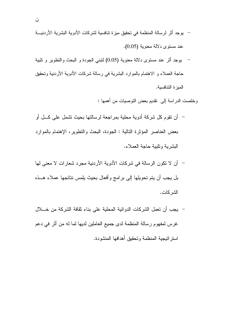- يوجد أثر لرسالة المنظمة في تحقيق ميزة تنافسية لشركات الأدوية البشرية الأردنيـــة عند مستوى دلالة معنوبة (0.05).
- يوجد أثر عند مستوى دلالة معنوية (0.05) لنبنى الجودة و البحث والنطوير و نلبية حاجة العملاء و الاهتمام بالموارد البشرية في رسالة شركات الأدوية الأردنية وتحقيق الميزة التنافسبة.

وخلصت الدراسة إلى تقديم بعض النوصيات من أهمها :

- أن نقوم كل شركة أدوية محلية بمر اجعة لرسالتها بحيث نشمل على كـــل أو بعض العناصر المؤثرة التالية : الجودة، البحث والنطوير، الإهتمام بالموارد البشربة ونلببة حاجة العملاء.
- أن لا تكون الرسالة في شركات الأدوية الأردنية مجرد شعارات لا معنى لها بل يجب أن يتم تحويلها إلى برامج وأفعال بحيث يلمس نتائجها عملاء هــذه الشر كات.
- يجب أن تعمل الشركات الدوائية المحلية على بناء ثقافة الشركة من خــــلال غرس لمفهوم رسالة المنظمة لدى جميع العاملين لديها لما له من أثر في دعم اسنر انيجية المنظمة وتحقيق أهدافها المنشودة.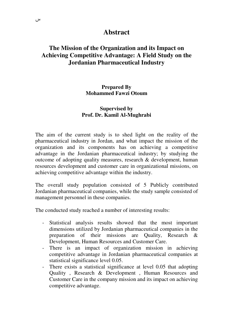#### **Abstract**

### **The Mission of the Organization and its Impact on Achieving Competitive Advantage: A Field Study on the Jordanian Pharmaceutical Industry**

#### **Prepared By Mohammed Fawzi Otoum**

#### **Supervised by Prof. Dr. Kamil Al-Mughrabi**

The aim of the current study is to shed light on the reality of the pharmaceutical industry in Jordan, and what impact the mission of the organization and its components has on achieving a competitive advantage in the Jordanian pharmaceutical industry; by studying the outcome of adopting quality measures, research & development, human resources development and customer care in organizational missions, on achieving competitive advantage within the industry.

The overall study population consisted of 5 Publicly contributed Jordanian pharmaceutical companies, while the study sample consisted of management personnel in these companies.

The conducted study reached a number of interesting results:

- Statistical analysis results showed that the most important dimensions utilized by Jordanian pharmaceutical companies in the preparation of their missions are Quality, Research & Development, Human Resources and Customer Care.
- There is an impact of organization mission in achieving competitive advantage in Jordanian pharmaceutical companies at statistical significance level 0.05.
- There exists a statistical significance at level 0.05 that adopting Quality , Research & Development , Human Resources and Customer Care in the company mission and its impact on achieving competitive advantage.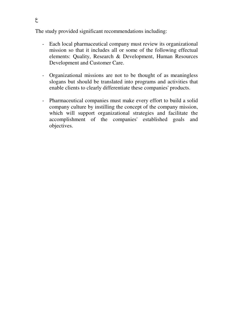The study provided significant recommendations including:

- Each local pharmaceutical company must review its organizational mission so that it includes all or some of the following effectual elements: Quality, Research & Development, Human Resources Development and Customer Care.
- Organizational missions are not to be thought of as meaningless slogans but should be translated into programs and activities that enable clients to clearly differentiate these companies' products.
- Pharmaceutical companies must make every effort to build a solid company culture by instilling the concept of the company mission, which will support organizational strategies and facilitate the accomplishment of the companies' established goals and objectives.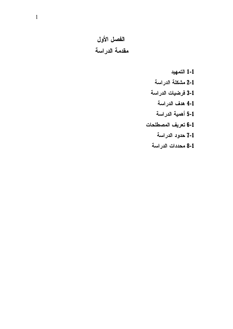الفصل الأول مقدمة الدراسة

> 1-1 التمهيد 2-1 مشكلة الدراسة 3-1 فرضيات الدراسة 4-1 هدف الدراسة 5-1 أهمية الدراسة 6-1 تعريف المصطلحات 1-1 حدود الدراسة 8-1 محددات الدراسة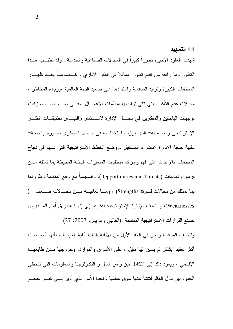1-1 التمهبد شهدت العقود الأخيرة تطوراً كبيراً في المجالات الصناعية والخدمية ، وقد تطلــب هــذا النطور وما رافقه من نقدم نطورا مماثلاً في الفكر الإداري ، خـــصوصاً بعـــد ظهــور المنظمات الكبيرة ونزايد المنافسة واشتدادها على صعيد البيئة العالمية ،وزيادة المخاطر ، وحالات عدم النأكد البيئي التي تواجهها منظمات الأعمـــال .وفـــي ضـــوء ذلـــك، زادت توجهات الباحثين والمفكرين في مجـــال الإدارة لاســـنتمار واقتبـــاس نطبيقـــات الفكــــر الإسترانيجي ومضامينه− الذي برزت استخداماته في المجال العسكري بصورة واضحة− لتلبية حاجة الإدارة لإستقراء المستقبل ،ووضع الخطط الإستراتيجية التي تسهم في نجاح المنظمات بالإعتماد على فهم وإدراك متطلبات المتغيرات البيئية المحيطة بما تمثله مسن فرص ونهديدات (Opportunities and Threats )، وانسجاما مع واقع المنظمة وظروفها بما تمتلك من مجالات قسوة( Strengths) ، ومسا تعانيسه مسن مجسالات ضسـعف ( Weaknesses)، إذ تهدف الإدارة الإستراتيجية بفكرها إلى إنارة الطريق أمام المـــديرين لصنع القرارات الإستراتيجية المناسبة .(الغالبي وإدريس، 2007: 27) ونتصف المنافسة ونحن في العقد الأول من الألفية الثالثة ألفية العولمة ، بأنها أصـــبحت أكثر تعقيدًا بشكل لم يسبق لها مثيل ، علي الأسواق والموارد، وخروجها مـــن طابعهـــا

الحدود بين دول العالم لنتشأ عنها سوق عالمية واحدة الأمر الذي أدى إلـــي كبـــر حجـــم

الإقليمي ، ويعود ذلك إلى النكامل بين رأس المال و النكنولوجيا والمعلومات التبي نتخطى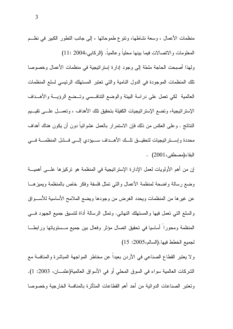منظمات الأعمال ، وسعة نشاطها، ونتوع طموحاتها ، إلى جانب النطور الكبير في نظــم المعلومات و الاتصالات فيما بينها محليا و عالميا. (الركابي،2004 :11) ولهذا أصبحت الحاجة ملحّة إلىي وجود إدارة إستراتيجية في منظمات الأعمال وخصوصا نلك المنظمات الموجودة في الدول النامية والتي تعتبر المستهلك الرئيسي لسلع المنظمات العالمية لكي نعمل على دراسة البيئة والوضع التنافسي وتسضع الرؤيسة والأهــداف الإسترانيجية، وتضع الإسترانتيجيات الكفيلة بتحقيق نلك الأهداف ، وتعمـــل علــــي تقيــــيم النتائج . وعلى العكس من ذلك فإن الاستمرار بالعمل عشوائيا دون أن يكون هناك أهداف محددة وإسترانيجيات لتحقيق نلط الأهداف سيؤدي إلى فشل المنظمة في  $\cdot$  (2001) - البقاء (مصطفى

إن من أهم الأولويات لعمل الإدارة الإستراتيجية في المنظمة هو تركيزها علــــي أهميــــة وضع رسالة واضحة لمنظمة الأعمال والتي تمثل فلسفة وفكر خاص بالمنظمة ويميزهــا عن غيرها من المنظمات ويحدد الغرض من وجودها ويضع الملامح الأساسية للأســـواق والسلع التبي نعمل فيها والمستهلك النهائبي. ونَمثل الرسالة أداة لنتسيق جميع الجهود فسي المنظمة ومحورا أساسيا في تحقيق انصال مؤثر وفعال بين جميع مـــستوياتها ورابطـــا لجميع الخطط فيها. (السالم،2005: 15)

ولا يعتبر القطاع الصناعي في الأردن بعيدا عن مخاطر المواجهة المباشرة والمنافسة مع الشركات العالمية سواء في السوق المحلي أو في الأسواق العالمية(عثمـــان، 2003: 1). ونعتبر الصناعات الدوائية من أحد أهم القطاعات المتأثرة بالمنافسة الخارجية وخصوصا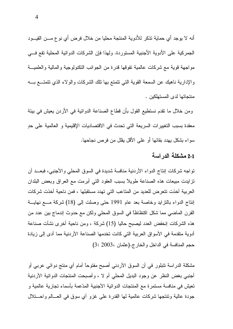أنه لا يوجد أي حماية تذكر للأدوية المنتجة محليا من خلال فرض أي نوع مـــن القيـــود الجمركية على الأدوية الأجنبية المستوردة. ولهذا فإن الشركات الدوائية المحلية نقع فــي مواجهة قوية مع شركات عالمية تفوقها قدرة من الجوانب النكنولوجية والمالية والعلميـــة والإدارية ناهيك عن السمعة القوية التبي نتمتع بها نلك الشركات والولاء الذي نتمتـــع بــــه منتجاتها لدى المستهلكين .

ومن خلال ما نقدم نستطيع القول بأن قطاع الصناعة الدوائية في الأردن يعيش في بيئة معقدة بسبب التغييرات السريعة التي تحدث في الاقتصاديات الإقليمية و العالمية على حدِ سواء بشكل يهدد بقائها أو على الأقل يقلل من فرص نجاحها.

### 2-1 مشكلة الدراسة

تواجه شركات إنتاج الدواء الأردنية منافسة شديدة في السوق المحلي والأجنبي، فبعــد أن نزايدت مبيعات هذه الصناعة طويلاً بسبب العقود التي أبرمت مع العراق وبعض البلدان العربية أخذت تتعرض للعديد من المتاعب التي تهدد مستقبلها ، فمن ناحية أخذت شركات إنتاج الدواء بالتزايد وخاصة بعد عام 1991 حتى وصلت إلى (18) شركة مـــع نهايـــة القرن الماضي مما شكل اكتظاظاً في السوق المحلي ولكن مع حدوث إندماج بين عدد من هذه الشركات إنخفض العدد ليصبح حاليا (15) شركة ، ومن ناحية أخرى نشأت صناعة أدوية متقدمة في الأسواق العربية التي كانت تخدمها الصناعة الأردنية مما أدى إلى زيادة حجم المنافسة في الداخل والخارج. (عثمان ،2003 :3)

مشكلة الدراسة نتبلور في أن السوق الأردني أصبح مفتوحاً أمام أي منتج دوائي عربي أو أجنبي بغض النظر ٍ عن وجود البديل المحلي أم لا ، و أصبحت المنتجات الدو ائية الأردنية تعيش في منافسة مستمرة مع المنتجات الدوائية الأجنبية المدّعمة بأسماء تجارية عالمية و جودة عالية وتنتجها شركات عالمية لمها القدرة على غزوٍ أي سوقٍ في العـــالم واحـــنلال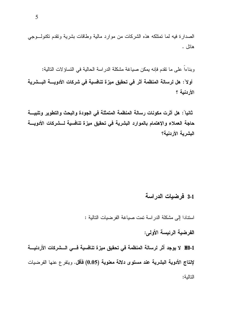الصدارة فيه لما تمتلكه هذه الشركات من موارد مالية وطاقات بشرية وتقدم تكنولـوجي هائل .

وبناءا على ما نقدم فإنه يمكن صباغة مشكلة الدراسة الحالية في النساؤلات التالية: أولاً : هل لرسالة المنظمة أثر في تحقيق ميزة تنافسية في شركات الأدويــــة البـــشرية الأردنية ؟

ثانياً : هل أثرت مكونات رسالة المنظمة المتمثلة في الجودة والبحث والتطوير وتلبيسة حاجة العملاء والإهتمام بالموارد البشرية في تحقيق ميزة تنافسية لـــشركات الأدويــــة البشربة الأردنية؟

### 3-1 فرضيات الدراسة

استنادا إلى مشكلة الدراسة تمت صباغة الفرضيات التالية :

#### الفرضية الرئيسة الأولى:

H0-1 لا يوجد أثر لرسالة المنظمة في تحقيق ميزة تنافسية فــي الـــشركات الأردنيـــة لإنتاج الأدوية البشرية عند مستوى دلالة معنوية (0.05) فأقل. ويتفرع عنها الفرضيات التالبة: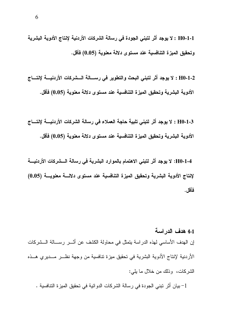H0-1-1 : لا يوجد أثر لتبنى الجودة في رسالة الشركات الأردنية لإنتاج الأدوية البشرية وتحقيق الميزة التنافسية عند مستوى دلالة معنوية (0.05) فأقل.

H0-1-2 : لا يوجد أثر لتبني البحث والتطوير في رســـالـة الـــشركات الأردنيــــة لإنتــــاج الأدوية البشرية وتحقيق المبزرة التنافسية عند مستوري دلالة معنوية (0.05) فأقل.

H0-1-3 : لا يوجد أثر لتبنى تلبية حاجة العملاء في رسالة الشركات الأردنيــــة لإنتــــاج الأدوية البشرية وتحقيق المبزة التنافسية عند مستوى دلالة معنوية (0.05) فأقل.

H0-1-4: لا يوجد أثر لتبني الاهتمام بالموارد البشرية في رسالة الــشركات الأردنيـــة لإنتاج الأدوية البشرية وتحقيق الميزة التنافسية عند مستوى دلالسة معنويسة (0.05) فأقل.

4-1 هدف الدر اسة إن الهدف الأساسي لهذه الدراسة يتمثل في محاولة الكشف عن أثـــر رســــالة الـــشركات الأردنية لإنتاج الأدوية البشرية في تحقيق ميزة تنافسية من وجهة نظـــر مـــديري هـــذه الشركات، وذلك من خلال ما بلي:

1– بيان أثر تبني الجودة في رسالة الشركات الدوائية في تحقيق الميزة التتافسية .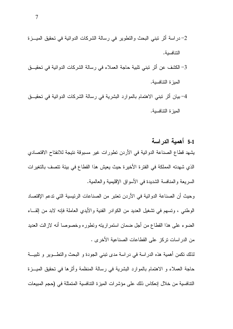- 2– در اسة أثر تبني البحث والتطوير في رسالة الشركات الدوائية في تحقيق الميـــزة التنافسبة.
- 3– الكشف عن أثر تبني تلبية حاجة العملاء في رسالة الشركات الدوائية في تحقيــق الميزة التنافسية.
- 4– بيان أثر تبني الاهتمام بالموارد البشرية في رسالة الشركات الدوائية في تحقيــق الميزة التنافسية.

5-1 أهمية الدراسة يشهد قطاع الصناعة الدوائية في الأردن تطورات غير مسبوقة نتيجة للانفتاح الاقتصادي الذي شهدته المملكة في الفترة الأخيرة حيث يعيش هذا القطاع في بيئة نتصف بالتغيرات السريعة والمنافسة الشديدة في الأسواق الإقليمية والعالمية.

وحيث أن الصناعة الدوائية في الأردن تعتبر من الصناعات الرئيسية التي تدعم الإقتصاد الوطنبي ، ونسهم في نشغيل العديد من الكوادر الفنية والأيدي العاملة فإنه لابد من إلقـــاء الضوء على هذا القطاع من أجل ضمان استمراريته وتطوره وخصوصا أنه لازالت العديد من الدراسات تركز على القطاعات الصناعية الأخرى .

لذلك نكمن أهمية هذه الدراسة في دراسة مدى نبني الجودة و البحث والنطـــوير و نلبيـــة حاجة العملاء و الاهتمام بالموارد البشرية في رسالة المنظمة وأثرها في نحقيق الميـــزة التنافسية من خلال إنعكاس ذلك على مؤشرات الميزة التنافسية المتمثلة في (حجم المبيعات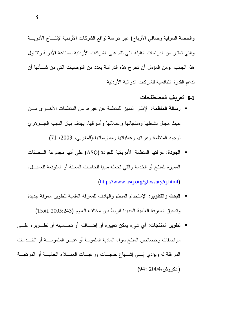والحصة السوقية وصافي الأرباح) عبر دراسة لواقع الشركات الأردنية لإنتـــاج الأدويـــة والتي تعتبر من الدراسات القليلة التي نتم على الشركات الأردنية لصناعة الأدوية وتتناول هذا الجانب .ومن المؤمل أن تخرج هذه الدراسة بعدد من التوصيات التي من شـــأنها أن ندعم القدرة النتافسية للشركات الدوائية الأردنية.

#### 6-1 تع بف المصطلحات

- رسالة المنظمة: الإطار المميز للمنظمة عن غير ها من المنظمات الأخـــر ي مـــن حيث مجال نشاطها ومنتجاتها وعملائها وأسواقها، بهدف بيان السبب الجسوهري لوجود المنظمة وهويتها وعملياتها وممارساتها.(المغربي، 2003: 71)
- الجودة: عرفتها المنظمة الأمريكية للجودة (ASQ) على أنها مجموعة الــصفات المميز ة للمنتج أو الخدمة و التي تجعله ملبيا للحاجات المعلنة أو المتوقعة للعميـــل. (http://www.asq.org/glossary/q.html)
- البحث والتطوير: الإستخدام المنظم والهادف للمعرفة العلمية لتطوير معرفة جديدة وتطبيق المعرفة العلمية الجديدة للربط بين مختلف العلوم (Trott, 2005:243)
- تطوير المنتجات: أي شيء يمكن تغييره أو إضــــافته أو تـحـــسينه أو تطـــويره علــــي مواصفات وخصائص المنتج سواء المادية الملموسة أو غيـــر الملموســـة أو الخـــدمات المرافقة له ويؤدي السبي اشسباع حاجسات ورغبسات العمسلاء الحاليسة أو المرتقبسة (عكر وش، 2004 : 94)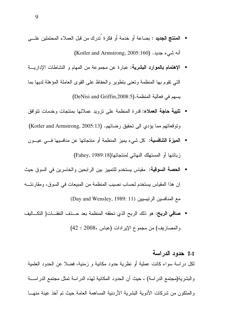- المنتج الجديد : بضاعة أو خدمة أو فكرة ُتدرك من قبل العملاء المحتملين علـــي أنه شيء جديد. (Kotler and Armstrong, 2005:160)
- الإهتمام بالموارد البشرية: عبارة عن مجموعة من المهام و النشاطات الإداريـــة التبي نقوم بها المنظمة وتعنبي بتطوير والحفاظ على القوى العاملة المؤهلة لديها بما بِسهِم في فعالية المنظمة.(DeNisi and Griffin,2008:5)
- **تلبية حاجة العملاء:** قدرة المنظمة على نزويد عملائها بمنتجات وخدمات نتوافق  $\mathcal{L}$ وتوقعاتهم مما يؤدي الى تحقيق رضائهم. (Kotler and Armstrong, 2005:13)
- ا**لميزة التنافسية:** كل شيء يميز المنظمة أو منتجاتها عن منافسيها فـــي عيـــون زبائنها أو المستهلك النهائي لمنتجاتها(Fahey, 1989:18)
- الحصة السوقية: مقياس يستخدم للتمييز بين الرابحين والخاسرين في السوق حيث ان هذا المقياس يستخدم لحساب نصبب المنظمة من المبيعات في السوق، ومقارنتـــه مع المنافسين الرئيسيين (Day and Wensley, 1989: 11)
- والمصاريف) من مجموع الإير ادات (عباس ،2008 : 42)

#### 7-1 حدود الدر اسة

لكل در اسة سواء كانت عملية أو نظرية حدود مكانية و زمنية، فضلا عن الحدود العلمية و البشرية(مجتمع الدر اسة) ، حيث أن الحدود المكانية لهذه الدر اسة تمثل مجتمع الدر اســــة و المتكون من شركات الأدوية البشرية الأردنية المساهمة العامة حيث تم أخذ عينة منهــا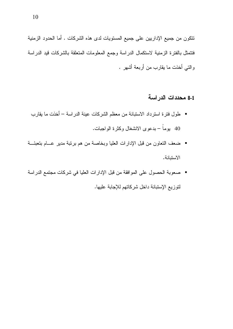نتكون من جميع الإداريين على جميع المستويات لدى هذه الشركات . أما الحدود الزمنية فتتمثل بالفترة الزمنية لاستكمال الدراسة وجمع المعلومات المتعلقة بالشركات قيد الدراسة والنبي أخذت ما يقارب من أربعة أشهر .

### 8-1 محددات الدراسة

- طول فترة استرداد الاستبانة من معظم الشركات عينة الدراسة أخذت ما يقارب 40 يوماً – بدعوى الانشغال وكثرة الواجبات.
- ضعف النعاون من قبل الإدارات العليا وبخاصة من هم برنبة مدير عـــام بتعبئـــة الاستنانة.
- صعوبة الحصول على الموافقة من قبل الإدارات العليا في شركات مجتمع الدراسة لتوزيع الإستبانة داخل شركاتهم للإجابة عليها.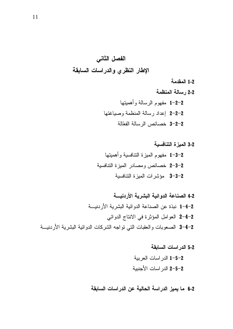## الفصل الثاني الإطار النظري والدراسات السابقة

- 1-2 المقدمة
- 2-2 رسالة المنظمة 1-2-2 مفهوم الرسالة وأهميتها 2-2-2 إعداد رسالة المنظمة وصباغتها 3-2-2 خصائص الرسالة الفعّالة
- 2-3 الميز ة التنافسية 1-3-2 مفهوم الميزة النتافسية وأهميتها 2-3-2 خصائص ومصادر المبزة النتافسية 3-3-2 مؤشرات الميزة النتافسية
- 2-4 الصناعة الدوائية البشرية الأردنيسة 1-4-2 نبذة عن الصناعة الدوائية البشرية الأردنيـــة 2-4-2 العوامل المؤثرة في الانتاج الدوائي 3-4-2 الصعوبات والعقبات التي تواجه الشركات الدوائية البشرية الأردنيـــة
	- 2-5 الدراسات السابقة 1-5-2 الدر اسات العربية 2–5–2 الدر اسات الأجنبية

6-2 ما يميز الدراسة الحالية عن الدراسات السابقة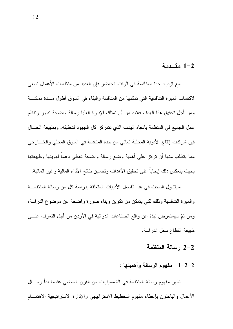#### مقدمة  $1-2$

مع از دياد حدة المنافسة في الوقت الحاضر فإن العديد من منظمات الأعمال تسعى لاكتساب الميزة التنافسية التي تمكنها من المنافسة والبقاء في السوق أطول مــدة ممكنـــة ومن أجل تحقيق هذا الهدف فلابد من أن تمتلك الإدار ة العلبا رسالة واضحة تبلور وتنظم عمل الجميع في المنظمة باتجاه الهدف الذي نتمر كز كل الجهود لتحقيقه، وبطبيعة الحسال فإن شركات إنتاج الأدوية المحلية تعاني من حدة المنافسة في السوق المحلي والخـــارجي مما يتطلب منها أن نركز على أهمية وضع رسالة واضحة نعطى دعما لهويتها وطبيعتها بحيث ينعكس ذلك إيجابا على تحقيق الأهداف وتحسين نتائج الأداء المالية وغير المالية.

سبنتاول الباحث في هذا الفصل الأدبيات المتعلقة بدر اسة كل من ر سالة المنظمـــة والمبزة التنافسية وذلك لكى يتمكن من نكوين وبناء صورة واضحة عن موضوع الدراسة، ومن ثمّ سيستعرض نبذة عن واقع الصناعات الدوائية في الأردن من أجل التعرف علــــي طبيعة القطاع محل الدراسة.

## 2-2 رسالة المنظمة

## 1-2-2 مفهوم الرسالة وأهميتها :

ظهر مفهوم رسالة المنظمة في الخمسينيات من القرن الماضي عندما بدأ رجـــال الأعمال والباحثون بإعطاء مفهوم التخطيط الاسترانيجي والإدارة الاسترانيجية الاهتمـــام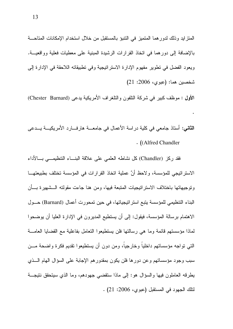المنزايد وذلك لدورهما المتميز في النتبؤ بالمستقبل من خلال استخدام الإمكانات المتاحـــة بالإضافة إلى دور هما في اتخاذ القرارات الرشيدة المبنية على معطيات فعلية وواقعيـــة. ويعود الفضل في نطوير مفهوم الإدارة الاستراتيجية وفي نطبيقانه اللاحقة في الإدارة إلى شخصين هما: (عبوي، 2006: 21)

الأول : موظف كبير في شركة النلفون والنلغراف الأمريكية يدعى (Chester Barnard)

**الثاني:** أستاذ جامعي في كلية در اسة الأعمال في جامعــــة هارفــــارد الأمريكيــــة يــــدعي . ((Alfred Chandler

فقد ركز (Chandler) كل نشاطه العلمي على علاقة البنساء التنظيمـــي بـــالأداء الاستر اتيجي للمؤسسة، ولاحظ أنَّ عملية اتخاذ القرارات في المؤسسة تختلف بطبيعتهـــا ونوجيهاتها باختلاف الاستراتيجيات المتبعة فيها، ومن هنا جاءت مقولته الـــشهيرة بـــأن البناء التنظيمي للمؤسسة يتبع استراتيجياتها، في حين تمحورت أعمال (Barnard) حـــول الاهتمام برسالة المؤسسة، فيقول: إلى أن يستطيع المديرون في الإدارة العليا أن يوضحوا لماذا مؤسستهم فائمة وما هي رسالتها فلن يستطيعوا التعامل بفاعلية مع القضايا العامسة التبي نواجه مؤسساتهم داخليا وخارجيا، ومن دون أن يستطيعوا نقديم فكرة واضحة مـــن سبب وجود مؤسساتهم وعن دورها فلن يكون بمقدورهم الإجابة على السؤال الهام السذي بطرقه العاملون فيها والسؤال هو: إلى ماذا ستقضى جهودهم، وما الذي سيتحقق نتيجـــة لنلك الجهود في المستقبل (عبوى، 2006: 21) .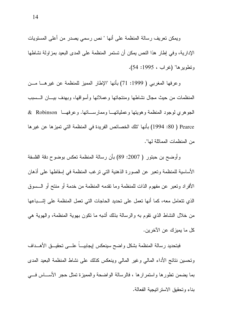ويمكن تعريف رسالة المنظمة على أنها " نص رسمي يصدر من أعلى المستويات الإدارية، وفي إطار هذا النص يمكن أن تستمر المنظمة على المدى البعيد بمز اولة نشاطها وتطويرها" (غراب ، 1995: 54).

وعرفها المغربي ( 1999: 71) بأنها "الإطار المميز للمنظمة عن غيرهـــا مـــن المنظمات من حيث مجال نشاطها ومنتجاتها وعملائها وأسواقها، وبهدف بيسان السسبب الجوهري لوجود المنظمة وهويتها وعملياتهــا وممارســـاتها. وعرفهــا Robinson & Pearce ( 80: 1994) بأنها "تلك الخصائص الفريدة في المنظمة التي تمبز ها عن غبر ها من المنظمات المماثلة لها".

وأوضح بن حبنور ( 2007: 89) بأن رسالة المنظمة تعكس بوضوح دقة الفلسفة الأساسية للمنظمة وتعبر عن الصورة الذهنية التي نرغب المنظمة في إسقاطها على أذهان الأفراد وتعبر عن مفهوم الذات للمنظمة وما نقدمه المنظمة من خدمة أو منتح أو الـــسوق الذي نتعامل معه، كما أنها نعمل على نحديد الحاجات التي نعمل المنظمة على إشـــباعها من خلال النشاط الذي نقوم به و الر سالة بذلك أشبه ما نكون بـهوية المنظمة، و الـهوية هـي كل ما بمبز ك عن الآخر بن.

فبتحديد رسالة المنظمة بشكل واضح سينعكس ليجابيـــا علــــى تحقيـــق الأهـــداف ونحسين نتائج الأداء المالي وغير المالي وينعكس كذلك على نشاط المنظمة البعيد المدى بما يضمن نطور ها واستمر ار ها ، فالرسالة الواضحة والمميز ة نمثل حجر الأســـاس فــــى بناء وتحقيق الاستر اتيجية الفعالة.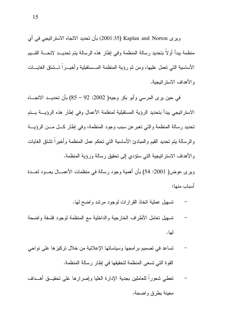ويرى Kaplan and Norton (2001:35) بأن تحديد الاتجاه الاستراتيجي في أي منظمة يبدأ أو لا بتحديد رسالة المنظمة وفي إطار هذه الرسالة يتم تحديــد لائحـــة القـــيم الأساسية التي تعمل عليها، ومن ثم رؤية المنظمة المــستقبلية وأخيـــراً تــشتق الغايـــات و الأهداف الاستر اتبجية.

في حين يرى المرسي وأبو بكر وجيه( 2002: 92 – 85) بأن تحديــد الاتجـــاه الاستراتيجي يبدأ بتحديد الرؤية المستقبلية لمنظمة الأعمال وفي إطار هذه الرؤيسة يستم تحديد رسالة المنظمة والتي تعبر عن سبب وجود المنظمة، وفي إطار كـــل مـــن الرؤيــــة والرسالة بنم نحدبد القيم والمبادئ الأساسية النبي نحكم عمل المنظمة وأخيراً نشتق الغايات والأهداف الاستراتيجية التي ستؤدي إلى تحقيق رسالة ورؤية المنظمة.

ويرى عوض( 2001: 54) بأن أهمية وجود رسالة في منظمات الأعمـــال يعـــود لعـــدة أسماب منصا:

- نسهيل عملية اتخاذ القرارات لوجود مرشد واضح لمها.
- تسهيل تعامل الأطراف الخارجية والداخلية مع المنظمة لوجود فلسفة واضحة لها.
- تساعد في تصميم برامجها وسياساتها الإعلانية من خلال تركيزها على نواحي القو ة التي تسعى المنظمة لتحقيقها في إطار رسالة المنظمة.
- تعطي شعوراً للعاملين بجدية الإدارة العليا وإصرارها على تحقيــق أهـــداف معينة بطرق واضحة.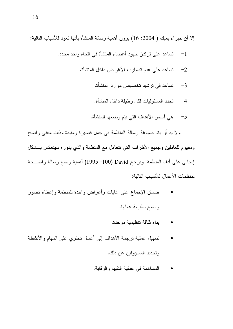إلا أن خبراء بميك ( 2004: 16) برون أهمية رسالة المنشأة بأنها نعود للأسباب النالية:

- نساعد على نركيز جهود أعضاء المنشأة في انجاه واحد محدد.  $-1$ 
	- تساعد على عدم تضارب الأغراض داخل المنشأة.  $-2$ 
		- تساعد في ترشيد تخصيص موارد المنشأة.  $-3$
		- تحدد المسئولبات لكل وظبفة داخل المنشأة.  $-4$
		- هي أساس الأهداف التي يتم وضعها للمنشأة.  $-5$

ولا بد أن يتم صياغة رسالة المنظمة في جمل قصيرة ومفيدة وذات معنى واضح ومفهوم للعاملين وجميع الأطراف التبي نتعامل مع المنظمة والذي بدوره سينعكس بسشكل إيجابي على أداء المنظمة. ويرجح David (100: 1995) أهمية وضع رسالة واضـــحة لمنظمات الأعمال للأسباب التالية:

- ضمان الإجماع على غايات وأغراض واحدة للمنظمة وإعطاء تصور واضح لطبيعة عملها.
	- بناء ثقافة تنظبمبة موحدة.
- تسهيل عملية ترجمة الأهداف إلى أعمال تحتوي على المهام والأنشطة وتحديد المسؤولين عن ذلك.
	- المساهمة في عملية التقييم والرقابة.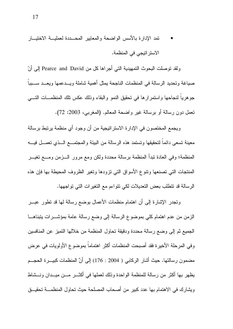ولقد نوصلت البحوث التمهيدية التبي أجراها كل من Pearce and David إلىي أنّ صباغة وتحديد الرسالة في المنظمات الناجحة بمثل أهمية شاملة ويسدعمها ويعسد سسببا جوهريا لنجاحها واستمرارها في تحقيق النمو والبقاء وذلك عكس تلك المنظمــات النــــي نعمل دون رسالة أو برسالة غير واضحة المعالم. (المغربي، 2003: 72).

ويجمع المختصون في الإدار ة الاستر اتيجية من أن وجود أي منظمة بر تبط بر سالة معينة تسعى دائماً لتحقيقها وتستمد هذه الرسالة من البيئة والمجتمـــع الـــذي تعمـــل فيــــه المنظمة؛ وفي العادة نَبدأ المنظمة برسالة محددة ولكن ومع مرور الـــزمن ومــــع نغيـــر المنتجات التي تصنعها ونتوع الأسواق التي نزودها وتغير الظروف المحيطة بها فإن هذه الرسالة قد تتطلب بعض التعديلات لكي نتواءم مع التغيرات التي تواجهها.

وتجدر الإشارة إلى أن اهتمام منظمات الأعمال بوضع رسالة لها قد تطور عبـــر الزمن من عدم اهتمام كلي بموضوع الرسالة إلى وضع رسالة عامة بمؤشـــرات يتبناهـــا الجميع ثم إلى وضع رسالة محددة ودقيقة تحاول المنظمة من خلالها النميز عن المنافسين وفي المرحلة الأخيرة فقد أصبحت المنظمات أكثر اهتماما بموضوع الأولويات في عرض مضمون رسالتها. حيث أشار الركابي ( 2004 : 176) إلى أنَّ المنظمات كبيـــرة الـحجـــم يظهر بها أكثر من رسالة للمنظمة الواحدة وذلك لعملها في أكثـــر مـــن ميـــدان ونـــشاط ويشارك في الاهتمام بها عدد كبير من أصحاب المصلحة حيث تحاول المنظمــــة تحقيـــق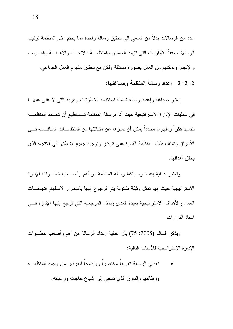عدد من الرسالات بدلا من السعى إلى نحقيق رسالة واحدة مما يحتم على المنظمة نرتيب الرسالات وفقا للأولويات التبي نزود العاملين بالمنظمـــة بالانجـــاه والأهميـــة والفـــرص والإنجاز وتمكنهم من العمل بصورة مستقلة ولكن مع نحقيق مفهوم العمل الجماعي.

اعداد رسالة المنظمة وصباغتها:  $2-2-2$ 

يعتبر صياغة وإعداد رسالة شاملة للمنظمة الخطوة الجوهرية التبى لا غنى عنهـا في عمليات الإدار ة الاستر اتيجية حيث أنه برسالة المنظمة تــستطيع أن تحـــدد المنظمـــة لنفسها فكرا ومفهوما محددا يمكن أن يميزها عن مثيلاتها من المنظمـــات المنافــسة فـــي الأسواق وتمتلك بذلك المنظمة القدرة على نركيز ونوجيه جميع أنشطتها في الاتجاه الذي بحقق أهدافها.

ونعتبر عملية إعداد وصياغة رسالة المنظمة من أهم وأصـــعب خطــوات الإدارة الاستراتيجية حيث إنها تمثل وثيقة مكتوبة يتم الرجوع إليها باستمرار لاستلهام اتجاهــات العمل والأهداف الاستر انتيجية بعيدة المدى وتمثل المرجعية التبي ترجع إليها الإدارة فسي اتخاذ القرارات.

ويذكر السالم (2005: 75) بأن عملية إعداد الرسالة من أهم وأصعب خطـــوات الإدارة الاستراتيجية للأسباب التالية:

نعطي الرسالة نعريفا مختصرا وواضحا للغرض من وجود المنظمــة ووظائفها والسوق الذي نسعى إلى إشباع حاجانه ورغبانه.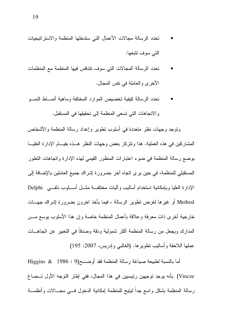- تحدد الرسالة مجالات الأعمال التى ستدخلها المنظمة والاستراتيجيات التبي سوف تتبعها.
- تحدد الرسالة المجالات التي سوف تتنافس فيها المنظمة مع المنظمات الأخر ي و العاملة في نفس المجال.
- تحدد الرسالة كيفية تخصيص الموارد المختلفة وماهية أنمساط النمسو والاتجاهات التي نسعى المنظمة إلى تحقيقها في المستقبل.

ونوجد وجهات نظر متعددة في أسلوب نطوير وإعداد رسالة المنظمة والأشخاص المشاركين في هذه العملية. هذا ونتركز بعض وجهات النظر هــذه بقيـــام الإدارة العليـــا بوضع رسالة المنظمة في ضوء اعتبارات المنظور القيمي لمهذه الإدارة وانجاهات النطور المستقبلي للمنظمة، في حين يرى اتجاه آخر بضرورة إشراك جميع العاملين بالإضافة إلى الإدارة العليا وبإمكانية استخدام أساليب وأليات مختلفة مثــل أســـلوب دلفـــي Delphi Method أو غيرها لغرض نطوير الرسالة ، فيما يأخذ اخرون بضرورة إشراك جهـــات خارجية أخرى ذات معرفة وعلاقة بأعمال المنظمة خاصة وإن هذا الأسلوب بوسع مـــن المدارك ويجعل من رسالة المنظمة أكثر شمولية ودقة وصدقاً في النعبير عن انجاهـــات عملها اللاحقة وأساليب نطويرها. (الغالبي وإدريس، 2007: 195)

أما بالنسبة لطبيعة صياغة رسالة المنظمة فقد أوضـــح(9 : 1986 & Higgins & Vincze) بأنه يوجد توجهين رئيسيين في هذا المجال، ففي إطار التوجه الأول تـــصـاغ رسالة المنظمة بشكل واسع جدا لبيتيح للمنظمة إمكانية الدخول فسي مجسالات وأنظمسة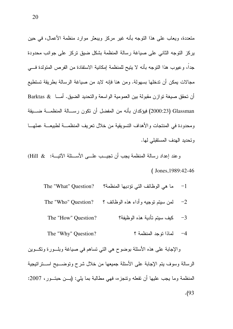متعددة، ويعاب على هذا التوجه بأنه غير مركز ويبعثر موارد منظمة الأعمال، في حين يركز النوجه الثاني على صياغة رسالة المنظمة بشكل ضيق نركز على جوانب محدودة جدا، و عيوب هذا التوجه بأنه لا يتيح للمنظمة إمكانية الاستفادة من الفرص المتولدة فــــى مجالات يمكن أن تدخلها بسهولة. ومن هنا فإنه لابد من صياغة الرسالة بطريقة تستطيع أن تحقق صبغة تواز ن مقبولة بين العمومية الواسعة والتحديد الضبق. أمـــا & Barktas Glassman (2000:23) فيؤكدان بأنه من المفضل أن نكون رســـالة المنظمـــة ضـــبقة ومحدودة في المنتجات والأهداف التسويقية من خلال تعريف المنظمـــة لطبيعـــة عملهـــا وتحديد الهدف المستقبلي لها.

وعند إعداد رسالة المنظمة يجب أن تجيــب علـــى الأســئلة الآتيـــة: & Hill) (Jones, 1989: 42-46)

| The "What" Question? | ما هي الوظائف التي تؤديها المنظمة؟ | -1   |
|----------------------|------------------------------------|------|
| The "Who" Question?  | لمن سيتم توجيه وأداء هذه الوظائف ؟ | $-2$ |
| The "How" Question?  | كيف سيتم تأدية هذه الوظيفة؟        | $-3$ |
| The "Why" Question?  | لماذا توجد المنظمة ؟               | $-4$ |

والإجابة على هذه الأسئلة بوضوح هي التي نساهم في صياغة وبلــورة ونكــوين الرسالة وسوف بنم الإجابة على الأسئلة جميعها من خلال شرح ونوضــــبح اســـنر انبجية المنظمة وما يجب عليها أن تفعله ونتجزه، فهي مطالبة بما يلي: (بـــن حبتـــور، 2007:  $. (93)$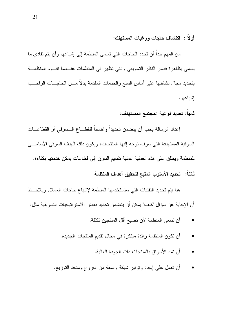أولاً : اكتشاف حاجات ورغبات المستهلك:

من المهم جداً أن تحدد الحاجات التي تسعى المنظمة إلى إشباعها وأن يتم تفادي ما يسمى بظاهرة قصر النظر التسويقي والتي تظهر في المنظمات عنــدما نقــوم المنظمـــة بتحديد مجال نشاطها على أساس السلع والخدمات المقدمة بدلاً مـــن الحاجـــات الواجـــب اشباعها.

### ثانياً: تحديد نوعية المجتمع المستهدف:

إعداد الرسالة يجب أن يتضمن تحديداً واضحاً للقطـــاع الـــسوفي أو القطاعـــات السو قية المستهدفة التي سوف توجه إليها المنتجات، ويكون ذلك الهدف السو في الأساســـي للمنظمة ويطلق على هذه العملية عملية نقسيم السوق إلى فطاعات يمكن خدمتها بكفاءة. ثالثاً: تحديد الأسلوب المتبع لتحقيق أهداف المنظمة

هنا بتم تحديد التقنيات التي ستستخدمها المنظمة لإشباع حاجات العملاء ويلاحظ أن الإجابة عن سؤال "كيف" يمكن أن يتضمن تحديد بعض الاستر اتيجيات التسويقية مثل:

- أن تسعى المنظمة لأن تصبح أقل المنتجين تكلفة.
- أن تكون المنظمة رائدة مبتكرة في مجال تقديم المنتجات الجديدة.
	- أن تمد الأسواق بالمنتجات ذات الجودة العالية.
- أن نعمل علمي ايجاد ونوفير شبكة واسعة من الفروع ومنافذ النوزيع.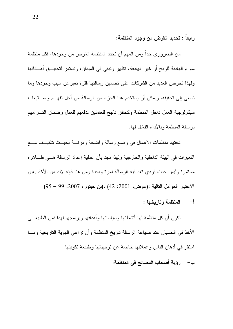رابعاً : تحديد الغرض من وجود المنظمة:

من الضروري جدا ومن المهم أن تحدد المنظمة الغرض من وجودها، فكل منظمة سواء الهادفة للربح أو غير الهادفة، تظهر ونبقى في الميدان، وتستمر لتحقيــق أهـــدافها ولهذا تحرص العديد من الشركات على تضمين رسالتها فقرة تعبر عن سبب وجودها وما تسعى إلى تحقيقه. ويمكن أن يستخدم هذا الجزء من الرسالة من أجل تفهـــم واســـتيعاب سيكولوجية العمل داخل المنظمة وكحافز ناجح للعاملين لدفعهم للعمل وضمان التسزامهم بر سالة المنظمة وبالأداء الفعّال لها.

تجتهد منظمات الأعمال في وضع رسالة واضحة ومرنسة بحيسث تتكيسف مسع النغيرات في البيئة الداخلية والخارجية ولهذا نجد بأن عملية إعداد الرسالة هـــي ظـــاهرة مستمرة وليس حدث فردي تعد فيه الرسالة لمرة واحدة ومن هنا فإنه لابد من الأخذ بعين الاعتبار العوامل النالية :(عوض، 2001: 42) ،(بن حبتور، 2007: 99 – 95)

أ- المنظمة وتاربخها :

لكون أن كل منظمة لمها أنشطتها وسياساتها وأهدافها وبرامجها لهذا فمن الطبيعـــي الأخذ في الحسبان عند صباغة الرسالة تاريخ المنظمة وأن نراعي الهوية التاريخية ومـــا استقر في أذهان الناس وعملائها خاصة عن توجهاتها وطبيعة تكوينها.

ب– رؤية أصحاب المصالح في المنظمة: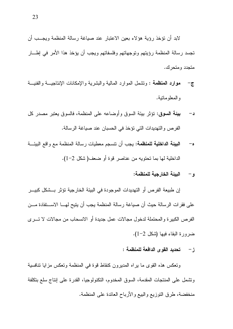لابد أن نؤخذ رؤية هؤلاء بعين الاعتبار عند صباغة رسالة المنظمة ويجـــب أن تجسد رسالة المنظمة رؤيتهم وتوجهاتهم وفلسفاتهم ويجب أن يؤخذ هذا الأمر فيي إطسار متجدد و متحر ك.

- موارد المنظمة : وتشمل الموارد المالية والبشرية والإمكانات الإنتاجيــة والفنيــة  $-\tau$ و المعلو ماتبة.
- بِيئة السوقي: تؤثَّر بيئة السوق وأوضاعه على المنظمة، فالسوق يعتبر مصدر كل  $-1$ الفرص والتهديدات التي تؤخذ في الحسبان عند صياغة الرسالة.
- البيئة الداخلية للمنظمة: يجب أن تتسجم معطيات رسالة المنظمة مع واقع البيئة  $-\circ$ الداخلية لها بما تحتويه من عناصر قوة أو ضعف(شكل 2-1).
	- و– البيئة الخارجية للمنظمة:

إن طبيعة الفرص أو التهديدات الموجودة في البيئة الخارجية تؤثر بـــشكل كبيـــر على فقرات الرسالة حيث أن صباغة رسالة المنظمة يجب أن يتيح لهــــا الاســــتفادة مــــن الفرص الكبير ة و المحتملة لدخول مجالات عمل جديدة أو الانسحاب من مجالات لا تـــر ي ضرورة البقاء فيها (شكل 2-1).

ز – تحديد القوى الدافعة للمنظمة :

وتعكس هذه القوى ما براه المدبرون كنقاط قوة في المنظمة وتعكس مزايا نتافسية ونشمل على المنتجات المقدمة، السوق المخدوم، التكنولوجيا، القدرة على إنتاج سلع بتكلفة منخفضة، طرق النوزيع والبيع والأرباح العائدة على المنظمة.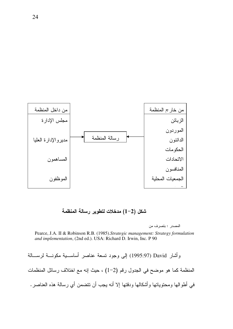

شكل (2–1) مدخلات لتطوير رسالة المنظمة

المصدر : بتصرف من

Pearce, J.A. II & Robinson R.B. (1985). Strategic management: Strategy formulation and implementation, (2nd ed.). USA: Richard D. Irwin, Inc. P 90

وأشار David (1995:97) إلى وجود نسعة عناصر أساســـية مكونــــة لرســـالـة المنظمة كما هو موضح في الجدول رقم (2–1) ، حيث إنه مع اختلاف رسائل المنظمات في أطوالها ومحتوياتها وأشكالها ودقتها إلا أنه يجب أن تتضمن أي رسالة هذه العناصر.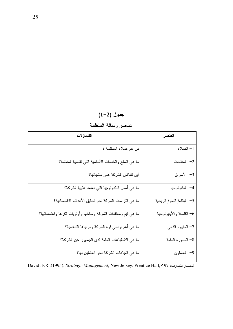# $(1-2)$  جدول

## عناصر رسالة المنظمة

| التساؤلات                                                     | العنصر                    |
|---------------------------------------------------------------|---------------------------|
| من هم عملاء المنظمة ؟                                         | $-1$ العملاء              |
| ما هي السلع والخدمات الأساسية الني نقدمها المنظمة؟            | $-2$ المنتجات             |
| أين نتنافس الشركة على منتجاتها؟                               | 3– الأسواق                |
| ما هي أسس النكنولوجيا التي تعتمد عليها الشركة؟                | 4– النكنولوجيا            |
| ما هي النزامات الشركة نحو تحقيق الأهداف الاقتصادية؟           | 5- البقاء/ النمو/ الربحية |
| ما هي قيم ومعتقدات الشركة ومناخها وأولويات فكرها واهتماماتها؟ | 6– الفلسفة والأيديولوجية  |
| ما هي أهم نواحي قوة الشركة ومزاياها النتافسية؟                | 7– المفهوم الذاتبي        |
| ما هي الانطباعات العامة لدى الجمهور عن الشركة؟                | 8– الصورة العامة          |
| ما هي اتجاهات الشركة نحو العاملين بها؟                        | 9– العاملون               |

David ,F.R.,(1995). *Strategic Management*, New Jersey: Prentice Hall,P 97 :المصدر بتصرف: 197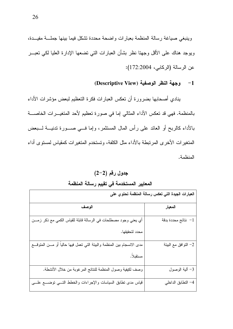وينبغي صياغة رسالة المنظمة بعبارات واضحة محددة تشكل فيما بينها جملسة مفيدة، ويوجد هناك علىي الأقل وجهنا نظر بشأن العبارات النبي نضعها الإدارة العليا لكي نعبـــر عن الرسالة (الركابي، 172:2004):

#### وجهة النظر الوصفية (Descriptive View)  $-1$

ينادي أصحابها بضرورة أن تعكس العبارات فكرة التعظيم لبعض مؤشرات الأداء بالمنظمة. فهي قد تعكس الأداء المثالي إما في صورة تعظيم لأحد المتغيـــرات الخاصــــة بالأداء كالربح أو العائد على رأس المال المستثمر، وإما فسي صــورة تدنيـــة لـــبعض المتغير ات الأخر ي المر تبطة بالأداء مثل الكلفة، وتستخدم المتغير ات كمقياس لمستو ي أداء المنظمة.

 $(2-2)$  جدول رقم المعايير المستخدمة في تقييم رسالة المنظمة

|                                                                            | العبارات الجيدة التي تعكس رسالة المنظمة تحتوي على |
|----------------------------------------------------------------------------|---------------------------------------------------|
| الوصف                                                                      | المعيار                                           |
| أي يعني وجود مصطلحات في الرسالة قابلة للقياس الكمي مع ذكر زمـــن           | نتائج محددة بدقة $-1$                             |
| محدد لتحقيقها.                                                             |                                                   |
| مدى الانسجام بين المنظمة والبيئة التي تعمل فيها حالياً أو مـــن المنوقـــع | 2– النوافق مع البيئة                              |
| مستقبلا.                                                                   |                                                   |
| وصف لكيفية وصول المنظمة للنتائج المرغوبة من خلال الأنشطة.                  | 3– ألية الوصول                                    |
| قياس مدى نطابق السياسات والإجراءات والخطط التسي نوضـــع علــــى            | 4- التطابق الداخلي                                |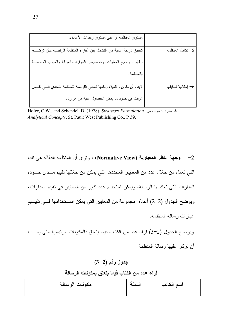|                        | مستوى المنظمة أو على مستوى وحدات الأعمال.                           |
|------------------------|---------------------------------------------------------------------|
| 5- تكامل المنظمة       | تحقيق درجة عالية من التكامل بين أجزاء المنظمة الرئيسية كأن توضـــح  |
|                        | نطاق ، وحجم العمليات، وتخصيص الموارد والمزايا والعيوب الخاصـــة     |
|                        | بالمنظمة.                                                           |
| - إمكانية تحقيقها $-6$ | لابد وأن نكون واقعية، ولكنها نعطي الفرصة للمنظمة للتحدي فـــي نفــس |
|                        | الوقت في حدود ما يمكن الحصول عليه من موارد.                         |

Hofer, C.W., and Schendel, D.,(1978). Strartegy Formulation المصدر: بتصرف من Analytical Concepts, St. Paul: West Publishing Co., P 39.

وجهة النظر المعيارية (Normative View) : ونرى أنَّ المنظمة الفعّالة هي نلك  $-2$ التي تعمل من خلال عدد من المعايير المحددة، التي يمكن من خلالها تقييم مـــدى جـــودة العبارات التي تعكسها الرسالة، ويمكن استخدام عدد كبير من المعايير في تقييم العبارات، ويوضح الجدول (2–2) أعلاه ًمجموعة من المعايير التي يمكن اســـتخدامها فـــي تقيـــيم عبارات رسالة المنظمة.

ويوضح الجدول (2-3) اراء عدد من الكتاب فيما يتعلق بالمكونات الرئيسية التي يجـب أن تركز عليها رسالة المنظمة

### $(3-2)$  جدول رقم

### آراء عدد من الكتاب فيما يتعلق بمكونات الرسالة

| مكونات الرسالة | السنة | اسم الكاتب |
|----------------|-------|------------|
|                |       |            |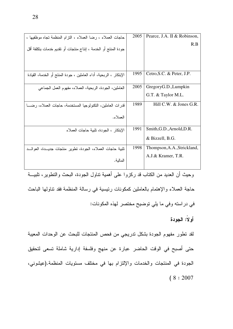| حاجات العملاء ، رضا العملاء ، النزام المنظمة نجاه موظفيها ،        | 2005 | Pearce, J.A. II & Robinson, |
|--------------------------------------------------------------------|------|-----------------------------|
| جودة المنتج أو الخدمة ، إنتاج منتجات أو نقديم خدمات بتكلفة أقل     |      | R.B                         |
|                                                                    |      |                             |
|                                                                    |      |                             |
| الإبتكار ، الربحية، أداء العاملين ، جودة المنتج أو الخدمة، القيادة | 1995 | Cetro, S.C. & Peter, J.P.   |
| العاملين، الجودة، الربحية، العملاء، مفهوم العمل الجماعي            | 2005 | GregoryG.D., Lumpkin        |
|                                                                    |      | G.T. & Taylor M.L.          |
| قدر ات العاملين، النكنولوجيا المستخدمة، حاجات العملاء، رضــــا     | 1989 | Hill C.W. & Jones G.R.      |
| العملاء.                                                           |      |                             |
| الإبتكار ، الجودة، تلبية حاجات العملاء                             | 1991 | Smith, G.D., Arnold, D.R.   |
|                                                                    |      | & Bizzell, B.G.             |
| تلبية حاجات العملاء، الجودة، تطوير منتجات جديـــدة، العوائـــد     | 1998 | Thompson, A.A., Strickland, |
| المالية.                                                           |      | A.J.& Kramer, T.R.          |

.<br>وحيث أن العديد من الكتاب قد ركزوا على أهمية نتاول الجودة، البحث والنطوير ، تلبيـــة

حاجة العملاء والإهتمام بالعاملين كمكونات رئيسية في رسالة المنظمة فقد نتاولها الباحث في دراسته وفي ما يلي توضيح مختصر لهذه المكونات:

أولاً: الجودة

لقد تطور مفهوم الجودة بشكل تدريجي من فحص المنتجات للبحث عن الوحدات المعيبة حتى أصبح في الوقت الحاضر عبارة عن منهج وفلسفة إدارية شاملة تسعى لتحقيق الجودة في المنتجات والخدمات والإلتزام بها في مختلف مستويات المنظمة.(عيشوني،  $(8:2007$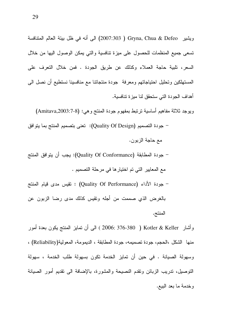ويشير Gryna, Chua & Defeo ( 2007:303) الى أنه في ظل بيئة العالم المتنافسة تسعى جميع المنظمات للحصول على ميزة نتافسية والتي يمكن الوصول اليها من خلال السعر، نلبية حاجة العملاء وكذلك عن طريق الجودة . فمن خلال النعرف على المستهلكين وتحليل احتياجاتهم ومعرفة جودة منتجاتنا مع منافسينا نستطيع أن نصل الىي أهداف الجو دة التي ستحقق لنا ميز ة تتافسية.

ويوجد ثلاثة مفاهيم أساسية نرتبط بمفهوم جودة المنتج وهي: (Amitava,2003:7-8) – جودة التصميم (Quality Of Design): تعني بتصميم المنتج بما يتوافق مع حاجة الزبون.

- جودة المطابقة (Quality Of Conformance): يجب أن يتوافق المنتج مع المعايير التي تم اختيار ها في مرحلة التصميم .
- جودة الأداء (Quality Of Performance) : نقيس مدى قيام المنتج بالغرض الذي صممت من أجله وتقيس كذلك مدى رضا الزبون عن المنتج.

وأشار Kotler & Keller ( 376-380 ) التي أن نمايز المنتج يكون بعدة أمور منها الشكل ،الحجم، جودة نصميمه، جودة المطابقة ، الديمومة، المعولية(Reliability) ، وسهولة الصيانة . في حين أن تمايز الخدمة تكون بسهولة طلب الخدمة ، سهولة التوصيل، تدريب الزبائن وتقدم النصيحة والمشورة، بالإضافة الى نقديم أمور الصيانة وخدمة ما بعد البيع.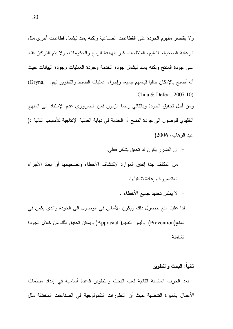ولا يقتصر مفهوم الجودة على القطاعات الصناعية ولكنه يمتد ليشمل قطاعات أخرى مثل الرعاية الصحية، التعليم، المنظمات غير الهادفة للربح والحكومات، و لا يتم التركيز فقط على جودة المنتج ولكنه بمتد ليشمل جودة الخدمة وجودة العمليات وجودة البيانات حيث أنه أصبح بالإمكان حاليا فياسهم جميعا وإجراء عمليات الضبط والنطوير لهم. ,Gryna) Chua & Defeo, 2007:10) ومن أجل تحقيق الجودة وبالتالبي رضا الزبون فمن الضروري عدم الإستناد البي المنهج النقليدي للوصول الى جودة المنتج أو الخدمة في نهاية العملية الإنتاجية للأسباب التالية :( عدد الو هاب، 2006)

- ان الضرر يكون قد تحقق بشكل فعلي.
- من المكلف جدا إنفاق الموارد لإكتشاف الأخطاء وتصحيحها أو ابعاد الأجزاء المتضررة وإعادة تشغيلها.
	- لا يمكن تحديد جميع الأخطاء .
- لذا علينا منع حصول ذلك ويكون الأساس في الوصول الى الجودة والذي يكمن في المنع(Prevention) وليس النقييم( Apprasial) ويمكن تحقيق ذلك من خلال الجودة الشاملة.

### ثانبا: البحث و التطوير

بعد الحرب العالمية الثانية لعب البحث والنطوير فاعدة أساسية في إمداد منظمات الأعمال بالميزة النتافسية حيث أن النطورات النكنولوجية في الصناعات المختلفة مثل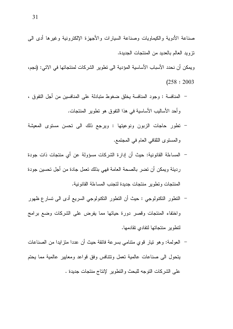$(258:2003)$ 

- المنافسة : وجود المنافسة يخلق ضغوط متبادلة على المنافسين من أجل التفوق ، وأحد الأساليب الأساسية في هذا النفوق هو نطوير المنتجات.
- نطور حاجات الزبون ونوعيتها : ويرجع ذلك الى نحسن مستوى المعيشة والمستوى النقافي العام في المجتمع.
- المساءلة القانونية: حيث أن إدارة الشركات مسؤولة عن أي منتجات ذات جودة رِ دِيئَةٍ و يمكن أن تضر بِالصحة العامة فهي بذلك تعمل جادة من أجل تحسين جو دة المنتجات وتطوير منتجات جديدة لتجنب المساءلة القانونية.
- النطور النكنولوجي : حيث أن النطور النكنولوجي السريع أدى الى نسار ع ظهور واختفاء المنتجات وقصر دورة حياتها مما يفرض على الشركات وضع برامج لنطوير منتجاتها لنفادى نقادمها.
- العولمة: وهو نيار قوي منتامي بسرعة فائقة حيث أن عددا منزايدا من الصناعات يتحول الى صناعات عالمية تعمل وتتنافس وفق قواعد ومعايير عالمية مما يحتم على الشركات النوجه للبحث والنطوير لإنتاج منتجات جديدة .

 $\ddot{\bullet}$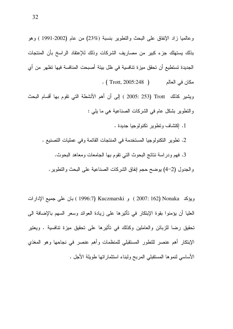وعالميا زاد الإنفاق على البحث والنطوير بنسبة (23%) من عام (2002-1991 ) وهو بذلك يستهلك جزء كبير من مصاريف الشركات وذلك للإعتقاد الراسخ بأن المنتجات الجديدة تستطيع أن تحقق ميزة تتافسية في ظل بيئة أصبحت المنافسة فيها تظهر من أي  $\cdot$  (Trott, 2005:248) مكان في العالم

ويشير كذلك Trott (253 :2005 ) إلى أن أهم الأنشطة التي نقوم بها أقسام البحث والنطوير بشكل عام في الشركات الصناعية هي ما يلي :

- 1. إكتشاف وتطوير تكنولوجيا جديدة .
- 2. نطوير النكنولوجيا المستخدمة في المنتجات القائمة وفي عمليات التصنيع . 3. فهم ودراسة نتائج البحوث التي نقوم بها الجامعات ومعاهد البحوث. و الجدول (2–4) يو ضح حجم إنفاق الشركات الصناعية على البحث و التطوير .

ويؤكد Nonaka (2007: 162 ) و Kuczmarski (1996:7 ) بان على جميع الإدارات العليا أن يؤمنوا بقوة الإبتكار في تأثيرها على زيادة العوائد وسعر السهم بالإضافة الى تحقيق رضا للزبائن والعاملين وكذلك في تأثيرها على تحقيق ميزة تنافسية . ويعتير الإبتكار أهم عنصر للتطور المستقبلي للمنظمات وأهم عنصر في نجاحها وهو المغذي الأساسي لنموها المستقبلي المربح ولبناء استثماراتها طويلة الأجل .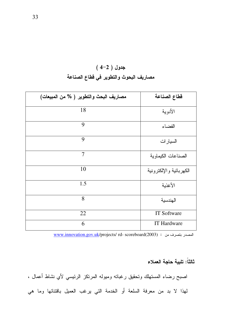| $(4-2)$ جدول                           |  |
|----------------------------------------|--|
| مصاريف البحوث والتطوير في قطاع الصناعة |  |

| مصاريف البحث والتطوير ( % من المبيعات) | قطاع الصناعة            |
|----------------------------------------|-------------------------|
| 18                                     | الأدوية                 |
| 9                                      | الفضاء                  |
| 9                                      | السيارات                |
| 7                                      | الصناعات الكيماوية      |
| 10                                     | الكهربائية والإلكترونية |
| 1.5                                    | الأغذية                 |
| 8                                      | الهندسية                |
| 22                                     | <b>IT Software</b>      |
| 6                                      | <b>IT Hardware</b>      |

<u>www.innovation.gov.uk</u>/projects/ rd- scoreboard(2003) : المصدر بتصرف من .

ثالثاً: تلبية حاجة العملاء

اصبح رضاء المستهلك وتحقيق رغباته ومبوله المرتكز الرئيسي لأي نشاط أعمال ، لمهذا لا بد من معرفة السلعة أو الخدمة التي يرغب العميل باقتنائها وما هي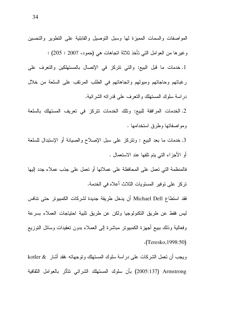المواصفات والسمات المميزة لمها وسبل النوصيل والقابلية على النطوير والنحسين وغيرها من العوامل النبي تأخذ ثلاثة اتجاهات هي (حمود، 2007 : 205) : 1. خدمات ما قبل البيع: والتي نتركز في الإتصال بالمستهلكين والتعرف على رغباتهم وحاجاتهم ومبولهم وانجاهاتهم في الطلب المرنقب على السلعة من خلال

دراسة سلوك المستهلك والنعرف على قدرانه الشرائية.

2. الخدمات المرافقة للبيع: ونلك الخدمات نتركز في نعريف المستهلك بالسلعة ومو اصفاتها وطرق استخدامها .

3. خدمات ما بعد البيع : ونتركز على سبل الإصلاح والصيانة أو الإستبدال للسلعة أو الأجزاء التي يتم تلفها عند الاستعمال .

فالمنظمة التي تعمل على المحافظة على عملائها أو تعمل على جذب عملاء جدد إليها تركز على توفير المستويات الثلاث أعلاه في الخدمة.

فقد استطاع Michael Dell أن يدخل طريقة جديدة لشركات الكمبيوتر حتى تنافس ليس فقط عن طريق التكنولوجيا ولكن عن طريق نلبية احتياجات العملاء بسرعة وفعالية وذلك ببيع أجهزة الكمبيونر مباشرة إلى العملاء بدون نعقيدات وسائل النوزيع  $\cdot$ (Teresko, 1998:50)

ويجب أن نعمل الشركات على در اسة سلوك المستهلك ونوجهانه ،فقد أشار & kotler Armstrong (2005:137) بأن سلوك المستهلك الشرائي نتأثر بالعوامل الثقافية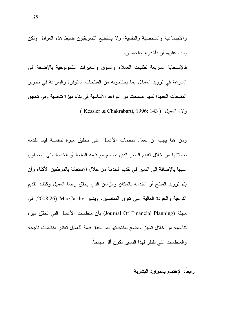والاجتماعية والشخصية والنفسية، ولا يستطيع التسويقيون ضبط هذه العوامل ولكن يجب عليهم أن يأخذو ها بالحسبان.

فالإستجابة السريعة لطلبات العملاء والسوق والتغيرات النكنولوجية بالإضافة البي السرعة في نزويد العملاء بما يحتاجونه من المنتجات المتوفرة والسرعة في تطوير المنتجات الجديدة كلها أصبحت من القواعد الأساسية في بناء ميزة تنافسية وفي تحقيق . ولاء العميل ( Kessler & Chakrabarti, 1996: 143 ).

ومن هنا يجب أن تعمل منظمات الأعمال على تحقيق ميزة تنافسية فيما تقدمه لعملائها من خلال نقديم السعر الذي ينسجم مع قيمة السلعة أو الخدمة التي يحصلون عليها بالإضافة الى التميز في تقديم الخدمة من خلال الإستعانة بالموظفين الأكفاء و أن يتم نزويد المنتج أو الخدمة بالمكان والزمان الذي يحقق رضا العميل وكذلك نقديم النوعية والجودة العالية التي تفوق المنافسين. ويشير MacCarthy (2008:26) في مجلة (Journal Of Financial Planning) بأن منظمات الأعمال التي تحقق ميزة تنافسية من خلال تمايز واضح لمنتجاتها بما يحقق قيمة للعميل تعتبر منظمات ناجحة والمنظمات التبي تفتقر لمهذا التمايز نكون أقل نجاحاً.

### رابعا: الإهتمام بالموارد البشرية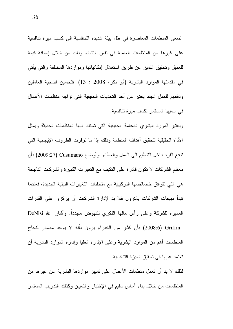تسعى المنظمات المعاصرة في ظل بيئة شديدة النتافسية الى كسب ميزة تنافسية على غيرها من المنظمات العاملة في نفس النشاط وذلك من خلال إضافة قيمة للعميل وتحقيق النميز عن طريق استغلال إمكانياتها ومواردها المختلفة والتبي يأتبي في مقدمتها الموارد البشرية (أبو بكر، 2008 : 13). فتحسين انتاجية العاملين ودفعهم للعمل الجاد يعتبر من أحد التحديات الحقيقية التي تواجه منظمات الأعمال في سعيها المستمر لكسب ميزة تنافسية.

ويعتبر المورد البشرى الدعامة الحقيقية التى نستند البها المنظمات الحديثة ويمثل الأداة الحقيقية لتحقيق أهداف المنظمة وذلك إذا ما نوفرت الظروف الإيجابية التبي ندفع الفرد داخل النتظيم البي العمل والعطاء .وأوضح Cusumano (2009:27) بأن معظم الشركات لا نكون قادرة على النكيف مع النغيرات الكبيرة والشركات الناجحة هي التي تتوافق خصائصها التركيبية مع متطلبات التغييرات البيئية الجديدة، فعندما تبدأ مبيعات الشركات بالنزول فلا بد لإدارة الشركات أن يركزوا على القدرات المميزة للشركة وعلى رأس مالها الفكري للنهوض مجددًا. وأشار & DeNisi Criffin (2008:6) بأن كثير من الخبراء يرون بأنه لا يوجد مصدر لنجاح المنظمات أهم من الموارد البشرية وعلى الإدارة العليا وإدارة الموارد البشرية أن تعتمد عليها في تحقيق الميزة النتافسية.

لذلك لا بد أن تعمل منظمات الأعمال على تمييز مواردها البشرية عن غيرها من المنظمات من خلال بناء أساس سليم في الإختيار والتعيين وكذلك التدريب المستمر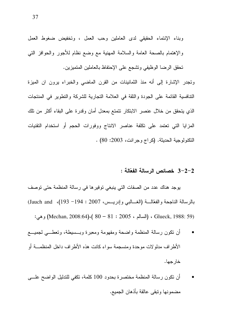وبناء الإنتماء الحقيقى لدى العاملين وحب العمل ، وتخفيض ضغوط العمل والإهتمام بالصحة العامة والسلامة المهنية مع وضع نظام للأجور والحوافز التي تحقق الرضا الوظيفي وتشجع على الإحتفاظ بالعاملين المتميزين.

وتجدر الإشارة إلى أنه منذ الثمانينات من القرن الماضي والخبراء يرون ان الميزة النتافسية القائمة على الجودة والثقة في العلامة التجارية للشركة والتطوير في المنتجات الذي يتحقق من خلال عنصر الابتكار نتمتع بمعدل أمان وقدرة على البقاء أكثر من نلك المزايا التي تعتمد على تكلفة عناصر الانتاج ووفورات الحجم أو استخدام التقنيات النكنولوجية الحديثة. (كراج وجرانت، 2003: 80) .

### خصائص الرسالة الفعّالة :  $3-2-2$

يوجد هناك عدد من الصفات التي ينبغي توفير ها في رسالة المنظمة حتى توصف بالرسالة الناجحة والفعّالـــة (الغـــالبي وإدريــس، 2007 : 194- 193)، Jauch and) (Glueck, 1988: 59) (اللسالم ، 2005 : 81 – 80)،(80 - 81) (Mechan, 2008:64) وهي:

- أن نكون رسالة المنظمة واضحة ومفهومة ومعبرة وبـــسيطة، وتعطـــي لجميــــع الأطراف مدلولات موحدة ومنسجمة سواء كانت هذه الأطراف داخل المنظمـــة أو خارجها.
- أن تكون رسالة المنظمة مختصرة بحدود 100 كلمة، تكفي للتدليل الواضح علـــي مضمونها ونبقى عالقة بأذهان الجميع.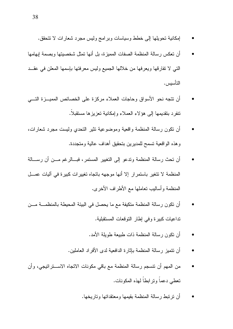- إمكانية نحويلها إلى خطط وسياسات وبرامج وليس مجرد شعارات لا نتحقق.
- أن تعكس رسالة المنظمة الصفات المميزة، بل أنها تمثّل شخصيتها وبصمة إبهامها التبي لا تفارقها ويعرفها من خلالها الجميع وليس معرفتها بإسمها المعلن في عقــد التأسيس.
- أن نتجه نحو الأسواق وحاجات العملاء مركزة على الخصائص المميـــزة التــــى نتفرد بتقديمها إلىى هؤلاء العملاء وإمكانية نعزيزها مستقبلا.
- أن نكون رسالة المنظمة واقعية وموضوعية نثير النحدي وليست مجرد شعارات، وهذه الواقعية تسمح للمديرين بتحقيق أهداف عالية ومتجددة.
- أن نَحث رسالة المنظمة وندعو إلىي النغيير المستمر، فبـــالرغم مـــن أن رســـالـة المنظمة لا تتغير باستمرار إلا أنها موجهه باتجاه تغييرات كبيرة في آليات عصــل المنظمة وأساليب تعاملها مع الأطراف الأخرى.
- أن تكون رسالة المنظمة متكيفة مع ما يحصل في البيئة المحيطة بالمنظمـــة مـــن نداعيات كبيرة وفي إطار النوقعات المستقبلية.
	- أن تكون رسالة المنظمة ذات طبيعة طويلة الأمد.
	- أن نتميز رسالة المنظمة بإثار ة الدافعية لدى الأفر اد العاملين.
- من المهم أن نتسجم رسالة المنظمة مع باقي مكونات الانجاه الاســـنراننيجي، وأن تعطي دعماً وتر ابطاً لـهذه المكونات.
	- أن ترتبط رسالة المنظمة بقيمها ومعتقداتها وتاريخها.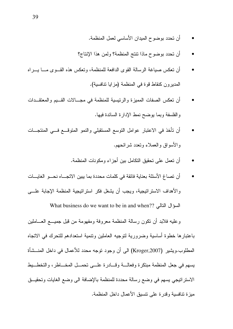- أن تحدد بوضوح الميدان الأساسي لعمل المنظمة.
- أن تحدد بوضوح ماذا نتنج المنظمة؟ ولمن هذا الإنتاج؟
- أن نعكس صباغة الرسالة القوى الدافعة للمنظمة، ونعكس هذه القـــوى مــــا بــــراه المديرون كنقاط قوة في المنظمة (مزايا تنافسية).
- أن نعكس الصفات المميزة والرئيسية للمنظمة في مجـــالات القـــيم والمعتقـــدات والفلسفة وبما يوضح نمط الإدارة السائدة فيها.
- أن نأخذ في الاعتبار عوامل التوسع المستقبلي والنمو المتوقــع فــي المنتجـــات و الأسواق و العملاء وتعدد شر ائحهم.
	- أن تعمل على تحقيق التكامل بين أجزاء ومكونات المنظمة.
- أن تصاغ الأسئلة بعناية فائقة في كلمات محددة بما يبين الاتجـــاه نحـــو الغايـــات و الأهداف الاستر اتبجية، ويجب أن بشغل فكر استر اتبجية المنظمة الإجابة علــــى

What business do we want to be in and when?? السؤال النالي

وعليه فلابد أن نكون رسالة المنظمة معروفة ومفهومة من قبل جميـــع العــــاملين باعتبارها خطوة أساسية وضرورية لتوجيه العاملين ونتمية استعدادهم للتحرك في الاتجاه المطلوب.ويشير (Kroger,2007) الى أن وجود نوجه محدد للأعمال في داخل المنسشأة يسهم في جعل المنظمة مبتكرة وفعالـــة وقـــادرة علــــي تحمـــل المخـــاطر، والتخطـــيط الاستراتيجي يسهم في وضع رسالة محددة للمنظمة بالإضافة الى وضع الغايات وتحقيــق ميز ة تنافسية وقدرة على تنسيق الأعمال داخل المنظمة.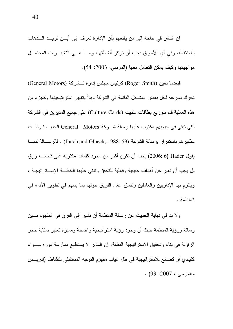إن الناس في حاجة إلى من يقنعهم بأن الإدارة تعرف إلى أيــن تريــد الـــذهاب بالمنظمة، وفي أي الأسواق يجب أن تركز أنشطتها، ومـــا هـــي التغييـــرات المحتمـــل مو اجهتها وكيف يمكن التعامل معها (المرسى، 2003: 54).

فبعدما نعين (Roger Smith) كرئيس مجلس إدارة لــشركة (General Motors) تحرك بسرعة لحل بعض المشاكل القائمة في الشركة وبدأ بتغيير استر اتيجيتها وكجزء من هذه العملية قام بتوزيع بطاقات سُميت (Culture Cards) على جميع المديرين في الشركة لكي تبقى في جيوبهم مكتوب عليها رسالة شـــركة General Motors الجديـــدة وذلـــك لتذكير هم باستمرار برسالة الشركة (Jauch and Glueck, 1988: 59) . فالرســالة كمـــا يقول Hader (2006: 6) يجب أن نكون أكثر من مجرد كلمات مكتوبة على قطعـــة ورق بل يجب أن تعبر عن أهداف حقيقية وقابلية للنحقق وتبنى عليها الخطـــة الإســـتراتيجية ، ويلتزم بها الإداريين والعاملين وتتسق عمل الفريق حولها بما يسهم في نطوير الأداء في المنظمة .

و لا بد في نهاية الحديث عن رسالة المنظمة أن نشير إلى الفرق في المفهوم بـــين ر سالة ورؤية المنظمة حيث أن وجود رؤية استر اتيجية واضحة ومميزة تعتبر بمثابة حجر الزاوية في بناء وتحقيق الاستراتيجية الفعّالة. إن المدير لا يستطيع ممارسة دوره سـواء كقيادي أو كصانع للاستراتيجية في ظل غياب مفهوم التوجه المستقبلي للنشاط. (إدريس  $(93:2007:$ والمرسى ، 2007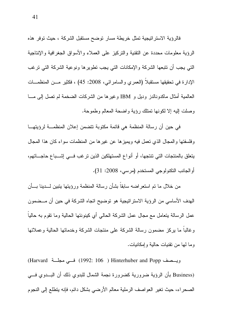فالرؤية الاستراتيجية تمثل خريطة مسار توضح مستقبل الشركة ، حيث توفر هذه الرؤية معلومات محددة عن النقنية والنركيز على العملاء والأسواق الجغرافية والإنتاجية التي يجب أن تتبعها الشركة والإمكانات التي يجب تطويرها ونوعية الشركة التي ترغب الإدارة في تحقيقها مستقبلاً (العمري والسامرائي، 2008: 45) ، فكثير مـــن المنظمـــات العالمية أمثال ماكدونالدز وديل و IBM وغيرها من الشركات الضخمة لم تصل إلى مـــا وصلت إليه إلا لكونها تمتلك رؤية واضحة المعالم وطموحة.

في حين أن رسالة المنظمة هي قائمة مكتوبة تتضمن إعلان المنظمــة لرؤيتهــا وفلسفتها والمجال الذي نعمل فيه ويميزها عن غيرها من المنظمات سواء كان هذا المجال يتعلق بالمنتجات التي تتتجها، أو أنواع المستهلكين الذين ترغب فسي إشــباع حاجــاتهم، أوالجانب النكنولوجي المستخدم (مرسى، 2008: 31).

من خلال ما تم استعراضه سابقاً بشأن رسالة المنظمة ورؤيتها بنبين لـــدينا بـــأن الهدف الأساسي من الرؤية الاستراتيجية هو توضيح اتجاه الشركة في حين أن مــضمون عمل الرسالة يتعامل مع مجال عمل الشركة الحالي أي كينونتها الحالية وما نقوم به حاليا وغالباً ما يركز مضمون رسالة الشركة على منتجات الشركة وخدماتها الحالية وعملائها و ما لها من تقنيات حالية و إمكانيات.

ويسصف Hinterhuber and Popp (1992: 106) فسي مجلسة (Harvard) (Business بأن الرؤية ضرورية كضرورة نجمة الشمال للبدوي ذلك أن البـــدوي فـــي الصحراء، حيث نغير العواصف الرملية معالم الأرضبي بشكل دائم، فإنه يتطلع إلى النجوم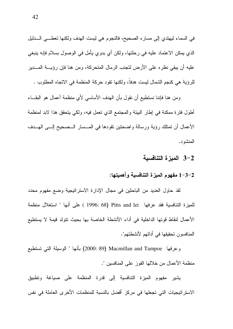في السماء ليهتدي إلى مساره الصحيح، فالنجوم هي ليست الهدف ولكنها نعطـــي الــــدليل الذي يمكن الاعتماد عليه في رحلتها، ولكن أي بدوي يأمل في الوصول بسلام فإنه ينبغي عليه أن يبقى نظر ، على الأرض لتجنب الرمال المتحركة، ومن هنا فإن رؤيسة المسدير للرؤية هي كنجم الشمال ليست هدفًا، ولكنها نقود حركة المنظمة في الاتجاه المطلوب .

ومن هنا فإننا نستطيع أن نقول بأن الهدف الأساسي لأي منظمة أعمال هو البقــاء أُطُولُ فَتَرَةٌ مُمَكِّنَةٌ في إِطْارِ الْبَيِئَةِ والْمُجْتَمَعِ الَّذِي تَعْمَلُ فَيْهِ، وَلَكِي يتحقق هذا لابد لمنظمة الأعمال أن تمتلك رؤية ورسالة واضحتين تقودها في المسسار السصحيح إلسي الهسدف المنشو د.

3–2 الميزة التنافسية

### 1-3-2 مفهوم الميزة التنافسية وأهميتها:

لقد حاول العديد من الباحثين في مجال الإدارة الاستراتيجية وضع مفهوم محدد للميزة التنافسية فقد عرفها Pitts and lei (1996: 68 ) على أنها " استغلال منظمة الأعمال لنقاط قوتها الداخلية في أداء الأنشطة الخاصة بها بحيث تتولد قيمة لا يستطيع المنافسون تحقيقها في أدائهم لأنشطتهم".

وعرفها Macmillan and Tampoe (2000: 89) بأنها " الوسيلة التي تستطيع منظمة الأعمال من خلالها الفوز على المنافسين ".

يشير مفهوم الميزة التنافسية إلى قدرة المنظمة على صياغة وتطبيق الاستر اتيجيات التي تجعلها في مركز أفضل بالنسبة للمنظمات الأخر ي العاملة في نفس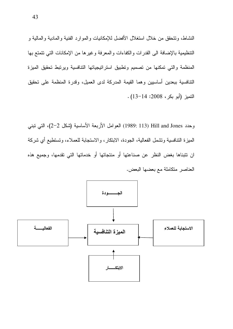النشاط، ونتحقق من خلال استغلال الأفضل للإمكانيات والموارد الفنية والمادية والمالية و التنظيمية بالإضافة البي القدرات والكفاءات والمعرفة وغيرها من الإمكانات التبي تتمتع بها المنظمة والتى تمكنها من تصميم وتطبيق استراتيجياتها التنافسية ويرتبط تحقيق الميزة التنافسية ببعدين أساسيين وهما القيمة المدركة لدى العميل، وقدرة المنظمة على تحقيق التميز (أبو بكر ، 2008: 14-13) .

وحدد Hill and Jones (113 (1989: 113) العوامل الأربعة الأساسية (شكل 2–2)، التي تبني المبزة النتافسية ونشمل الفعالية، الجودة، الابتكار ، والاستجابة للعملاء، ونستطيع أي شركة ان نتبناها بغض النظر عن صناعتها أو منتجاتها أو خدماتها التي نقدمها، وجميع هذه العناصر متكاملة مع بعضها البعض.

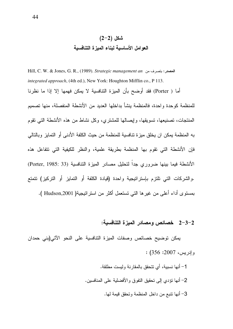### $(2-2)$  شكل العوامل الأساسبة لبناء المبز ة التنافسبة

Hill, C. W. & Jones, G. R., (1989). Strategic management an المصدر: بتصرف من integrated approach, (4th ed.), New York: Houghton Mifflin co., P 113. أما ( Porter) فقد أوضح بأن الميزة التنافسية لا يمكن فهمها إلا إذا ما نظرنا للمنظمة كوحدة واحدة، فالمنظمة ينشأ بداخلها العديد من الأنشطة المنفصلة، منها تصميم المنتجات، تصنيعها، تسويقها، وإيصالها للمشتري، وكل نشاط من هذه الأنشطة التي تقوم به المنظمة بمكن ان يخلق ميزة نتافسية للمنظمة من حيث الكلفة الأدنى أو التمايز وبالتالي فإن الأنشطة التي نقوم بها المنظمة بطريقة علمية، والنظر للكيفية التي نتفاعل هذه الأنشطة فيما بينها ضروري جداً لتحليل مصادر المبزة التنافسية (Porter, 1985: 33) .والشركات التـى نلتزم بـإستراتيجية واحدة (قيادة الكلفة أو التمايز أو التركيز) تتمتع بمستوى أداء أعلى من غيرها التي تستعمل أكثر من استراتيجية( Hudson,2001 ).

#### 2-3-2 خصائص ومصادر المبزة التنافسية:

يمكن توضيح خصائص وصفات الميزة التنافسية على النحو الآتى(بنى حمدان  $(356:2007:$ و إدريس، 2007

> 1– أنها نسببة، أي نتحقق بالمقار نة ولبست مطلقة. 2– أنها نؤدي إلى نحقيق النفوق والأفضلية على المنافسين. 3– أنها نتبع من داخل المنظمة و تحقق قبمة لمها.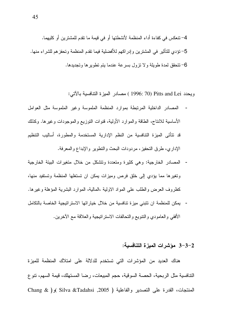4– نتعكس في كفاءة أداء المنظمة لأنشطتها أو في قيمة ما نقدم للمشترين أو كليهما. 5– تؤدي للتأثير في المشترين وإدراكهم للأفضلية فيما تقدم المنظمة وتحفزهم للشراء منها. 6–تتحقق لمدة طويلة ولا نزول بسرعة عندما يتم تطويرها وتجديدها.

ويحدد Pitts and Lei (1996: 70 ) مصادر المبزة النتافسية بالآتي:

- المصادر الداخلية المرتبطة بموارد المنظمة الملموسة وغير الملموسة مثل العوامل الأساسية للانتاج، الطاقة والموارد الأولية، قنوات النوزيع والموجودات وغيرها. وكذلك قد نتأتى المبزة التنافسية من النظم الإدارية المستخدمة والمطورة، أساليب التنظيم الإداري، طرق التحفيز ، مردودات البحث والتطوير والإبداع والمعرفة.
- المصادر الخارجية: وهي كثيرة ومتعددة ونتشكل من خلال متغيرات الببيئة الخارجية ونغير ها مما يؤدي إلى خلق فرص وميزات يمكن ان تستغلها المنظمة وتستفيد منها، كظروف العرض والطلب على المواد الاولية ،المالية، الموارد البشرية المؤهلة وغيرها.
- يمكن للمنظمة ان نتبنى ميز ة نتافسية من خلال خيار اتها الاستر اتيجية الخاصة بالتكامل الأفقى والعامودي والنتويع والنحالفات الاسترانيجية والعلاقة مع الأخرين.

#### 2–3–3 مؤشِّرات المبز ة التنافسبة:

هناك العديد من المؤشرات التي تستخدم للدلالة على امتلاك المنظمة للميزة النتافسية مثل الربحية، الحصة السوقية، حجم المبيعات، رضا المستهلك، قيمة السهم، نتوع المنتجات، القدرة على التصدير والفاعلية ( Silva &Tadahsi ,2005 )و ( Chang &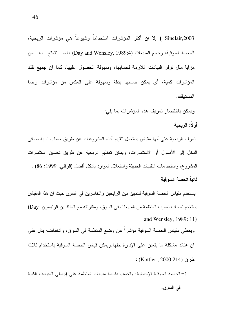Sinclair,2003 ) إلا ان أكثر المؤشرات استخداماً وشيوعاً هي مؤشرات الربحية، الحصبة السوقية، وحجم المبيعات (Day and Wensley, 1989:4) ، لما نتمتع به من مزايا مثل نوفر البيانات اللازمة لحسابها، وسهولة الحصول عليها، كما ان جميع نلك المؤشرات كمية، أي يمكن حسابها بدقة وسهولة على العكس من مؤشرات رضا المستهلك.

ويمكن باختصار تعريف هذه المؤشرات بما يلي:

أو لا: الريحية

تعرف الربحية على أنها مقياس يستعمل لنقييم أداء المشروعات عن طريق حساب نسبة صافى الدخل إلى الأصول أو الاستثمارات، ويمكن تعظيم الربحية عن طريق تحسين استثمارات المشروع، واستخدامات النقنيات الحديثة واستغلال الموارد بشكل أفضل (الوقفي، 1999: 86) . ثانيا:الحصة السوقية

يستخدم مقياس الحصـة السوقية للتمييز بين الرابحين والخاسرين في السوق حيث ان هذا المقياس يستخدم لحساب نصيب المنظمة من المبيعات في السوق، ومقارنته مع المنافسين الرئيسيين Day) and Wensley, 1989: 11)

ويعطي مقياس الحصة السوقية مؤشرا عن وضع المنظمة في السوق، وانخفاضه يدل على ان هناك مشكلة ما يتعين على الإدارة حلها.ويمكن قياس الحصة السوقية باستخدام ثلاث طرق (Kottler , 2000:214) :

1– الحصـة السوقية الإجمالية: وتحسب بقسمة مبيعات المنظمة على إجمالي المبيعات الكلية في السوق.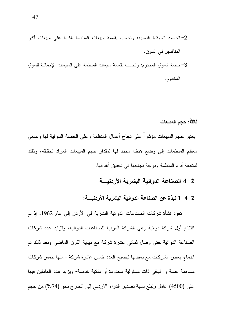- 2– الحصـة السوقية النسبية: وتحسب بقسمة مببعات المنظمة الكلبة على مببعات أكبر المنافسين في السوق.
- 3–حصة السوق المخدوم: وتحسب بقسمة مبيعات المنظمة على المبيعات الإجمالية للسوق المخدوم.

### ثالثاً: حجم المبيعات

يعتبر حجم المبيعات مؤشراً على نجاح أعمال المنظمة وعلى الحصة السوقية لمها وتسعى معظم المنظمات إلى وضع هدف محدد لمها لمقدار حجم المبيعات المراد تحقيقه، وذلك لمنابعة أداء المنظمة ودرجة نجاحها في تحقيق أهدافها.

### 2–4 الصناعة الدوائية البشرية الأردنيسة

### 1-4-2 نبذة عن الصناعة الدوائية البشرية الأردنيـــة:

تعود نشأة شركات الصناعات الدوائية البشرية في الأردن إلى عام 1962، إذ تم افتتاح أول شركة دوائية وهي الشركة العربية للصناعات الدوائية، ونزايد عدد شركات الصناعة الدوائية حتى وصل ثماني عشرة شركة مع نهاية القرن الماضي وبعد ذلك تم اندماج بعض الشركات مع بعضها ليصبح العدد خمس عشرة شركة - منها خمس شركات مساهمة عامة و الباقي ذات مسئولية محدودة أو ملكية خاصة- ويزيد عدد العاملين فيها على (4500) عامل وتبلغ نسبة تصدير الدواء الأردني إلى الخارج نحو (74%) من حجم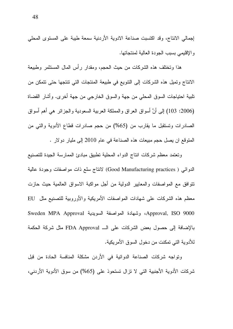إجمالي الانتاج، وقد اكتسبت صناعة الادوية الأردنية سمعة طيبة على المستوى المحلي و الإقليمي بسبب الجودة العالية لمنتجاتها.

هذا ونختلف هذه الشركات من حيث الحجم، ومقدار رأس المال المستثمر وطبيعة الانتاج وتميل هذه الشركات إلى التنويع في طبيعة المنتجات التي تتتجها حتى نتمكن من تلبية احتياجات السوق المحلي من جهة والسوق الخارجي من جهة أخرى. وأشار القضاة (2006: 103) إلى أنَّ أسواق العراق والمملكة العربية السعودية والـجزائر هي أهم أسواق الصادرات وتستقبل ما يقارب من (65%) من حجم صادرات قطاع الأدوية والتي من المنوفع ان يصل حجم مبيعات هذه الصناعة في عام 2010 إلى مليار دولار .

ونعتمد معظم شركات انتاج الدواء المحلية نطبيق مبادئ الممارسة الجيدة للتصنيع الدوائي ( Good Manufacturing practices) لانتاج سلع ذات مواصفات وجودة عالية نتوافق مع المواصفات والمعايير الدولية من أجل مواكبة الاسواق العالمية حيث حازت معظم هذه الشركات على شهادات المواصفات الأمريكية والأوروبية للتصنيع مثل EU Approval, ISO 9000، وشهادة المواصفة السويدية Sweden MPA Approval بالإضافة إلى حصول بعض الشركات على الــ FDA Approval مثل شركة الحكمة للأدوية التي تمكنت من دخول السوق الأمر يكية.

وتواجه شركات الصناعة الدوائية في الأردن مشكلة المنافسة الحادة من قبل شركات الأدوية الأجنبية التي لا تزال تستحوذ على (65%) من سوق الأدوية الأردني،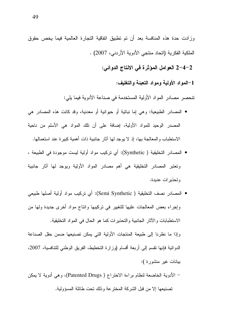2–4–2 العوامل المؤثرة في الانتاج الدوائي:

1–المواد الأولية ومواد التعبئة والتغليف:

تتحصر مصادر المواد الأولية المستخدمة في صناعة الأدوية فيما يلي:

- المصادر الطبيعية: وهي إما نباتية أو حيوانية أو معدنية، وقد كانت هذه المصادر هي المصدر الوحيد للمواد الأولية، إضافة على أن نلك المواد هي الأسلم من ناحية الاستطباب والمعالجة بها، إذ لا يوجد لها أثار جانبية ذات أهمية كبيرة عند استعمالها.
- المصادر التخليقية ( Synthetic): أي تركيب مواد أولية ليست موجودة في الطبيعة ، ونعتبر المصادر التخليقية هي أهم مصادر المواد الأولية ويوجد لها آثار جانبية وتحذير ات عديدة.
- المصادر نصف التخليقية ( Semi Synthetic): أي نركيب مواد أولية أصلها طبيعي وإجراء بعض المعالجات عليها للتغيير في نركيبها وانتاج مواد أخرى جديدة ولها من الاستطبابات والآثار الجانبية والتحذيرات كما هو الحال في المواد التخليقية.

وإذا ما نظرنا إلى طبيعة المنتجات الأولية التي يمكن تصنيعها ضمن حقل الصناعة الدوائية فإنها نقسم إلى أربعة أقسام (وزارة التخطيط، الفريق الوطني للتنافسية، 2007، بيانات غير منشورة ):

– الأدوية الخاضعة لنظام براءة الاختراع ( Patented Drugs)، وهي أدوية لا يمكن تصنيعها إلا من قبل الشركة المختر عة وذلك تحت طائلة المسؤولية.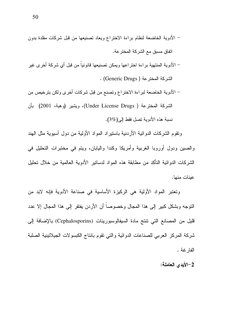- الأدوية الخاضعة لنظام براءة الاختراع ويعاد تصنيعها من قبل شركات مقلدة بدون اتفاق مسبق مع الشركة المخترعة. – الأدوية المنتهية براءة اختراعها ويمكن تصنيعها قانونياً من قبل أي شركة أخرى غير . (Generic Drugs ) الشركة المخترعة (
- الأدوية الخاضعة لبراءة الاختراع وتصنع من قِبل شركات أخرى ولكن بترخيص من الشركة المخترعة ( Under License Drugs)، ويشير (وهبة، 2001) بأن نسبة هذه الأدوية تصل فقط إلى(3%).

ونقوم الشركات الدوائية الأردنية باستيراد المواد الأولية من دول آسبوية مثل الهند والصين ودول أوروبا الغربية وأمريكا وكندا واليابان، ويتم في مختبرات التحليل في الشر كات الدو ائبة التأكد من مطابقة هذه المو اد لدساتير الأدوية العالمية من خلال تحليل عبنات منها.

وتعتبر المواد الأولية هي الركيزة الأساسية في صناعة الأدوية فإنه لابد من النَّوجه وبشكل كبير إلى هذا المجال وخصوصاً أن الأردن يفتقر إلى هذا المجال إلا عدد قليل من المصانع التي نتتج مادة السيفالوسبورينات (Cephalosporins) بالإضافة إلى شركة المركز العربي للصناعات الدوائية والتي نقوم بانتاج الكبسولات الجيلاتينية الصلبة الفارغة .

2-الأيدى العاملة: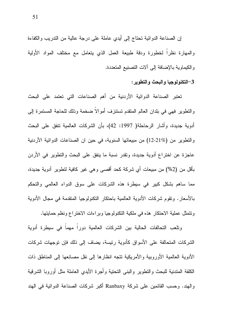إن الصناعة الدوائية نحتاج إلى أيدي عاملة على درجة عالية من التدريب والكفاءة والمهارة نظراً لخطورة ودقة طبيعة العمل الذي يتعامل مع مختلف المواد الأولية والكيماوية بالإضافة إلى ألات النصنيع المتعددة.

3–التكنولوجيا والبحث والتطوير:

تعتبر الصناعة الدوائية الأردنية من أهم الصناعات التي تعتمد على البحث والنطوير فهي في بلدان العالم المنقدم نستنزف أموالا ضخمة وذلك للحاجة المستمرة إلى أدوية جديدة، وأشار الرحاحلة( 1997: 42)، بأن الشركات العالمية نتفق على البحث والتطوير من (21%-12) من مبيعاتها السنوية، في حين ان الصناعات الدوائية الأردنية عاجزة عن اختراع أدوية جديدة، وتقدر نسبة ما ينفق على البحث والتطوير في الأردن بأقل من (2%) من مبيعات أي شركة كحد أقصىي وهي غير كافية لنطوير أدوية جديدة، مما ساهم بشكل كبير في سيطرة هذه الشركات على سوق الدواء العالمي والتحكم بالأسعار. ونقوم شركات الأدوية العالمية باحتكار النكنولوجيا المنقدمة في مجال الأدوية ونتمثَّل عملية الاحتكار هذه في ملكية التكنولوجيا وبراءات الاختراع ونظم حمايتها.

وتلعب التحالفات الحالية بين الشركات العالمية دورا مهما في سيطرة أدوية الشركات المتحالفة على الأسواق كأدوية رئيسة، يضاف إلى ذلك فإن توجهات شركات الأدوية العالمية الأوروبية والأمريكية نتجه انظارها إلى نقل مصانعها إلى المناطق ذات الكلفة المتدنية للبحث والنطوير والبنبي التحتية وأجرة الأيدى العاملة مثل أوروبا الشرقية والهند. وحسب القائمين على شركة Ranbaxy أكبر شركات الصناعة الدوائية في الهند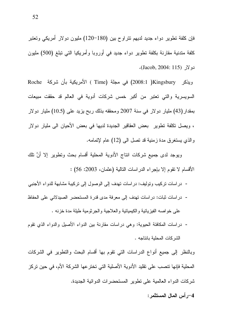فإن كلفة نطوير دواء جديد لديهم نتراوح بين (180–120) مليون دولار أمريكي وتعتبر كلفة متدنية مقارنة بكلفة تطوير دواء جديد في أوروبا وأمريكيا التي تبلغ (500) مليون  $\cdot$  (Jacob, 2004: 115)  $\lambda$ 

ويذكر Kingsbury( 2008:1) في مجلة (Time ) الأمريكية بأن شركة Roche السويسرية والتي تعتبر من أكبر خمس شركات أدوية في العالم قد حققت مبيعات بمقدار (43) مليار دولار في سنة 2007 ومحققه بذلك ربح يزيد على (10.5) مليار دولار ، ويصل نكلفة نطوير بعض العقاقير الجديدة لديها في بعض الأحيان الى مليار دو لار والذي يستغرق مدة زمنية قد تصل الى (12) عام لإتمامه.

ويوجد لدى جميع شركات انتاج الأدوية المحلية أقسام بحث ونطوير إلا أنَّ نلك الأقسام لا تقوم إلا باجر اء الدر اسات التالية (عثمان، 2003: 56) :

- دراسات نركيب ونوليف: دراسات نهدف إلى الوصول إلى نركيبة مشابهة للدواء الأجنبي - در اسات ثبات: در اسات تهدف إلى معرفة مدى قدرة المستحضر الصبدلاني على الحفاظ على خواصه الفيزيائية والكيميائية والعلاجية والجرثومية طيلة مدة خزنه .
- دراسات المكافئة الحيوية: وهي دراسات مقارنة بين الدواء الأصبل والدواء الذي تقوم الشركات المحلية بانتاجه .

وبالنظر إلى جميع أنواع الدراسات التي نقوم بها أقسام البحث والنطوير في الشركات المحلية فإنها تنصب على تقليد الأدوية الأصلية التي تختر عها الشركة الأم، في حين تركز شركات الدواء العالمية على نطوير المستحضر ات الدوائية الجديدة.

4–رأس المال المستثمر :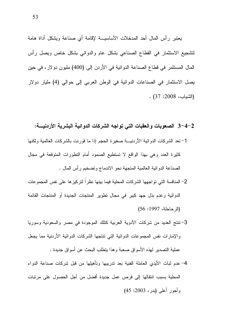يعتبر رأس المال أحد المدخلات الأساسيـــة لإقامة أي صناعة ويشكل أداة هامة لتشجيع الاستثمار في القطاع الصناعي بشكل عام والدوائبي بشكل خاص ويصل رأس المال المستثمر في قطاع الصناعة الدوائية في الأردن إلى (400) مليون دولار ، في حين يصل الاستثمار في الصناعات الدوائية في الوطن العربي إلى حوالي (4) مليار دولار  $(37:2008:$ الشياب،  $(37:2008)$ 

#### 2–4–3 الصعوبات والعقبات التي تواجه الشركات الدوائية البشرية الأردنيــــة:

- 1–نعد الشركات الدوائية الأردنيـــة صغيرة الحجم إذا ما فورنت بالشركات العالمية ولكنها كثيرة العدد وهي بهذا الواقع لا تستطيع الصمود أمام التطورات المتوقعة في مجال الصناعة الدوائية العالمية المتجهة نحو الاندماج وتضخيم رأس المال .
- 2– المنافسة التي تواجهها الشركات المحلية فيما بينها نظراً لتركيز ها على نفس المجموعات الدوائية وعدم بذل جهد كبير في مجال تطوير المنتجات الجديدة أو المنتجات القائمة (الرحاحلة، 1997: 56)
- 3–تتتج العديد من شركات الأدوية العربية كتلك الموجودة في مصر والسعودية وسوريا والإمارات نفس المجموعات الدوائية التي تتنجها الشركات الدوائية الأردنية مما يجعل عملية التصدير لهذه الأسواق صعبة وهذا يتطلب البحث عن أسواق جديدة .
- 4– عدم ثبات الأيدي العاملة الفنية بعد ندريبها وتأهيلها من قبل شركات صناعة الدواء المحلية بسبب انتقالها إلى فرص عمل جديدة أفضل من أجل الحصول على مربّبات وأجور أعلى (بدر، 2003: 45)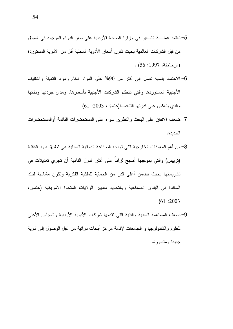- 5- تعتمد عمليـــــــــــ التسعير في وزارة الصحة الأردنية على سعر الدواء الموجود في السوق من قبل الشركات العالمية بحيث نكون أسعار الأدوية المحلية أقل من الأدوية المستوردة  $(56:1997:199)$ .
- 6–الاعتماد بنسبة نصل إلى أكثر من 90% على المواد الخام ومواد التعبئة والتغليف الأجنبية المسنوردة، والتي تتحكم الشركات الأجنبية بأسعار ها، ومدى جودتها ونقائها والذي ينعكس على قدرتها النتافسية(عثمان، 2003: 61)
- 7–ضعف الانفاق على البحث والنطوير سواء على المستحضرات القائمة أوالمستحضرات الجدبدة.
- 8–من أهم المعوفات الخارجية التي تواجه الصناعة الدوائية المحلية هي تطبيق بنود اتفاقية (تريبس) والتي بموجبها أصبح لزاماً على أكثر الدول النامية أن تجرى تعديلات في تشريعاتها بحيث تضمن أعلى قدر من الحماية للملكية الفكرية وتكون مشابهة لتلك السائدة في البلدان الصناعية وبالتحديد معايير الولايات المتحدة الأمريكية (عثمان،  $(61:2003)$
- 9–ضعف المساهمة المادية والفنية التي نقدمها شركات الأدوية الأردنية والمجلس الأعلى للعلوم و النكنو لو جبا و الجامعات لإقامة مر اكز أبحاث دو ائبة من أجل الو صو ل إلى أدو بة جدبدة ومتطورة.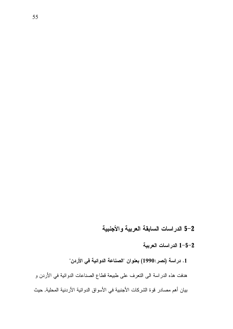### 5–5 الدراسات السابقة العربية والأجنبية

### 1-5-2 الدراسات العربية

1. دراسة (نصر:1990) بعنوان "الصناعة الدوائية في الأردن"

هدفت هذه الدراسة الى التعرف على طبيعة قطاع الصناعات الدوائية في الأردن و بيان أهم مصادر قوة الشركات الأجنبية في الأسواق الدوائية الأردنية المحلية, حيث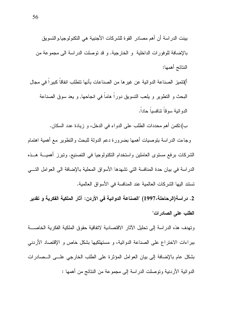بينت الدراسة أن أهم مصادر القوة للشركات الأجنبية هي التكنولوجيا,والتسويق بالإضافة للوفورات الداخلية و الخارجية. و قد نوصلت الدراسة الى مجموعة من النتائج أهمها:

أ)تتميز الصناعة الدوائية عن غيرها من الصناعات بأنها تتطلب انفاقاً كبيراً في مجال البحث و النطوير و يلعب التسويق دوراً هاماً في انجاحها, و يعد سوق الصناعة الدوائية سوقاً تنافسياً حاداً.

ب) تكمن أهم محددات الطلب على الدواء في الدخل، و زيادة عدد السكان.

وجاءت الدراسة بتوصيات أهمها بضرورة دعم الدولة للبحث والنطوير مع أهمية اهتمام الشركات برفع مستوى العاملين واستخدام التكنولوجيا في التصنيع. وتبرز أهميـــة هـــذه الدر اسة في بيان حدة المنافسة التي تشهدها الأسواق المحلية بالإضافة الى العوامل التـــي تستند اليها الشركات العالمية عند المنافسة في الأسواق العالمية.

2. دراسة(الرحاحلة،1997) "الصناعة الدوائية في الأردن: آثار الملكية الفكرية و تقدير الطلب على الصادرات"

وتهدف هذه الدراسة إلى تحليل الآثار الاقتصادية لاتفاقية حقوق الملكية الفكرية الخاصسة ببراءات الاختراع على الصناعة الدوائية، و مستهلكيها بشكل خاص و الإقتصاد الأردنبي بشكل عام بالإضافة إلى بيان العوامل المؤثرة على الطلب الخارجي علــي الــصادرات الدوائية الأردنية وتوصلت الدراسة إلى مجموعة من النتائج من أهمها :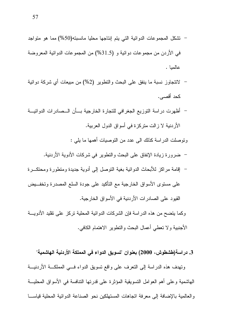- نشكل المجموعات الدوائية التي يتم إنتاجها محليا مانسبته(50%) مما هو متواجد في الأردن من مجموعات دوائية و (31.5%) من المجموعات الدوائية المعروضة عالمبا .
- لانتجاوز نسبة ما ينفق على البحث والنطوير (2%) من مبيعات أي شركة دوائية كحد أقصىي.
- أظهرت دراسة التوزيع الجغرافي للتجارة الخارجية بسأن السصادرات الدوائيسة الأر دنية لا ز الت متر كز ة في أسو اق الدول العر بية.

ونوصلت الدراسة كذلك الى عدد من النوصيات أهمها ما يلي :

- ضرورة زيادة الإنفاق على البحث والنطوير في شركات الأدوية الأردنية.
- إقامة مر اكز للأبحاث الدو ائبة بغبة النوصل إلى أدوبة جدبدة ومنطور ة ومحتكــر ة على مستوى الأسواق الخارجية مع التأكيد على جودة السلع المصدرة وتخفـــيض القيود على الصادرات الأردنية في الأسواق الخارجية.

وكما يتضح من هذه الدراسة فإن الشركات الدوائية المحلية نركز على نقليد الأدويسة الأجنبية ولا نعطي أعمال البحث والنطوير الاهتمام الكافي.

3. دراسة(طشطوش، 2000) بعنوان "تسويق الدواء في المملكة الأردنية الهاشمية"

وتهدف هذه الدراسة إلى النعرف على واقع نسويق الدواء فسى المملكـــة الأردنيـــة الهاشمية و على أهم العو امل النسويقية المؤثرة على قدرتها النتافسة في الأسواق المحليـــة والعالمية بالإضافة إلى معرفة اتجاهات المستهلكين نحو الصناعة الدوائية المحلية قياســـا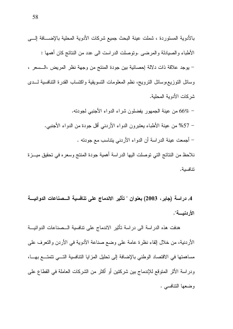– 66% من عينة الجمهور يفضلون شراء الدواء الأجنبي لجودته. – 57% من عبنة الأطباء بعتبر ون الدواء الأردنبي أقل جودة من الدواء الأجنبي. – أجمعت عينة الدراسة أن الدواء الأردني يتتاسب مع جودته . نلاحظ من النتائج التي توصلت اليها الدراسة أهمية جودة المنتج وسعره في تحقيق ميـــزة

تنافسية.

4. دراسة (جابر ، 2003) بعنوان " تأثير الاندماج على تنافسية الـــصناعات الدوائيـــة الأردنيسة".

هدفت هذه الدراسة الى دراسة تأثير الاندماج على نتافسية الــصناعات الدوائيـــة الأردنية، من خلال القاء نظرة عامة على وضع صناعة الأدوية في الأردن والتعرف على مساهمتها في الاقتصاد الوطني بالإضافة إلى تحليل المزايا التنافسية التسي نتمتـــع بهـــا، ودراسة الأثر المتوقع للإندماج بين شركتين أو أكثر من الشركات العاملة في القطاع على وضعها التنافسي .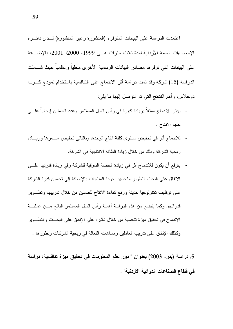اعتمدت الدراسة على البيانات المتوفرة (المنشورة وغير المنشورة) لــدى دائـــرة الإحصاءات العامة الأردنية لمدة ثلاث سنوات هـــ 1999، 2000، 2001، بالإضـــافة على البيانات التي توفرها مصادر البيانات الرسمية الأخرى محليا وعالميا حيث شـــملت الدراسة (15) شركة وقد تمت دراسة أثر الاندماج على التنافسية باستخدام نموذج كـــوب دوجلاس، وأهم النتائج التبي تم التوصل إليها ما يلبي:

- يؤثِّر الاندماج ممثلاً بزيادة كبيرة في رأس المال المستثمر وعدد العاملين لِيجابياً علـــي  $\overline{\phantom{a}}$ حجم الانتاج .
- للاندماج أثر في تخفيض مستوى كلفة انتاج الوحدة، وبالتالي تخفيض ســـعرها وزيــــادة ر بحبة الشركة وذلك من خلال زيادة الطاقة الانتاجية في الشركة.
- يتوقع أن يكون للاندماج أثر في زيادة الحصة السوقية للشركة وفي زيادة قدرتها علـــي الانفاق على البحث النطوير وتحسين جودة المنتجات بالإضافة إلى تحسين قدرة الشركة على نوظيف نكنولوجيا حديثة ورفع كفاءة الانتاج للعاملين من خلال ندريبهم ونطـــوير قدراتهم. وكما يتضح من هذه الدراسة أهمية رأس المال المستثمر الناتج مـــن عمليـــة الإندماج في تحقيق ميز ة تنافسية من خلال تأثير ه على الإنفاق على البحــث و التطـــو ير وكذلك الإنفاق على ندريب العاملين ومساهمته الفعالة في ربحية الشركات ونطورها .
- 5. دراسة (بدر ، 2003) بعنوان " دور نظم المعلومات في تحقيق ميزة تنافسية: دراسة في فطاع الصناعات الدوائية الأردنية" .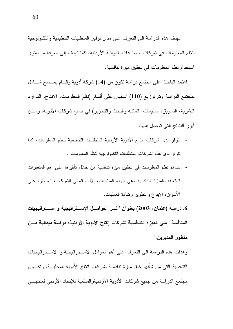تهدف هذه الدراسة الى التعرف على مدى نوفير المتطلبات التنظيمية والتكنولوجية لنظم المعلومات في شركات الصناعات الدوائية الأردنية، كما تهدف إلى معرفة مـــستو ي استخدام نظم المعلومات في تحقيق ميزة تنافسية.

اعتمد الباحث على مجتمع دراسة نكون من (14) شركة أدوية وقـــام بمـــسح شــــامل لمجتمع الدراسة وتم توزيع (110) استبيان على أقسام (نظم المعلومات، الانتاج، الموارد البشرية، النسويق، المبيعات، المالية والبحث والنطوير) في جميع شركات الأدوية، ومـــن أبرز النتائج التي توصل إليها:

- نتوفر لدى شركات انتاج الأدوية الأردنية المتطلبات التنظيمية لنظم المعلومات، كما نتوفر لدى هذه الشركات المتطلبات التكنولوجية لنظم المعلومات .
- نساهم نظم المعلومات في نحقيق ميزة نتافسية من خلال تأثيرها على أهم المتغيرات المتعلقة بالمبزة التنافسية وهي جودة المنتجات، الأداء المالي للشركات، السبطرة على الأسواق، الإبداع والتطوير وكفاءة العمليات.

6. دراسة (عثمان، 2003) بعنوان "أشــر الـعوامـــل الإســـتراتيجية و اســـتراتيجيات المنافسة على الميزة التنافسية لشركات إنتاج الأدوية الأردنية: دراسة ميدانية مسن منظور المدبرين."

وهدفت هذه الدراسة البي النعرف على أهم العوامل الاســـنراننيجية و الاســـنراننيجيات التنافسية التي من شأنها خلق ميزة تنافسية لشركات انتاج الأدوية المحليـــة. وتكـــون مجتمع الدر اسة من جميع شركات الأدوية الأردنيةو المنتمية للإتحاد الأردني لمنتجـــي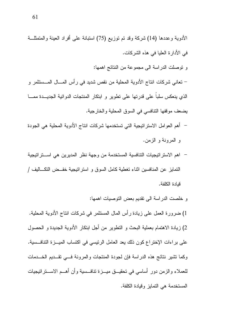و نوصلت الدراسة الى مجموعة من النتائج اهمها:

– تعاني شركات انتاج الأدوية المحلية من نقص شديد في رأس المسال المـــستثمر و الذي ينعكس سلباً على قدرتها على نطوير و ابتكار المنتجات الدوائية الجديـــدة ممـــا يضعف موقفها النتافسي في السوق المحلية والخارجية.

- أهم العوامل الاستر اتيجية التي تستخدمها شركات انتاج الأدوية المحلية هي الجودة و المرونة و الزمن.
- اهم الاستر اتيجيات التنافسية المستخدمة من وجهة نظر المديرين هي اســـتر اتيجية التمايز عن المنافسين اثناء تغطية كامل السوق و استراتيجية خفــض التكــاليف / قبادة الكلفة.
	- و خلصت الدراسة الى نقديم بعض التوصيات اهمها:

1) ضرورة العمل على زيادة رأس المال المستثمر في شركات انتاج الأدوية المحلية. 2) زيادة الاهتمام بعملية البحث و النطوير من أجل ابنكار الأدوية الجديدة و الحصول على براءات الإختراع كون ذلك يعد العامل الرئيسي في اكتساب الميـــزة التنافـــسية. وكما نشير نتائج هذه الدراسة فإن لجودة المنتجات والمرونة فسى نقسديم الخسدمات للعملاء والزمن دور أساسي في تحقيـــق ميــــزة نتـافـــسية وأن أهـــم الاســــتراتيجيات المستخدمة هي التمايز وقيادة الكلفة.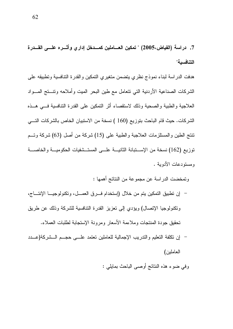7. در اسة (الفياض،2005) " تمكين العـــاملين كمـــدخل إدار ي وأشـــر ه علــــى القـــدر ة التنافسية"

هدفت الدراسة لبناء نموذج نظري يتضمن متغيري التمكين والقدرة التنافسية وتطبيقه على الشركات الصناعية الأردنية التي نتعامل مع طين البحر الميت وأملاحه وتنستج المسواد العلاجية والطبية والصحية وذلك لاستقصاء أثر التمكين على القدرة التنافسية فسي هــذه الشركات. حيث قام الباحث بتوزيع (160 ) نسخة من الاستبيان الخاص بالشركات التـــي نتنج الطين والمستلزمات العلاجبة والطبية على (15) شركة من أصل (63) شركة وتسم نوزيع (162) نسخة من الإســـتبانة الثانيـــة علــــى المستــشفيات الحكوميـــة والخاصــــة ومستودعات الأدوبة .

وتمخضت الدراسة عن مجموعة من النتائج أهمها :

- إن تطبيق التمكين يتم من خلال (إستخدام فسرق العمسل، وتكنولوجيسا الإنتساج، ونكنولوجيا الإنصال) ويؤدي إلى نعزيز القدرة النتافسية للشركة وذلك عن طريق تحقيق جودة المنتجات وملاءمة الأسعار ومرونة الإستجابة لطلبات العملاء.
- إن نكلفة التعليم والندريب الإجمالية للعاملين نعتمد علـــي حجـــم الـــشركة(عـــدد العاملين)
	- و في ضوء هذه النتائج أو صبي الباحث بمايلي :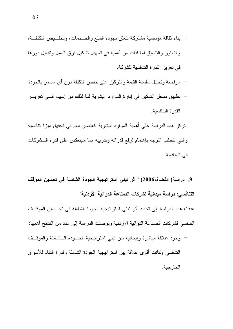- بناء نقافة مؤسسية مشتركة نتعلق بجودة السلع والخــدمات، وتخفــيض النكلفــة، و النعاون و النتسيق لما لذلك من أهمية في نسهيل نشكيل فرق العمل ونفعيل دورها في تعزيز القدرة التتافسية للشركة.
- مراجعة وتحليل سلسلة القيمة والتركيز على خفض النكلفة دون أي مساس بالجودة
- نطبيق مدخل النمكين في إدارة الموارد البشرية لما لذلك من إسهام فـــي نعزيـــز القدرة التنافسية.

تركز هذه الدراسة على أهمية الموارد البشرية كعنصر مهم في تحقيق ميزة تنافسية والتي تتطلب التوجه بإهتمام لرفع قدراته وتدريبه مما سينعكس على قدرة الــشركات في المنافسة.

9. در اسة( القضاة،2006) " أثر تبني استر اتيجية الجودة الشاملة في تحسين الموقف التنافسي: دراسة ميدانية لشركات الصناعة الدوائية الأردنية"

هدفت هذه الدراسة إلى تحديد أثر نبني استراتيجية الجودة الشاملة في تحـــسين الموقــف التنافسي لشركات الصناعة الدوائية الأردنية وتوصلت الدراسة إلى عدد من النتائج أهمها:

– وجود علاقة مباشرة وإيجابية بين نبنى استرانيجية الجـــودة الـــشاملة والموقــف النتافسي وكانت أقوى علاقة بين استراتيجية الجودة الشاملة وقدرة النفاذ للأسواق الخار جبة.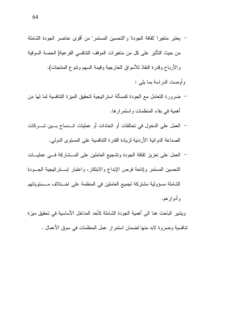– يعتبر متغيرا "ثقافة الجودة" و"التحسين المستمر" من أقوى عناصر الجودة الشاملة من حيث التأثير ِ على كل من متغير ات المو قف التنافسي الفر عية( الحصـة السوقية والأرباح وقدرة النفاذ للأسواق الخارجية وقيمة السهم ونتوع المنتجات).

وأوصت الدراسة بما يلي :

- ضرورة النعامل مع الجودة كمسألة استراتيجية لتحقيق المبزة التنافسية لما لها من أهمية في بقاء المنظمات واستمرارها.
- العمل على الدخول في تحالفات أو اتحادات أو عمليات انـــدماج بـــين شـــركات الصناعة الدوائية الأردنية لزيادة القدرة التنافسية على المستوى الدولي.
- العمل على نعزيز نقافة الجودة وتشجيع العاملين على المـــشاركة فـــي عمليـــات التحسين المستمر وإتاحة فرص الإبداع والابتكار ، واعتبار إستراتيجية الجسودة الشاملة مسؤولية مشتركة لجميع العاملين في المنظمة على اخـــتلاف مـــستوياتهم و أدو ار هم.

ويشير الباحث هنا الىي أهمية الجودة الشاملة كأحد المداخل الأساسية في تحقيق ميزة تنافسية وضروة لابد منها لضمان استمرار عمل المنظمات في سوق الأعمال .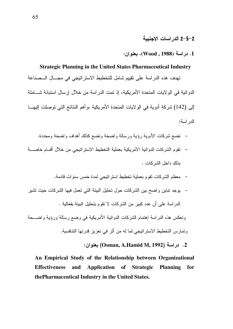### 2–5–2 الدر اسات الاجنبية

### 1. دراسة (1988 , Wood)، بعنوان:

#### **Strategic Planning in the United States Pharmaceutical Industry**

تهدف هذه الدراسة على تقييم شامل للتخطيط الاستراتيجي في مجــال الــصناعة الدو ائية في الو لايات المتحدة الأمر يكية، إذ تمت الدر اسة من خلال إرسال استبانة شـــاملة إلى (142) شركة أدوية في الولايات المتحدة الأمريكية ،وأهم النتائج التي توصلت إليهــا الدر اسة:

- تضع شركات الأدوية رؤية ورسالة واضحة وتضع كذلك أهداف واضحة ومحددة.
- تقوم الشركات الدوائية الأمريكية بعملية التخطيط الاستراتيجي من خلال أقسام خاصــــة يذلك داخل الشركات .
	- معظم الشركات تقوم بعملية تخطيط استراتيجي لمدة خمس سنوات قادمة.
- يوجد تباين واضح بين الشركات حول تحليل البيئة التي تعمل فيها الشركات حيث تشير الدر اسة على أن عدد كبير ٍ من الشر كات لا تقوم بتحليل البيئة بفعالية .

ونعكس هذه الدراسة إهتمام الشركات الدوائية الأمريكية في وضع رسالة ورؤية واضـــحة

وتمارس التخطيط الاستراتيجي لما له من أثر في تعزيز قدرتها التنافسية.

2. دراسة (Osman, A.Hamid M, 1992) بعنوان:

An Empirical Study of the Relationship between Organizational **Effectiveness** and Application of Strategic **Planning** for thePharmaceutical Industry in the United States.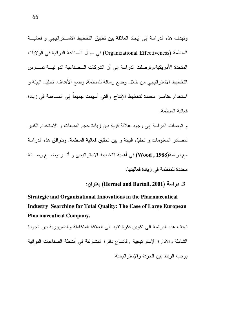وتهدف هذه الدر اسة إلى إيجاد العلاقة بين تطبيق التخطيط الاســـتر اتيجي و فعاليـــة المنظمة (Organizational Effectiveness) في مجال الصناعة الدوائية في الولايات المتحدة الأمريكية وتوصلت الدراسة إلى أن الشركات الـمعناعية الدوائيـــة تمـــارس التخطيط الاستراتيجي من خلال وضع رسالة للمنظمة, وضع الأهداف, تحليل البيئة و استخدام عناصر محددة لتخطيط الإنتاج, والتي أسهمت جميعاً إلى المساهمة في زيادة فعالبة المنظمة.

و نوصلت الدراسة إلى وجود علاقة فوية بين زيادة حجم المبيعات و الاستخدام الكبير لمصبادر المعلومات و تحليل البيئة و بين تحقيق فعالية المنظمة. وتتوافق هذه الدر اسة مع دراسة(Wood , 1988) في أهمية التخطيط الاستراتيجي و أُشــر وضــــع رســـالة محددة للمنظمة في زيادة فعاليتها.

3. دراسة (Hermel and Bartoli, 2001) بعنوان:

**Strategic and Organizational Innovations in the Pharmaceutical Industry Searching for Total Quality: The Case of Large European Pharmaceutical Company.** 

تهدف هذه الدر اسة الى تكوين فكرة تقود الى العلاقة المتكاملة والضرورية بين الجودة الشاملة والإدار ة الإستر اتبجبة , فاتساع دائر ة المشار كة في أنشطة الصناعات الدوائبة بوحب الربط بين الجودة والإستر انتحية.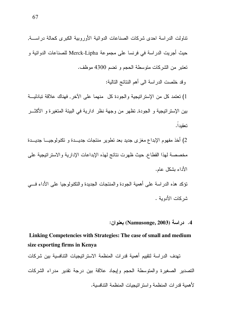تناولت الدر اسة احدى شركات الصناعات الدوائية الأور وبية الكبر ى كحالة در اســــة, حيث أجريت الدراسة في فرنسا على مجموعة Merck-Lipha للصناعات الدوائية و تعتبر من الشركات متوسطة الحجم و تضم 4300 موظف.

وقد خلصت الدراسة الى أهم النتائج التالية:

1) تعتمد كل من الإستراتيجية والجودة كل منهما على الآخر, فهناك علاقة تبادليـــة بين الإستراتيجية و الجودة, تظهر من وجهة نظر ادارية في البيئة المتغيرة و الأكثـــر تعقبدا.

2) أخذ مفهوم الإبداع مغزى جديد بعد تطوير منتجات جديـــدة و تكنولوجيـــا جديـــدة مخصصة لهذا القطاع, حيث ظهرت نتائج لهذه الإبداعات الإدارية والاستر اتيجية على الأداء يشكل عام. تؤكد هذه الدر اسة على أهمية الجودة و المنتجات الجديدة و التكنولوجيا على الأداء فسي شركات الأدوية .

4. دراسة (Namusonge, 2003) بعنوان:

Linking Competencies with Strategies: The case of small and medium size exporting firms in Kenya

تهدف الدراسة لتقييم أهمية قدرات المنظمة الاستراتيجيات التنافسية بين شركات التصدير الصغيرة والمتوسطة الحجم وإيجاد علاقة بين درجة تقدير مدراء الشركات لأهمية قدر ات المنظمة واستر اتبجيات المنظمة التنافسية.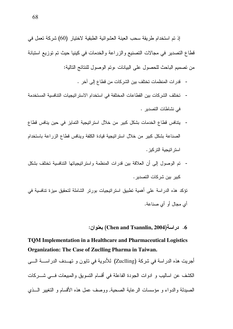إذ تم استخدام طريقة سحب العينة العشوائية الطبقية لاختيار (60) شركة تعمل في قطاع التصدير في مجالات التصنيع والزراعة والخدمات في كينيا حيث تم توزيع استبانة من نصميم الباحث للحصول على البيانات ،ونم الوصول للنتائج التالية:

- قدر ات المنظمات تختلف بين الشركات من قطاع إلى آخر .
- تختلف الشركات بين القطاعات المختلفة في استخدام الاستر اتبجيات التتافسية المستخدمة في نشاطات التصدير .
- يتنافس قطاع الخدمات بشكل كبير من خلال استر اتيجية التمايز في حين ينافس قطاع الصناعة بشكل كبير من خلال استراتيجية قيادة الكلفة وينافس قطاع الزراعة باستخدام استر اتبجبة التركبز .
- كبير بين شركات التصدير .

تؤكد هذه الدراسة على أهمية تطبيق استراتيجيات بورتر الشاملة لتحقيق ميزة تنافسية في أي محال أو أي صناعة.

6. دراسة(Chen and Tsannlin, 2004) بعنوان:

**TOM Implementation in a Healthcare and Pharmaceutical Logistics** Organization: The Case of Zuclling Pharma in Taiwan.

أجريت هذه الدراسة في شركة (Zuclling) للأدوية في تايون و تهـــدف الدراســــة الــــي الكشف عن اساليب و ادوات الجودة الفاعلة في أقسام النسويق والمبيعات فسي شــــركات الصيدلة والدواء و مؤسسات الرعاية الصحية, ووصف عمل هذه الأقسام و التغيير الــذي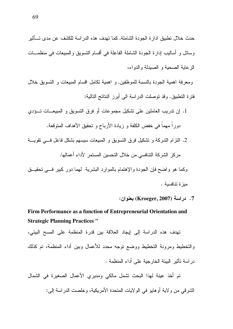ومعرفة اهمية الجودة بالنسبة للموظفين, و اهمية نكامل اقسام المبيعات و التسويق خلال فترة التطبيق. وقد توصلت الدراسة الى أبرز النتائج التالية:

1. إن ندريب العاملين على نشكيل مجموعات أو فرق النسويق و المبيعـــات تـــؤدي دور أ مهماً في خفض الكلفة و زبادة الأرباح و تحقيق الأهداف المتوقعة. 2. النزام الشركة و تشكيل فرق النسويق و المبيعات سيسهم بشكل فاعل فسي نقويسة

مركز الشركة التنافسي من خلال التحسين المستمر لأداء أعمالها.

وكما هو واضح فإن الجودة والإهتمام بالموارد البشرية لمهما دور كبير فسي تحقيق مىز ة تنافسية .

7. دراسة (Kroeger, 2007) بعنوان:

Firm Performance as a function of Entrepreneurial Orientation and **Strategic Planning Practices "** 

تهدف هذه الدراسة إلى إيجاد العلاقة بين قدرة المنظمة على المسح البيئي، والتخطيط ومرونة التخطيط ووضع نوجه محدد للأعمال وبين أداء المنظمة، تم كذلك دراسة تأثير البيئة الخارجية على أداء المنظمة .

تم أخذ عينة لهذا البحث تشمل مالكي ومديري الأعمال الصغيرة في الشمال الشرقي من ولاية أوهايو في الولايات المتحدة الأمريكية، وخلصت الدراسة إلى: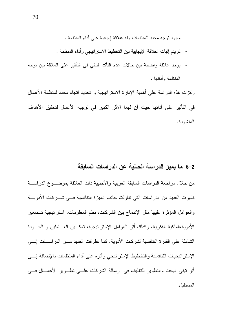- وجود نوجه محدد للمنظمات وله علاقة إبجابية على أداء المنظمة .
- لم يتم إثبات العلاقة الإيجابية بين التخطيط الاستر اتيجي و أداء المنظمة .
- يوجد علاقة واضحة بين حالات عدم التأكد البيئي في التأثير على العلاقة بين توجه المنظمة و أدائها .

ركزت هذه الدراسة على أهمية الإدارة الاستراتيجية و تحديد اتجاه محدد لمنظمة الأعمال في التأثير على أدائها حيث أن لهما الأثر الكبير في توجيه الأعمال لتحقيق الأهداف المنشو دة.

### 2–6 ما يميز الدراسة الحالية عن الدراسات السابقة

من خلال مر اجعة الدر اسات السابقة العربية والأجنبية ذات العلاقة بموضـــو ع الدر اســـة ظهرت العديد من الدراسات التي نتاولت جانب المبزة النتافسية فـــي شـــركات الأدويــــة والعوامل المؤثرة عليها مثل الإندماج بين الشركات، نظم المعلومات، استرانيجية تــسعير الأدوية،الملكية الفكرية، وكذلك أثر العوامل الإستراتيجية، تمكـــين العــــاملين و الجـــودة الشاملة على القدر ة التنافسية لشر كات الأدوية. كما تطر قت العديد مـــن الدر اســـات الــــى الإستراتيجيات التنافسية والتخطيط الإستراتيجي وأثره علىي أداء المنظمات بالإضافة إلسي أثر تبني البحث والتطوير للتغليف في رسالة الشركات علـــي تطــوير الأعمـــال فـــي المستقبل .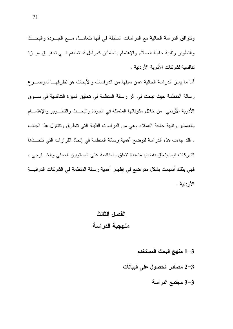ونتوافق الدراسة الحالية مع الدراسات السابقة في أنها نتعامــل مـــع الـجـــودة والبحـــث والنطوير ونلبية حاجة العملاء والإهتمام بالعاملين كعوامل قد نساهم فسي نحقيــق ميـــزة تتافسية لشر كات الأدوية الأر دنية .

أما ما يميز الدراسة الحالية عمن سبقها من الدراسات والأبحاث هو نطرقهــــا لموضــــو ع رسالة المنظمة حيث تبحث في أثر رسالة المنظمة في تحقيق الميزة التنافسية في ســـوق الأدوية الأردنبي من خلال مكوناتها المتمثلة في الجودة والبحــث والنطــوير والإهتمـــام بالعاملين ونلبية حاجة العملاء وهي من الدراسات القليلة التي نتطرق ونتتاول هذا الجانب . فقد جاءت هذه الدراسة لتوضح أهمية رسالة المنظمة في إتخاذ القرارات التي تتخــذها الشركات فيما يتعلق بقضايا متعددة نتعلق بالمنافسة على المستويين المحلي والخـــارجي . فهي بذلك أسهمت بشكل منو اضبع في إظهار ٍ أهمية رسالة المنظمة في الشركات الدو ائيسة الأر دنبة .

# الفصل الثالث منهجية الدراسة

1-3 منهج البحث المستخدم 2-3 مصادر الحصول على البيانات 3-3 مجتمع الدراسة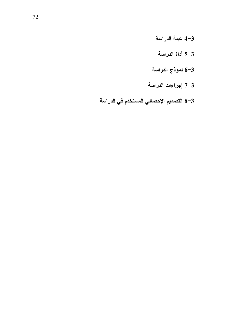- 4-3 عينة الدراسة
- 3–5 أداة الدراسة
- 6-3 نموذج الدراسة
- 7-3 إجراءات الدراسة
- 8–8 التصميم الإحصائي المستخدم في الدراسة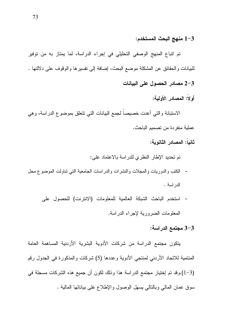### 1-3 منهج البحث المستخدم:

تم اتباع المنهج الوصفى التحليلي في إجراء الدراسة، لما يمتاز به من توفير للبيانات والحقائق عن المشكلة موضع البحث، إضافة إلى نفسير ها والوقوف على دلالتها . 2-3 مصادر الحصول على البيانات

أولاً: المصادر الأولية:

الاستبانة والتي أعدت خصيصا لجمع البيانات التي نتعلق بموضوع الدراسة، وهي عملية منفردة من تصميم الباحث.

ثانباً: المصادر الثانوبة:

تم تحديد الإطار النظري للدر اسة بالاعتماد على:

- الكتب والدوريات والمجلات والنشرات والدراسات الجامعية التي نتاولت الموضوع محل  $\sim$   $-$ الدر اسة .
	- استخدم الباحث الشبكة العالمية للمعلومات (الانترنت) للحصول على  $\overline{\phantom{a}}$ المعلومات الضروربة لإجراء الدراسة.

### 3-3 مجتمع الدر اسة:

يتكون مجتمع الدراسة من شركات الأدوية البشرية الأردنية المساهمة العامة المنتمية للاتحاد الأردني لمنتجى الأدوية وعددها (5) شركات والمذكورة في الجدول رقم (3–1).وقد تم إختيار مجتمع الدراسة هذا وذلك لكون أن جميع هذه الشركات مسجلة في سوق عمان المالي وبالنالي بسهل الوصول والإطلاع على بياناتها المالية .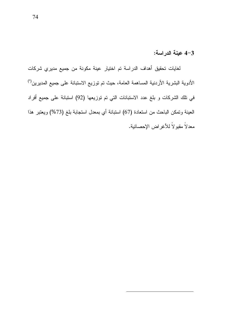## 4-3 عينة الدراسة:

لغايات تحقيق أهداف الدراسة تم اختيار عينة مكونة من جميع مديري شركات الأدوية البشرية الأردنية المساهمة العامة، حيث تم توزيع الاستبانة على جميع المديرين'') في نلك الشركات و بلغ عدد الاستبانات التي تم توزيعها (92) استبانة على جميع أفراد العينة وتمكن الباحث من استعادة (67) استبانة أي بمعدل استجابة بلغ (73%) ويعتبر هذا معدلاً مقبولاً للأغراض الإحصائية.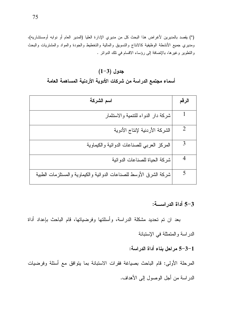(\*) يقصد بالمديرين لأغراض هذا البحث كل من مديري الإدارة العليا (المدير العام أو نوابه أومستشاريه)، ومديري جميع الأنشطة الوظيفية كالانتاج والتسويق والمالية والتخطيط والجودة والمواد والمشتريات والبحث والتطوير وغيرها، بالإضافة إلى رؤساء الاقسام في تلك الدوائر .

## $(1-3)$  جدول أسماء مجتمع الدراسة من شركات الأدوية الأردنية المساهمة العامة

| اسم الشركة                                                        | الرقم |
|-------------------------------------------------------------------|-------|
| شركة دار الدواء للتنمية والاستثمار                                |       |
| الشركة الأردنية لإنتاج الأدوية                                    |       |
| المركز العربي للصناعات الدوائية والكيماوية                        | 3     |
| شركة الحياة للصناعات الدوائية                                     |       |
| شركة الشرق الأوسط للصناعات الدوائية والكيماوية والمستلزمات الطبية |       |

3-5 أداة الدراسة:

بعد ان تم تحديد مشكلة الدراسة، وأسئلتها وفرضياتها، قام الباحث بإعداد أداة الدراسة والمتمثلة في الإستبانة

1–3–5 مراحل بناء أداة الدراسة:

المرحلة الأولى: قام الباحث بصياغة فقرات الاستبانة بما يتوافق مع أسئلة وفرضيات الدراسة من أجل الوصول إلى الأهداف.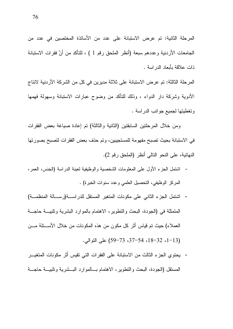المرحلة الثانية: تم عرض الاستبانة على عدد من الأساتذة المختصين في عدد من الجامعات الأردنية وعددهم سبعة (أنظر الملحق رقم 1 ) ، للنأكد من أنَّ فقرات الاستبانة ذات علاقة بأبعاد الدر اسة .

المرحلة الثالثة: تم عرض الاستبانة على ثلاثة مديرين في كل من الشركة الأردنية لانتاج الأدوية وشركة دار الدواء ، وذلك للتأكد من وضوح عبارات الاستبانة وسهولة فهمها وتغطيتها لجميع جوانب الدراسة .

ومن خلال المرحلتين السابقتين (الثانية والثالثة) تم إعادة صياغة بعض الفقرات في الاستبانة بحيث تصبح مفهومة للمستجيبين، وتم حذف بعض الفقرات لتصبح بصورتها النهائية، على النحو النالي أنظر (الملحق رقم 2).

- اشتمل الجزء الأول على المعلومات الشخصية والوظيفية لعينة الدراسة (الجنس، العمر،  $\overline{\phantom{a}}$ المركز الوظيفي، التحصيل العلمي وعدد سنوات الخبرة) .
- اشتمل الجزء الثاني على مكونات المتغير المستقل للدر اسة(رســالة المنظمــة) المتمثلة في (الجودة، البحث والنطوير، الاهتمام بالموارد البشرية ونلبيـــة حاجــــة العملاء) حيث تم قياس أثر كل مكون من هذه المكونات من خلال الأســئلة مـــن (13-1، 32-18، 34-37، 73-59) على النوالي.
- يحتو ي الجزء الثالث من الاستبانة على الفقرات التي تقيس أثر مكونات المتغيـــر المستقل (الجودة، البحث والنطوير، الاهتمام بسالموارد البسشرية ونلبيسة حاجسة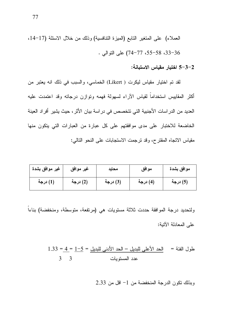العملاء) على المتغير التابع (الميزة النتافسية) وذلك من خلال الاسئلة (17-14، 33-36، 58-55، 77-74) على النوالمي .

3-3-2 اختيار مقياس الاستبانة:

لقد تم اختيار مقياس ليكرت ( Likert) الخماسي، والسبب في ذلك انه يعتبر من أكثر المقابيس استخداماً لقياس الأراء لسهولة فهمه وتوازن درجاته وقد اعتمدت عليه العديد من الدر اسات الأجنبية التي تتخصص في در اسة بيان الأثر ، حيث يشير أفر اد العينة الخاضعة للاختبار على مدى موافقتهم على كل عبارة من العبارات التي يتكون منها مقياس الاتجاه المقترح، وقد ترجمت الاستجابات على النحو التالبي:

| غير موافق بشدة | غير موافق | محائد    | موافق    | موافق بشدة |
|----------------|-----------|----------|----------|------------|
| (1) درجة       | (2) درجة  | (3) درجة | (4) درجة | (5) درجة   |

ولتحديد درجة الموافقة حددت ثلاثة مستويات هي (مرتفعة، متوسطة، ومنخفضة) بناءاً على المعادلة الآتبة:

$$
1.33 = 4 = 1 - 5 = 1 - 5 = 1 - 5 = 1 - 5 = 1 - 5 = 1 - 5 = 3 - 3 = 3
$$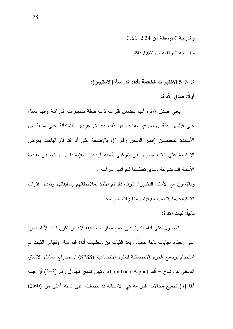والدرجة المتوسطة من 2.34-3.66

و الدرجة المرتفعة من 3.67 فأكثر

3–3–5 الاختبارات الخاصة بأداة الدراسة (الاستبيان):

أو لا: صدق الأداة:

يعني صدق الاداة أنها نتضمن فقرات ذات صلة بمتغيرات الدراسة وأنها تعمل على قياسها بدقة ووضوح، وللتأكد من ذلك فقد تم عرض الاستبانة على سبعة من الأساتذة المختصين (انظر الملحق رقم 1)، بالإضافة على أنه قد قام الباحث بعرض الاستبانة على ثلاثة مديرين في شركتي أدوية أردنيتين للإستئناس بآرائهم في طبيعة الأسئلة الموضوعة ومدى تغطيتها لجوانب الدر اسة .

وبالتعاون مع الأستاذ الدكتورالمشرف فقد تم الأخذ بملاحظاتهم وتعليقاتهم وتعديل فقرات الاستبانة بما يتناسب مع قياس متغير ات الدر اسة.

ثانباً: ثبات الأداة:

للحصول على أداة قادرة على جمع معلومات دقيقة لابد ان نكون نلك الأداة قادرة على إعطاء إجابات ثابتة نسبيا، ويعد الثبات من منطلبات أداة الدراسة، ولقياس الثبات تم استخدام برنامج الحزم الإحصائية للعلوم الاجتماعية (SPSS) لاستخراج معامل الاتساق الداخلي كرونباخ – ألفا (Cronbach-Alpha)، ونبين نتائج الجدول رقم (3–2) أن قيمة ألفا (α) لجميع مجالات الدراسة في الاستبانة قد حصلت على نسبة أعلى من (0.60)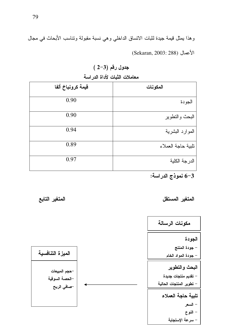وهذا يمثل قيمة جيدة لثبات الاتساق الداخلي وهي نسبة مقبولة ونتاسب الأبحاث في مجال الأعمال (Sekaran, 2003: 288)

## $(2-3)$  جدول رقم

## معاملات الثبات لأداة الدراسة

| قيمة كرونباخ ألفا | المكونات           |
|-------------------|--------------------|
| 0.90              | الجودة             |
| 0.90              | البحث والتطوير     |
| 0.94              | الموارد البشرية    |
| 0.89              | نلبية حاجة العملاء |
| 0.97              | الدرجة الكلية      |

3-6 نموذج الدراسة:

المتغير المستقل

المتغير التابع

مكونات الرسالة الجودة – جودة المنتج - جودة المواد الخام البحث والتطوير – تقديم منتجات جديدة – تطوير المنتجات الحالية تلبية حاجة العملاء – السعر – النوع – سرعة الإستجابة

الميزة التنافسية –حجم المبيعات –الحصة السوقية –صافي الربح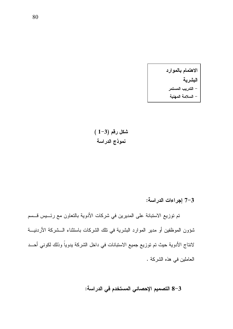الاهتمام بالموارد البشرية – التدريب المستمر – السلامة المهنية

 $(1-3)$  شكل رقم نموذج الدراسة

7-3 إجراءات الدراسة:

تم توزيع الاستبانة على المديرين في شركات الأدوية بالتعاون مع رئـــيس قـــسم شؤون الموظفين أو مدير الموارد البشرية في نلك الشركات باستثناء الــشركة الأردنيـــة لانتاج الأدوية حيث تم توزيع جميع الاستبانات في داخل الشركة يدوياً وذلك لكوني أحـــد العاملين في هذه الشركة .

8–8 التصميم الإحصائي المستخدم في الدر اسة: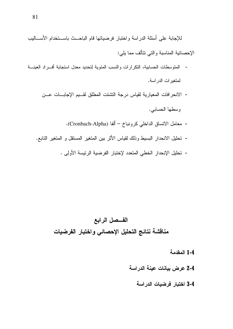للإجابة على أسئلة الدراسة واختبار فرضياتها قام الباحــث باســتخدام الأســـاليب الإحصائية المناسبة والتبي نتألف مما بلبي:

- المتوسطات الحسابية، التكرارات والنسب المئوية لتحديد معدل استجابة أف راد العينة  $\overline{\phantom{a}}$ لمتغير ات الدر اسة.
	- الانحرافات المعيارية لقياس درجة النشنت المطلق لقسيم الإجابات عسن وسطها الحسابي.
		- معامل الانساق الداخلي كرونباخ ألفا (Cronbach-Alpha).
	- تحليل الانحدار البسيط وذلك لقياس الأثر بين المتغير المستقل و المتغير التابع.
		- تحليل الإنحدار الخطي المتعدد لإختبار الفرضية الرئيسة الأولى .

# الفسصل الرابع مناقشة نتائج التحليل الإحصائى واختبار الفرضيات

- 1-4 المقدمة
- 2-4 عرض بيانات عينة الدراسة
	- 3-4 اختبار فرضيات الدراسة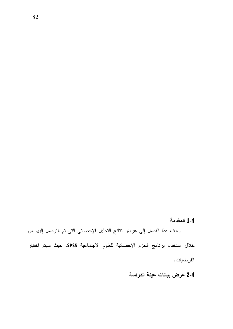## 1-4 المقدمة

يهدف هذا الفصل إلى عرض نتائج التحليل الإحصائي التي تم التوصل إليها من خلال استخدام برنامج الحزم الإحصائية للعلوم الاجتماعية SPSS، حيث سيتم اختبار الفرضيات.

## 2-4 عرض بيانات عينة الدراسة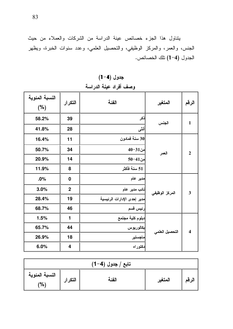يتناول هذا الجزء خصائص عينة الدراسة من الشركات والعملاء من حيث الجنس، والعمر، والمركز الوظيفي، والتحصيل العلمي، وعدد سنوات الخبرة، ويظهر الجدول (4–1) نلك الخصائص.

جدول (4–1)

|  |  | وصف أفراد عينة الدراسة |  |
|--|--|------------------------|--|
|  |  |                        |  |

 $\overline{\mathbf{r}}$ 

| النسبة المئوية<br>(%) | التكرار        | الفئة                       | المتغير        | الرقم                   |
|-----------------------|----------------|-----------------------------|----------------|-------------------------|
|                       |                |                             |                |                         |
| 58.2%                 | 39             | نكر                         | الجنس          | $\mathbf{1}$            |
| 41.8%                 | 28             | أنشى                        |                |                         |
| 16.4%                 | 11             | 30 سنة فمادون               |                |                         |
| 50.7%                 | 34             | من31–40                     | العمر          | $\overline{2}$          |
| 20.9%                 | 14             | من41–50                     |                |                         |
| 11.9%                 | 8              | 51 سنة فأكثر                |                |                         |
| .0%                   | $\bf{0}$       | مدیر عام                    |                |                         |
| 3.0%                  | $\overline{2}$ | نائب مدير عام               | المركز الوظيفى | 3                       |
| 28.4%                 | 19             | مدير إحدى الإدارات الرئيسية |                |                         |
| 68.7%                 | 46             | رئيس قسم                    |                |                         |
| 1.5%                  | 1              | دبلوم كلية مجتمع            |                |                         |
| 65.7%                 | 44             | بكالوريوس                   |                | $\overline{\mathbf{4}}$ |
| 26.9%                 | 18             | ماجستير                     | التحصيل العلمى |                         |
| 6.0%                  | 4              | لاكتوراه                    |                |                         |

| تابع / جدول (4–1)     |         |       |         |        |  |  |  |
|-----------------------|---------|-------|---------|--------|--|--|--|
| النسبة المئوية<br>(%) | التكرار | الفئة | المتغير | الر قم |  |  |  |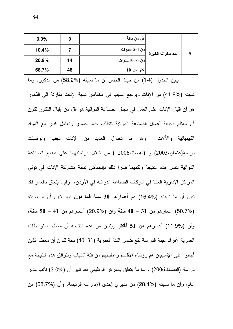| 0.0%  |    | أقل من سنة   |                  |  |
|-------|----|--------------|------------------|--|
| 10.4% |    | من1–5 سنوات  | عدد سنوات الخبرة |  |
| 20.9% | 14 | من 6–10سنوات |                  |  |
| 68.7% | 46 | أكثر من 10   |                  |  |

يبين الجدول **(4-1)** من حيث الجنس أن ما نسبته (58.2%) من الذكور، وما نسبته (41.8%) من الإناث ويرجع السبب في انخفاض نسبة الإناث مقارنة الى الذكور

هو أن إقبال الإناث على العمل في مجال الصناعة الدوائية هو أقل من إقبال الذكور لكون أن معظم طبيعة أعمال الصناعة الدوائية نتطلب جهد جسدي ونعامل كبير مع المواد الألات وهو ما تحاول العديد من الإناث تجنبه وتوصلت الكيميائية والألات دراسة(عثمان،2003) و (القضاة،2006 ) من خلال دراستيهما على قطاع الصناعة الدوائية لنفس هذه النتيجة ولكنهما فسرا ذلك بإنخفاض نسبة مشاركة الإناث في نولي المراكز الإدارية العليا في شركات الصناعة الدوائية في الأردن، وفيما يتعلق بالعمر فقد تبين أن ما نسبته (16.4%) هم أعمارهم 30 **سنة فما دون** فيما تبين أن ما نسبته (50.7%) أعمارهم من 31 – 40 سنة وأن (%20.9) أعمارهم من 41 – 50 سنة، وأن (11.9%) أعمارهم **من 51 فأكثر** ويتبين من هذه النتيجة أن معظم المتوسطات العمرية لأفراد عينة الدراسة تقع ضمن الفئة العمرية (31–40) سنة لكون أن معظم الذين أجابوا على الإستبيان هم رؤساء الأقسام وغالبيتهم من فئة الشباب وتتوافق هذه النتيجة مع دراسة (القضاة،2006) . أما ما يتعلق بالمركز الوظيفي فقد تبين أن (3.0%) نائب مدير عام، وأن ما نسبته (28.4%) من مديري إحدى الإدارات الرئيسة، وأن (%68.7) من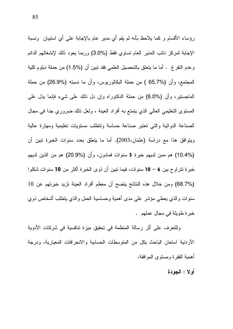رؤساء الأقسام و كما يلاحظ بأنه لم يقم أي مدير عام بالإجابة على أي استبيان ونسبة الإجابة لمركز نائب المدير العام نساوي فقط (%3.0) وربما يعود ذلك لإنشغالهم الدائم وعدم النَّفر غ . أما ما يتعلَّق بالتحصيل العلمي فقد نبين أن (1.5%) من حملة دبلوم كلَّية المجتمع، وأن (%65.7 ) من حملة البكالوريوس، وأن ما نسبته (%26.9) من حملة الماجستير، وأن (%6.0) من حملة الدكتوراه وإن دل ذلك على شيء فإنما بدل على المستوى التعليمي العالي الذي يتمتع به أفراد العينة ، ولعل ذلك ضروري جدا في مجال الصناعة الدوائية والتبي تعتبر صناعة حساسة ونتطلب مستويات تعليمية ومهارة عالية ويتوافق هذا مع دراسة (عثمان،2003). أما ما يتعلق بعدد سنوات الخبرة تبين أن (10.4%) هم ممن لديهم خبرة 5 سنوات فمادون، وأن (20.9%) هم من الذين لديهم خبرة تتراوح بين 6 – 10 سنوات، فيما تبين أن ذوى الخبرة أكثر من 10 سنوات شكلوا (68.7%) ومن خلال هذه النتائج يتضح أن معظم أفراد العينة نزيد خبرتهم عن 10 سنوات والذي يعطي مؤشر على مدى أهمية وحساسية العمل والذي بتطلب أشخاص ذوى خبرة طويلة في مجال عملهم .

وللتعرف على أثر رسالة المنظمة في تحقيق ميزة تنافسية في شركات الأدوية الأردنية استعان الباحث بكل من المتوسطات الحسابية والانحرافات المعيارية، ودرجة أهمية الفقر ة و مسنو ي المو افقة.

أولا : الجودة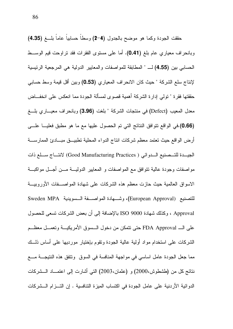حققت الجودة وكما هو موضح بالجدول (4–2) وسطاً حسابياً عاماً بلـــغ (4.35) وبانحراف معياري عام بلغ (0.41). أما على مستوى الفقرات فقد نراوحت قيم الوســط الحسابي بين (4.55) لــ " المطابقة للمواصفات والمعايير الدولية هي المرجعية الرئيسية لإنتاج سلع الشركة " حيث كان الانحراف المعياري (0.53) وبين أقل قيمة وسط حسابي حققتها فقر ة " تولَّى إدار ة الشركة أهمية قصوى لمسألة الجودة مما انعكس على انخفـــاض معدل المعيب (Defect) في منتجات الشركة " بلغت (3.96) وبانحراف معيـــاري بلـــغ (0.66).في الواقع نتوافق النتائج التي تم الحصول عليها مع ما هو مطبق فعليــا علـــي أرض الواقع حيث نعتمد معظم شركات انتاج الدواء المحلية نطبيـــق مبــــادئ الممارســــة الجيدة للتـــصنيع الـــدوائي ( Good Manufacturing Practices) لانتـــاج ســـلع ذات مو اصفات وجودة عالية نتو افق مع المو اصفات و المعايير الدوليـــة مـــن أجـــل مو اكبـــة الاسواق العالمية حيث حازت معظم هذه الشركات على شهادة المو اصـــفات الأوروبيـــة للتصنيع (European Approval)، وشـــهادة المواصـــفة الــسويدية Sweden MPA Approval ، وكذلك شهادة ISO 9000 بالإضافة إلى أن بعض الشركات تسعى للحصول على الــ FDA Approval حتى نتمكن من دخول الــسوق الأمريكيـــة وتعمـــل معظـــم الشركات علىي استخدام مواد أولية عالية الجودة ونقوم بإختيار مورديها علىي أساس ذلسك مما جعل الجودة عامل اساسي في مواجهة المنافسة في السوق وتتفق هذه النتيجة مسع نتائج كل من (طشطوش،2000) و (عثمان،2003) التبي أشارت إلى اعتمـــاد الـــشركات الدوائية الأردنية على عامل الجودة في اكتساب الميزة التنافسية . إن التـــزام الـــشركات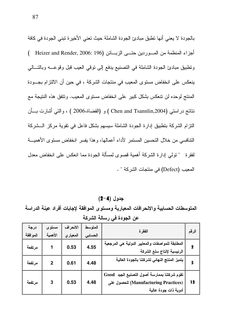بالجودة لا يعني أنها تطبق مبادئ الجودة الشاملة حيث تعني الأخيرة تبني الجودة في كافة أجزاء المنظمة من المسوردين حتسى الزبسائن (Heizer and Render, 2006: 196 ) ونطبيق مبادئ الجودة الشاملة في التصنيع يدفع إلى نوقي العيب قبل وقوعــه وبالتــالى ينعكس على انخفاض مستوى المعيب في منتجات الشركة ، في حين أن الالتزام بجـــودة المنتج لو حده لن نتعكس بشكل كبير على انخفاض مستوى المعيب. وتتفق هذه النتيجة مع نتائج در استي (Chen and Tsannlin,2004 ) و (القضاة،2006 ) ، والتـي أشارت بـــأن النزام الشركة بتطبيق إدارة الجودة الشاملة سيسهم بشكل فاعل في تقوية مركز السشركة النتافسي من خلال التحسين المستمر لأداء أعمالها، وهذا يفسر انخفاض مستوى الأهميـــة لفقرة " تولى إدارة الشركة أهمية قصوى لمسألة الجودة مما انعكس على انخفاض معدل المعيب (Defect) في منتجات الشركة " .

### $(2-4)$  جدول

المتوسطات الحسابية والانحرافات المعيارية ومستوى الموافقة لإجابات أفراد عينة الدراسة عن الجودة في رسالة الشركة

| الرقم | الفقرة                                                                                                      | المتوسط<br>الحسابى | الانحراف<br>المعيار ي | مستوى<br>الأهمية | درجة<br>المو افقة |
|-------|-------------------------------------------------------------------------------------------------------------|--------------------|-----------------------|------------------|-------------------|
| 2     | المطابقة للمواصفات والمعايير الدولية هي المرجعية<br>الرئيسية لإنتاج سلع الشركة                              | 4.55               | 0.53                  | 1                | مرتفعة            |
| 5     | يتميز المنتج النهائي لشركتنا بالجودة العالية                                                                | 4.48               | 0.61                  | $\mathbf{2}$     | مرتفعة            |
| 13    | تقوم شركتنا بممارسة أصول التصنيع الجيد Good<br>(Manufacturing Practices) للحصول على<br>أدوية ذات جودة عالية | 4.48               | 0.53                  | 3                | مرتفعة            |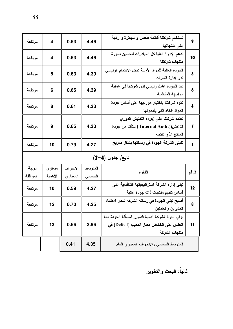| 9            | تستخدم شركتنا أنظمة فحص و سيطرة و رقابة<br>على منتجاتها                                                     | 4.46               | 0.53                  | 4                | مرتفعة           |
|--------------|-------------------------------------------------------------------------------------------------------------|--------------------|-----------------------|------------------|------------------|
| 10           | تدعم الإدارة العليا كل المبادرات لتحسين صورة<br>منتجات شركتنا                                               | 4.46               | 0.53                  | 4                | مرتفعة           |
| 3            | الجودة العالية للمواد الأولية تحتل الاهتمام الرئيسي<br>لدى إدارة الشركة                                     | 4.39               | 0.63                  | 5                | مرتفعة           |
| 6            | تعد الجودة عامل رئيسي لدى شركتنا في عملية<br>مواجهة المنافسة                                                | 4.39               | 0.65                  | 6                | مرتفعة           |
| 4            | تقوم شركتنا باختيار مورديها على أساس جودة<br>المواد الخام التي يقدمونها                                     | 4.33               | 0.61                  | 8                | مرتفعة           |
| 7            | تعتمد شركتنا على إجراء التفتيش الدوري<br>الداخلي((Internal Audit  ) للتأكد من جودة<br>المنتج الذي تنتجه     | 4.30               | 0.65                  | 9                | مرتفعة           |
| $\mathbf{1}$ | تتبنى الشركة الجودة في رسالتها بشكل صريح                                                                    | 4.27               | 0.79                  | 10               | مرتفعة           |
|              | تابع/ جدول (4–2)                                                                                            |                    |                       |                  |                  |
| الرقم        | الفقرة                                                                                                      | المتوسط<br>الحسابى | الانحراف<br>المعيار ي | مستوى<br>الأهمية | درجة<br>الموافقة |
| 12           | تبني إدارة الشركة استراتيجيتها التنافسية على<br>أساس تقديم منتجات ذات جودة عالية                            | 4.27               | 0.59                  | 10               | مرتفعة           |
| 8            | أصبح تبني الجودة في رسالة الشركة شعار لاهتمام<br>المديرين والعاملين                                         | 4.25               | 0.70                  | 12               | مرتفعة           |
| 11           | تولى إدارة الشركة أهمية قصوى لمسألة الجودة مما<br>انعكس على انخفاض معدل المعيب (Defect) في<br>منتجات الشركة | 3.96               | 0.66                  | 13               | مرتفعة           |
|              | المتوسط الحسابي والانحراف المعيارى العام                                                                    | 4.35               | 0.41                  |                  |                  |

ثانيا: البحث والتطوير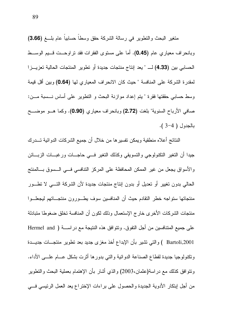متغير البحث والنطوير في رسالة الشركة حقق وسطاً حسابياً عام بلـــغ (3.66) وبانحراف معياري عام (0.45). أما على مستوى الفقرات فقد نراوحــت قـــيم الوســـط الحسابي بين (4.33) لـــ " يعد إنتاج منتجات جديدة أو نطوير المنتجات الحالية تعزيـــزا لمقدرة الشركة على المنافسة " حيث كان الانحراف المعياري لها (0.64) وبين أقل قيمة وسط حسابي حققتها فقرة " يتم إعداد موازنة البحث و التطوير على أساس نــسبة مـــن: صافي الأرباح السنوية" بلغت (2.72) وبانحراف معياري (0.90). وكما هـــو موضــــح  $-4$  بالجدول ( 4-3).

النتائج أعلاه منطقية ويمكن تفسيرها من خلال أن جميع الشركات الدوائية تـــدرك جيدا أن النغير النكنولوجي والنسويقي وكذلك النغير فسي حاجسات ورغبسات الزبسائن و الأسو اق يجعل من غير الممكن المحافظة على المركز النتافسي فـــي الـــسوق بــــالمنتج الحالي بدون تغيير أو تعديل أو بدون إنتاج منتجات جديدة لأن الشركة التـــي لا تطـــور منتجاتها ستواجه خطر النقادم حيث أن المنافسين سوف يط ورون منتجساتهم ليجعلسوا منتجات الشركات الأخرى خارج الإستعمال وذلك لكون أن المنافسة تخلق ضغوطا متبادلة على جميع المتنافسين من أجل التفوق. وتتوافق هذه النتيجة مع در اســــة ( Hermel and Bartoli,2001 ) والتي تشير بأن الإبداع أخذ مغزى جديد بعد نطوير منتجـــات جديـــدة وتكنولوجيا جديدة لقطاع الصناعة الدوائية والتبي بدورها أثرت بشكل عسام علسى الأداء. ونتوافق كذلك مع در اسة(عثمان،2003) و الذي أشار بأن الإهتمام بعملية البحث و النطوير من أجل إبتكار الأدوية الجديدة والحصول على براءات الإختراع يعد العمل الرئيسي فـــي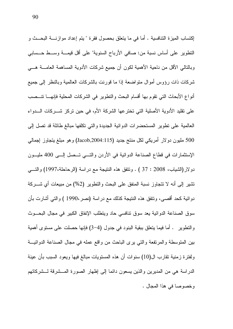إكتساب الميزة النتافسية . أما في ما يتعلق بحصول فقرة " يتم إعداد موازنــــة البحـــث و النطوير على أساس نسبة من: صافى الأرباح السنوية" على أقل قيمــــة وســـط حـــسابـي وبالنالبي الأقل من ناحية الأهمية لكون أن جميع شركات الأدوية المساهمة العامــــة هــــي شركات ذات رؤوس أموال متواضعة إذا ما قورنت بالشركات العالمية وبالنظر إلىي جميع أنواع الأبحاث التي تقوم بها أقسام البحث والتطوير في الشركات المحلية فإنهـــا تتـــصب على نقليد الأدوية الأصلية التي تختر عها الشركة الأم، في حين تركز شـــركات الــــدواء العالمية على نطوير المستحضرات الدوائية الجديدة والتي نكلفها مبالغ طائلة قد نصل إلى 500 مليون دو لار أمريكي لكل منتج جديد (Jacob,2004:115) و هو مبلغ يتجاوز إجمالي الإستثمارات في قطاع الصناعة الدوائية في الأردن والتـــي تـــصل إلــــي 400 مليـــون دولار (الشياب، 2008 : 37 ) . ونتفق هذه النتيجة مع دراسة (الرحاحلة،1997) والتسي تشير إلى أنه لا تتجاوز نسبة المنفق على البحث والتطوير (2%) من مبيعات أي شــــركة دوائية كحد أقصبي، ونتفق هذه النتيجة كذلك مع دراسة (نصر ،1990 ) والتبي أشارت بأن سوق الصناعة الدوائية يعد سوق نتافسي حاد ويتطلب الإنفاق الكبير في مجال البحــوث والنطوير . أما فيما يتعلق ببقية البنود في جدول (4–3) فإنها حصلت على مستوى أهمية بين المتوسطة والمرتفعة والتي يرى الباحث من واقع عمله في مجال الصناعة الدوائيـــة ولغترة زمنية تقارب ال(10) سنوات أن هذه المستويات مبالغ فيها ويعود السبب بأن عينة الدراسة هي من المديرين والذين يسعون دائما إلى إظهار الصورة المـــشرقة لـــشركاتهم وخصوصا في هذا المجال .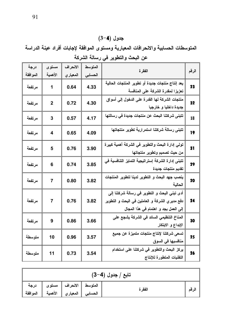## $(3-4)$  جدول

المتوسطات الحسابية والانحرافات المعيارية ومستوى الموافقة لإجابات أفراد عينة الدراسة عن البحث والتطوير فى رسالة الشركة

|       | الفقرة                                                                                                                                 | المتوسط | الانحراف  | مستوى        | درجة     |
|-------|----------------------------------------------------------------------------------------------------------------------------------------|---------|-----------|--------------|----------|
| الرقم |                                                                                                                                        | الحسابى | المعيار ي | الأهمية      | الموافقة |
| 23    | يعد إنتاج منتجات جديدة أو تطوير المنتجات الحالية<br>تعزيزا لمقدرة الشركة على المنافسة                                                  | 4.33    | 0.64      | 1            | مرتفعة   |
| 32    | منتجات الشركة لها القدرة على الدخول إلى أسواق<br>جديدة داخليا و خارجيا                                                                 | 4.30    | 0.72      | $\mathbf{2}$ | مرتفعة   |
| 18    | تتبنى شركتنا البحث عن منتجات جديدة في رسالتها                                                                                          | 4.17    | 0.57      | 3            | مرتفعة   |
| 19    | تتبنى رسالة شركتنا استمرارية تطوير منتجاتها                                                                                            | 4.09    | 0.65      | 4            | مرتفعة   |
| 31    | تولي إدارة البحث والتطوير في الشركة أهمية كبيرة<br>من حيث تصميم وتطوير منتجاتها                                                        | 3.90    | 0.76      | 5            | مرتفعة   |
| 29    | تتبنى إدارة الشركة إستراتيجية التمايز التنافسية في<br>تقديم منتجات جديدة                                                               | 3.85    | 0.74      | 6            | مرتفعة   |
| 20    | ينصب جهد البحث و التطوير لدينا لتطوير المنتجات<br>الحالية                                                                              | 3.82    | 0.80      | 7            | مرتفعة   |
| 24    | أدى تبني البحث و التطوير في رسالة شركتنا إلى<br>دفع مديري الشركة و العاملين في البحث و التطوير<br>إلى العمل بجد و اهتمام في هذا المجال | 3.82    | 0.76      | 7            | مرتفعة   |
| 30    | المناخ التنظيمي السائد في الشركة يشجع على<br>الإبداع و الابتكار                                                                        | 3.66    | 0.86      | 9            | مرتفعة   |
| 25    | تسعى شركتنا لإنتاج منتجات متميزة عن جميع<br>منافسيها في السوق                                                                          | 3.57    | 0.96      | 10           | متوسطة   |
| 26    | يركز البحث والتطوير في شركتنا على استخدام<br>التقنيات المتطورة للإنتاج                                                                 | 3.54    | 0.73      | 11           | متوسطة   |

| تابع / جدول (4–3) |  |                              |                                          |         |       |  |  |
|-------------------|--|------------------------------|------------------------------------------|---------|-------|--|--|
|                   |  |                              | المتوسط    الانحراف    مستوى    درجة<br> | الفقر ة | الرقم |  |  |
| المو افقة         |  | الحسابي   المعياري   الأهمية |                                          |         |       |  |  |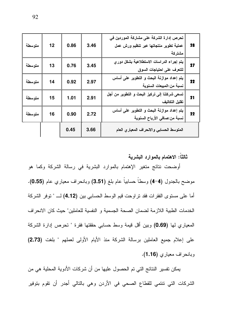| متوسطة | 12 | 0.86 | 3.46 | تحرص إدارة الشركة على مشاركة الموردين في<br>عملية تطوير منتجاتها عبر تنظيم ورش عمل<br>مشتركة | 28 |
|--------|----|------|------|----------------------------------------------------------------------------------------------|----|
| متوسطة | 13 | 0.76 | 3.45 | يتم إجراء الدراسات الاستطلاعية بشكل دوري<br>للتعرف على احتياجات السوق                        | 27 |
| متوسطة | 14 | 0.92 | 2.97 | يتم إعداد موازنـة البحث و التطوير على أساس<br>نسبة من:المبيعات السنوية                       | 22 |
| متوسطة | 15 | 1.01 | 2.91 | تسعى شركتنا إلى تركيز البحث و التطوير من أجل<br>تقليل التكاليف                               | 21 |
| متوسطة | 16 | 0.90 | 2.72 | يتم إعداد موازنـة البحث و التطوير على أساس<br>نسبة من :صافي الأرباح السنوية                  | 22 |
|        |    | 0.45 | 3.66 | المتوسط الحسابى والانحراف المعياري العام                                                     |    |

ثالثاً: الاهتمام بالموارد البشرية

أوضحت نتائج متغير الإهتمام بالموارد البشرية في رسالة الشركة وكما هو موضح بالجدول (4–4) وسطاً حسابياً عام بلغ (3.51) وبانحراف معياري عام (0.55). أما على مستوى الفقرات فقد تراوحت قيم الوسط الحسابي بين (4.12) لـــ " توفر الشركة الخدمات الطبية اللازمة لضمان الصحة الجسمية و النفسية للعاملين" حيث كان الانحراف المعياري لمها (0.69) وبين أقل قيمة وسط حسابي حققتها فقرة " تحرص إدارة الشركة على إعلام جميع العاملين برسالة الشركة منذ الأيام الأولى لعملهم " بلغت (2.73) وبانحراف معياري (1.16).

يمكن تفسير النتائج التي تم الحصول عليها من أن شركات الأدوية المحلية هي من الشركات التي تتتمي للقطاع الصحي في الأردن وهي بالتالي أجدر أن تقوم بتوفير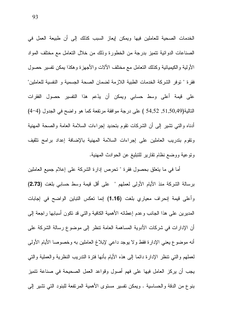الخدمات الصحية للعاملين فيها ويمكن إيعاز السبب كذلك إلىي أن طبيعة العمل في الصناعات الدو ائية نتميز بدرجة من الخطورة وذلك من خلال التعامل مع مختلف المواد الأولية والكيميائية وكذلك النعامل مع مختلف الألات والأجهزة وهكذا بمكن نفسير حصول فقرة " توفر الشركة الخدمات الطبية اللازمة لضمان الصحة الجسمية و النفسية للعاملين" على قيمة أعلى وسط حسابي ويمكن أن يدُعم هذا النفسير حصول الفقرات التالية(51,50,49, 54,52 ) على درجة موافقة مرتفعة كما هو واضح في الجدول (4-4) أدناه والني نتثنير إلىي أن الشركات نقوم بتحديد إجراءات السلامة العامة والصحة المهنية ونقوم بندريب العاملين على إجراءات السلامة المهنية بالإضافة إعداد برامج نثقيف ونوعية ووضع نظام نقارير للتبليغ عن الحوادث المهنية.

أما في ما يتعلق بحصول فقرة " تحرص إدارة الشركة على إعلام جميع العاملين برسالة الشركة منذ الأيام الأولى لعملهم " على أقل قيمة وسط حسابي بلغت (2.73) وأُعلِّي قَيمة إنحراف معياري بلغت (1.16) إنما نعكس النباين الواضح في إجابات المديرين على هذا الجانب وعدم إعطائه الأهمية الكافية والتي قد نكون أسبابها راجعة إلى أن الإدارات في شركات الأدوية المساهمة العامة تنظر إلى موضوع رسالة الشركة على أنه موضوع يعني الإدارة فقط ولا يوجد داعي لإبلاغ العاملين به وخصوصا الأيام الأولىي لمعملهم والنبي نتظر الإدارة دائما إلىي هذه الأيام بأنها فنرة الندريب النظرية والعملية والنبي يجب أن يركز العامل فيها على فهم أصول وقواعد العمل الصحيحة في صناعة تتميز بنوع من الدقة والحساسية . ويمكن نفسير مستوى الأهمية المرتفعة للبنود التي نشير إلى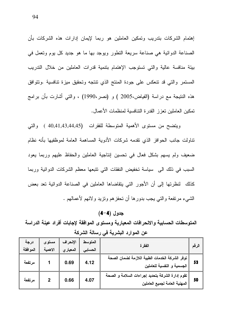إهتمام الشركات بتدريب ونمكين العاملين هو ربما لإيمان إدارات هذه الشركات بأن الصناعة الدوائية هي صناعة سريعة النطور ويوجد بها ما هو جديد كل يوم ونعمل في بيئة منافسة عالية والتي تستوجب الإهتمام بتتمية قدرات العاملين من خلال التدريب المستمر والتي قد نتعكس على جودة المنتج الذي نتنجه وتحقيق ميزة نتافسية .ونتوافق هذه النتيجة مع دراسة (الفياض،2005 ) و (نصر،1990) ، والتبي أشارت بأن برامج تمكين العاملين تعزز القدرة النتافسية لمنظمات الأعمال.

ويتضح من مستوى الأهمية المتوسطة للفقرات (4,41,43,44,45 ) والتي نتاولت جانب الحوافز الذي نقدمه شركات الأدوية المساهمة العامة لموظفيها بأنه نظام ضعيف ولم يسهم بشكل فعال في نحسين إنتاجية العاملين والحفاظ عليهم وربما يعود السبب في ذلك الى سياسة تخفيض النفقات التي تتبعها معظم الشركات الدوائية وربما كذلك لنظرتها إلى أن الأجور التي يتقاضاها العاملين في الصناعة الدوائية تعد بعض الشيء مرتفعة والتبي يجب بدورها أن تحفزهم ونزيد ولائهم لأعمالهم .

#### $(-4)$  جدول

المتوسطات الحسابية والانحرافات المعيارية ومستوى الموافقة لإجابات أفراد عينة الدراسة عن الموارد البشرية في رسالة الشركة

| الرقم | الفقر ة                                                                              | المتوسط<br>الحسابى | الإنحراف<br>المعيار ي | مستوى<br>الاهمية | درجة<br>الموافقة |
|-------|--------------------------------------------------------------------------------------|--------------------|-----------------------|------------------|------------------|
| 53    | توفر الشركة الخدمات الطبية اللازمة لضمان الصحة<br> <br>   الجسمية و النفسية للعاملين | 4.12               | 0.69                  |                  | مرتفعة           |
| 50    | تقوم إدارة الشركة بتحديد إجراءات السلامة و الصحة<br>   المهنية العامة لجميع العاملين | 4.07               | 0.66                  |                  | مرتفعة           |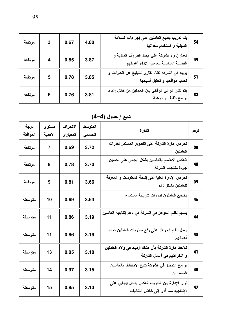| 54    | يتم تدريب جميع العاملين على إجراءات السلامة<br>المهنية و استخدام معداتها                | 4.00    | 0.67      | 3       | مرتفعة   |  |  |  |
|-------|-----------------------------------------------------------------------------------------|---------|-----------|---------|----------|--|--|--|
| 49    | تعمل إدارة الشركة على إيجاد الظروف المادية و<br>النفسية المناسبة للعاملين لأداء أعمالهم | 3.87    | 0.85      | 4       | مرتفعة   |  |  |  |
| 51    | يوجد في الشركة نظام تقارير للتبليغ عن الحوادث و<br>تحديد مواقعها و تحليل أسبابها        | 3.85    | 0.78      | 5       | مرتفعة   |  |  |  |
| 52    | يتم نشر الوعي الوقائي بين العاملين من خلال إعداد<br>برامج تثقيف و توعية                 | 3.81    | 0.76      | 6       | مرتفعة   |  |  |  |
|       | تابع / جدول (4-4)                                                                       |         |           |         |          |  |  |  |
|       |                                                                                         | المتوسط | الإنحراف  | مستوى   | درجة     |  |  |  |
| الرقم | الفقر ة                                                                                 | الحسابى | المعيار ي | الاهمية | الموافقة |  |  |  |
| 38    | تحرص إدارة الشركة على التطوير المستمر لقدرات<br>العاملين                                | 3.72    | 0.69      | 7       | مرتفعة   |  |  |  |
| 48    | انعكس الاهتمام بالعاملين بشكل إيجابي على تحسين<br>جودة منتجات الشركة                    | 3.70    | 0.78      | 8       | مرتفعة   |  |  |  |
| 39    | تحرص الإدارة العليا على إتاحة المعلومات و المعرفة<br>للعاملين بشكل دائم                 | 3.66    | 0.81      | 9       | مرتفعة   |  |  |  |
| 46    | يخضع العاملون لدورات تدريبية مستمرة                                                     | 3.64    | 0.69      | 10      | متوسطة   |  |  |  |
| 44    | يسهم نظام الحوافز في الشركة في دعم إنتاجية العاملين                                     | 3.19    | 0.86      | 11      | متوسطة   |  |  |  |
| 45    | يعمل نظام الحوافز على رفع معنويات العاملين تجاه<br>أعمالهم                              | 3.19    | 0.86      | 11      | متوسطة   |  |  |  |
| 41    | تلاحظ إدارة الشركة بأن هناك ازدياد فى ولاء العاملين<br>و انخراطهم في أعمال الشركة       | 3.18    | 0.85      | 13      | متوسطة   |  |  |  |
| 40    | برامج التحفيز في الشركة تتيح الاحتفاظ بالعاملين<br>المتميزين                            | 3.15    | 0.97      | 14      | متوسطة   |  |  |  |
| 47    | ترى الإدارة بأن التدريب انعكس بشكل إيجابى على<br>الإنتاجية مما أدى إلى خفض التكاليف     | 3.13    | 0.95      | 15      | متوسطة   |  |  |  |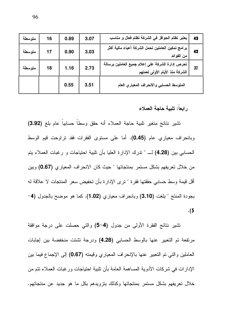| متوسطة | 16 | 0.89 | 3.07 | يعتبر نظام الحوافز في الشركة نظام فعال و مناسب                                              | 43 |
|--------|----|------|------|---------------------------------------------------------------------------------------------|----|
| متوسطة | 17 | 0.90 | 3.03 | برامج تمكين العاملين تحمل الشركة أعباء مالية أكثر<br>من الفوائد                             | 42 |
| متوسطة | 18 | 1.16 | 2.73 | تحرص إدارة الشركة على إعلام جميع العاملين برسالة<br> <br>   الشركة منذ الأيام الأولى لعملهم | 37 |
|        |    | 0.55 | 3.51 | المتوسط الحسابي والانحراف المعياري العام                                                    |    |

رابعاً: تلبية حاجة العملاء

نتثمير نتائج متغير نلبية حاجة العملاء أنه حقق وسطاً حسابياً عام بلغ (3.92) وبانحراف معياري عام (0.45). أما على مستوى الفقرات فقد نراوحت قيم الوسط الحسابي بين (4.28) لـــ " تدرك الإدارة العليا بأن تلبية احتياجات و رغبات العملاء يتم من خلال تعريفهم بشكل مستمر بمنتجاتها " حيث كان الانحراف المعياري (0.67) وبين أقل قيمة وسط حسابي حققتها فقرة " نترى الإدارة بأن تخفيض سعر المنتجات لا علاقة له بجودة المنتج " بلغت (3.10) وبانحراف معياري (1.02). كما هو موضح بالجدول (4- $\cdot (5)$ 

نشير نتائج الفقرة الأولى من جدول (4-5) والتي حصلت على درجة موافقة مرتفعة تم التعبير عنها بالوسط الحسابي (4.28) ودرجة تشتت منخفضة بين إجابات العاملين والتبي تم التعبير عنها بالإنحراف المعياري وقيمته (0.67) إلى الإجماع فيما بين الإدارات في شركات الأدوية المساهمة العامة بأن تلبية احتياجات ورغبات العملاء نتم من خلال تعريفهم بشكل مستمر بمنتجاتها وكذلك بتزويدهم بكل ما هو جديد عن منتجاتهم.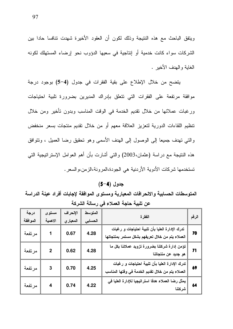ويتفق الباحث مع هذه النتيجة وذلك لكون أن العقود الأخيرة شهدت تنافسا حادا بين الشركات سواء كانت خدمية أو اِنتاجية في سعيها الدؤوب نحو إرضاء المستهلك لكونه الغاية والهدف الأخير .

يتضح من خلال الإطلاع على بقية الفقرات في جدول (4-5) بوجود درجة موافقة مرتفعة على الفقرات التي نتعلق بإدراك المديرين بضرورة تلبية احتياجات ورغبات عملائها من خلال نقديم الخدمة في الوقت المناسب وبدون نأخير ومن خلال تتظيم اللقاءات الدورية لتعزيز العلاقة معهم أو من خلال تقديم منتجات بسعر منخفض والتي تهدف جميعا إلى الوصول إلى الهدف الأسمى وهو تحقيق رضا العميل ، ونتوافق هذه الننتيجة مع دراسة (عثمان،2003) والتي أشارت بأن أهم العوامل الإستراتيجية التي تستخدمها شركات الأدوية الأردنية هي الجودة،المرونة،الزمن،والسعر .

#### $(-4)$  جدول

المتوسطات الحسابية والانحرافات المعيارية ومستوى الموافقة لإجابات أفراد عينة الدراسة عن تلبية حاجة العملاء في رسالة الشركة

| درجة<br>الموافقة | مستوى<br>الاهمية | الإنحراف<br>المعيار ي | المتوسط<br>الحسابى | الفقر ة                                                                                             | الرقم |
|------------------|------------------|-----------------------|--------------------|-----------------------------------------------------------------------------------------------------|-------|
| مرتفعة           | 1                | 0.67                  | 4.28               | تدرك الإدارة العليا بأن تلبية احتياجات و رغبات<br>العملاء يتم من خلال تعريفهم بشكل مستمر بمنتجاتها  | 70    |
| مرتفعة           | $\mathbf{2}$     | 0.62                  | 4.28               | تؤمن إدارة شركتنا بضرورة تزويد عملائنا بكل ما<br>هو جديد عن منتجاتنا                                | 71    |
| مرتفعة           | 3                | 0.70                  | 4.25               | تدرك الإدارة العليا بأن تلبية احتياجات و رغبات<br>العملاء يتم من خلال تقديم الخدمة في وفتها المناسب | 69    |
| مرتفعة           | 4                | 0.74                  | 4.22               | يمثل رضا العملاء هدفا استراتيجيا للإدارة العليا في<br>شركتنا                                        | 64    |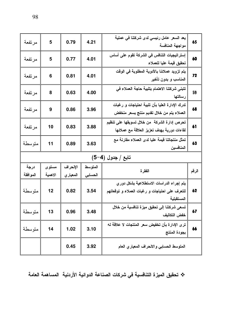| 65    | يعد السعر عامل رئيسي لدى شركتنا في عملية<br>مواجهة المنافسة                                 | 4.21               | 0.79                  | 5                | مرتفعة           |
|-------|---------------------------------------------------------------------------------------------|--------------------|-----------------------|------------------|------------------|
| 60    | إستراتيجيات التنافس في الشركة تقوم على أساس<br>تحقيق قيمة عليا للعملاء                      | 4.01               | 0.77                  | 5                | مرتفعة           |
| 72    | يتم تزويد عملائنا بالأدوية المطلوبة في الوقت<br>المناسب و بدون تأخير                        | 4.01               | 0.81                  | 6                | مرتفعة           |
| 59    | تتبنى شركتنا الاهتمام بتلبية حاجة العملاء في<br>رسالتها                                     | 4.00               | 0.63                  | 8                | مرتفعة           |
| 68    | تدرك الإدارة العليا بأن تلبية احتياجات و رغبات<br>العملاء يتم من خلال تقديم منتج بسعر منخفض | 3.96               | 0.86                  | 9                | مرتفعة           |
| 61    | تحرص إدارة الشركة من خلال تسويقها على تنظيم<br>لقاءات دورية بهدف تعزيز العلاقة مع عملائها   | 3.88               | 0.83                  | 10               | مرتفعة           |
| 63    | تمثل منتجاتنا قيمة عليا لدى العملاء مقارنة مع<br>المنافسين                                  | 3.63               | 0.89                  | 11               | متوسطة           |
|       | تابع / جدول (4-5)                                                                           |                    |                       |                  |                  |
| الرقم | الفقر ة                                                                                     | المتوسط<br>الحسابى | الإنحراف<br>المعيار ي | مستوى<br>الاهمية | درجة<br>الموافقة |
|       | يتم إجراء الدراسات الاستطلاعية بشكل دوري                                                    |                    |                       |                  |                  |
| 62    | للتعرف على احتياجات و رغبات العملاء و توقعاتهم<br>المستقبلية                                | 3.54               | 0.82                  | 12               | متوسطة           |
| 67    | تسعى شركتنا إلى تحقيق ميزة تنافسية من خلال<br>خفض التكاليف                                  | 3.48               | 0.96                  | 13               | متوسطة           |
| 66    | تر ي الإدار ة بأن تخفيض سعر المنتجات لا علاقة له<br>بجودة المنتج                            | 3.10               | 1.02                  | 14               | متوسطة           |

\* تحقيق الميزة التنافسية في شركات الصناعة الدوائية الأردنية المساهمة العامة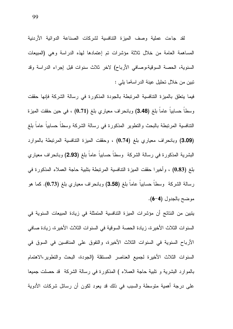لقد جاءت عملية وصف الميزة النتافسية لشركات الصناعة الدوائية الأردنية المساهمة العامة من خلال ثلاثة مؤشرات تم إعتمادها لهذه الدراسة وهي (المبيعات السنوية، الحصة السوقية،وصافى الأرباح) لاخر ثلاث سنوات قبل إجراء الدراسة وقد نبين من خلال تحليل عينة الدراسةما يلي :

فيما يتعلق بالميزة التنافسية المرتبطة بالجودة المذكورة في رسالة الشركة فإنها حققت وسطا حسابيا عاما بلغ (3.48) وبانحراف معياري بلغ (0.71) ، في حين حققت الميزة النتافسية المرتبطة بالبحث والنطوير المذكورة في رسالة الشركة وسطا حسابيا عاما بلغ (3.09) وبانحراف معياري بلغ (0.74) ، وحققت الميزة النتافسية المرتبطة بالموارد البشرية المذكورة في رسالة الشركة وسطا حسابيا عاما بلغ (2.93) وبانحراف معياري بلغ (0.83) ، وأخيرًا حققت الميزة النتافسية المرتبطة بتلبية حاجة العملاء المذكورة في رسالة الشركة وسطا حسابيا عاما بلغ (3.58) وبانحراف معياري بلغ (0.73). كما هو موضح بالجدول (4-6).

يتبين من النتائج أن مؤشرات الميزة التنافسية المتمثلة في زيادة المبيعات السنوية في السنوات الثلاث الأخير ة، زيادة الحصة السوقية في السنوات الثلاث الأخير ة، زيادة صافي الأرباح السنوية في السنوات الثلاث الأخيرة، والنفوق على المنافسين في السوق في السنوات الثلاث الأخيرة لجميع العناصر المستقلة (الجودة، البحث والتطوير،الاهتمام بالموارد البشرية و تلبية حاجة العملاء ) المذكورة في رسالة الشركة قد حصلت جميعا على درجة أهمية متوسطة والسبب في ذلك قد يعود لكون أن رسائل شركات الأدوية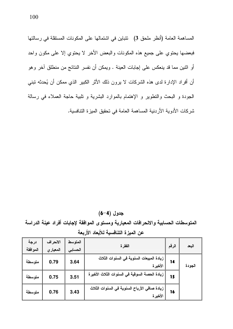المساهمة العامة (أنظر ملحق 3) نتباين في اشتمالها على المكونات المستقلة في رسالتها فبعضها يحتوي على جميع هذه المكونات والبعض الأخر لا يحتوي إلا على مكون واحد أو اثنين مما قد ينعكس على إجابات العينة . ويمكن أن نفسر النتائج من منطلق آخر وهو أن أفراد الإدارة لدى هذه الشركات لا يرون ذلك الأثر الكبير الذي ممكن أن يُحدثه تبني الجودة و البحث والنطوير و الإهتمام بالموارد البشرية و نلبية حاجة العملاء في رسالة شركات الأدوية الأردنية المساهمة العامة في تحقيق الميزة التنافسية.

#### $(6-4)$  جدول

المتوسطات الحسابية والانحرافات المعيارية ومستوى الموافقة لإجابات أفراد عينة الدراسة عن الميزة التنافسية للأبعاد الأريعة

| درجة<br>الموافقة | الانحراف<br>المعيار ي | المتوسط<br>التسابى | الفقرة                                                  | الرقم | البعد  |
|------------------|-----------------------|--------------------|---------------------------------------------------------|-------|--------|
| متوسطة           | 0.79                  | 3.64               | زيادة المبيعات السنوية في السنوات الثلاث<br>الأخير ة    | 14    | الجودة |
| متوسطة           | 0.75                  | 3.51               | زيادة الحصة السوقية في السنوات الثلاث الأخيرة           | 15    |        |
| متوسطة           | 0.76                  | 3.43               | زيادة صافي الأرباح السنوية في السنوات الثلاث<br>الأخيرة | 16    |        |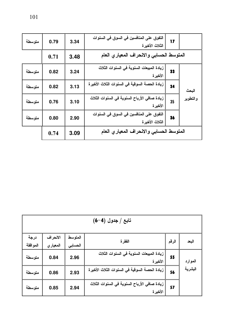| متوسطة | 0.79 | 3.34 | التفوق على المنافسين في السوق في السنوات<br>الثلاث الأخيرة | 17 |          |
|--------|------|------|------------------------------------------------------------|----|----------|
|        | 0.71 | 3.48 | المتوسط الحسابي والانحراف المعيار يالعام                   |    |          |
| متوسطة | 0.82 | 3.24 | زيادة المبيعات السنوية في السنوات الثلاث<br>الأخير ة       | 33 |          |
| متوسطة | 0.82 | 3.13 | زيادة الحصة السوقية في السنوات الثلاث الأخيرة              | 34 | البحث    |
| متوسطة | 0.76 | 3.10 | زيادة صافي الأرباح السنوية في السنوات الثلاث<br>الأخير ة   | 35 | والتطوير |
| متوسطة | 0.80 | 2.90 | التفوق على المنافسين في السوق في السنوات<br>الثلاث الأخيرة | 36 |          |
|        | 0.74 | 3.09 | المتوسط الحسابي والانحراف المعياري العام                   |    |          |

| تابع / جدول (4–6) |                       |                    |                                                          |       |         |  |  |  |  |  |
|-------------------|-----------------------|--------------------|----------------------------------------------------------|-------|---------|--|--|--|--|--|
| درجة<br>الموافقة  | الانحراف<br>المعيار ي | المتوسط<br>الحسابى | الفقر ة                                                  | الرقم | البعد   |  |  |  |  |  |
| متوسطة            | 0.84                  | 2.96               | زيادة المبيعات السنوية في السنوات الثلاث<br>الأخيرة      | 55    | الموارد |  |  |  |  |  |
| متوسطة            | 0.86                  | 2.93               | زيادة الحصة السوقية في السنوات الثلاث الأخيرة            | 56    | البشرية |  |  |  |  |  |
| متوسطة            | 0.85                  | 2.94               | زيادة صافي الأرباح السنوية في السنوات الثلاث<br>الأخير ة | 57    |         |  |  |  |  |  |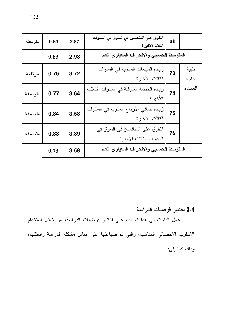| متوسطة | 0.83 | 2.87 | التفوق على المنافسين في السوق في السنوات<br>الثلاث الأخيرة | 58 |               |
|--------|------|------|------------------------------------------------------------|----|---------------|
|        | 0.83 | 2.93 | المتوسط الحسابي والانحراف المعيار يالعام                   |    |               |
| مرتفعة | 0.76 | 3.72 | زيادة المبيعات السنوية في السنوات<br>الثلاث الأخير ة       | 73 | نلبية<br>حاجة |
| متوسطة | 0.77 | 3.64 | زيادة الحصة السوقية في السنوات الثلاث<br>الأخيرة           | 74 | العملاء       |
| متوسطة | 0.84 | 3.58 | زيادة صافي الأرباح السنوية في السنوات<br>الثلاث الأخيرة    | 75 |               |
| متوسطة | 0.83 | 3.39 | النفوق على المنافسين في السوق في<br>السنوات الثلاث الأخيرة | 76 |               |
|        | 0.73 | 3.58 | المتوسط الحسابى والانحراف المعيار ي العام                  |    |               |

3-4 اختبار فرضيات الدراسة عمل الباحث في هذا الجانب على اختبار فرضيات الدراسة، من خلال استخدام الأسلوب الإحصائي المناسب، والتي تم صباغتها على أساس مشكلة الدراسة وأسئلتها، وذلك كما بلي: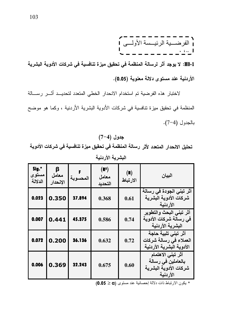# 

H0-1: لا يوجد أثر لرسالة المنظمة في تحقيق ميزة تنافسية في شركات الأدوية البشرية الأردنية عند مستوى دلالة معنوية (0.05).

لاختبار هذه الفرضية تم استخدام الانحدار الخطى المتعدد لتحديــد أثـــر رســـالة المنظمة في تحقيق ميزة تنافسية في شركات الأدوية البشرية الأردنية ، وكما هو موضح بالجدول (4-7).

تحليل الانحدار المتعدد لأثر رسالة المنظمة في تحقيق ميزة تنافسية في شركات الأدوية البشرية الأردنية

 $(7-4)$  جدول

| Sig.*<br>مستوى<br>الدلالة | β<br>معامل<br>الإنحدار | المحسوبة | (R <sup>2</sup> )<br>معامل<br>التحديد | (R)<br>الارتباط | البيان                                                                        |
|---------------------------|------------------------|----------|---------------------------------------|-----------------|-------------------------------------------------------------------------------|
| 0.023                     | 0.350                  | 37.894   | 0.368                                 | 0.61            | أثر تبنى الجودة فى رسالة<br>شركات الأدوية البشرية<br>الأر دنية                |
| 0.007                     | 0.441                  | 45.375   | 0.586                                 | 0.74            | أثر تبنى البحث والتطوير<br>في رسالة شركات الأدوية<br>البشرية الأردنية         |
| 0.072                     | 0.200                  | 36.136   | 0.632                                 | 0.72            | أثر تبنى تلبية حاجة<br>العملاء في رسالة شركات<br>الأدوية البشرية الأردنية     |
| 0.006                     | 0.369                  | 32.243   | 0.675                                 | 0.60            | أثر تبنى الاهتمام<br>بالعاملين في رسالة<br>شركات الأدوية البشرية<br>الأر دنبة |

\* يكون الارتباط ذات دلالة إحصائية عند مستوى (0.05 ≥ 0.05)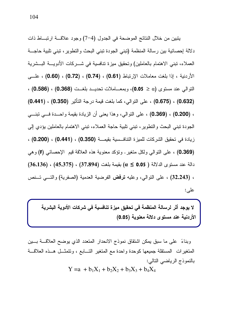يتبين من خلال النتائج الموضحة في الجدول (4–7) وجود علاقـــة ارتبـــاط ذات دلالة إحصائية بين رسالة المنظمة (تبني الجودة تبني البحث والتطوير ، تبني تلبية حاجـــة العملاء، تبني الاهتمام بالعاملين) وتحقيق ميزة تنافسية في شـــركات الأدويــــة البـــشرية الأردنية ، إذا بلغت معاملات الإرتباط (**0.61) ، (0.74) ، (0.72) ، (0.60) ،** علـــي التوالي عند مستوى (α ≤ 0.**05)،** وبمعـــاملات تحديـــد بلغـــت (0.368) (0.586) ، (0.586) (0.632) ، (0.675) ، على النوالي، كما بلغت قيمة درجة النأثير (0.350) ، (0.441) **(0.441**) ، **(0.200) (0.369)** ، على النوالي، وهذا يعني أن الزيادة بقيمة واحـــدة فـــي ننبنـــي الجودة تبني البحث والتطوير ، تبني تلبية حاجة العملاء، تبني الاهتمام بالعاملين يؤدي إلىي زيادة في تحقيق الشركات للميزة النتافـــسية بقيمـــة **(0.350) ، (0.441) ، (0.200)** ، (0.369) ، على النوالي ولكل منغير . ونؤكد معنوية هذه العلاقة قيم الإحصائي (F) و هي  $(36.136)\cdot (45.375)\cdot (37.894)$  دالة عند مستوى الدلالة  $(\alpha \leq 0.05$  ) بقيمة بلغت ، (32.243) ، على النوالي، وعليه ترفض الفرضية العدمية (الصفرية) والتسي تسنص  $:$   $\mathbb{L}$ 

 $\overline{a}$ الأردنية عند مستوى دلالة معنوية (0.05) لا يوجد أثر لرسالة المنظمة في تحقيق ميزة تنافسية في شركات الأدوية البشرية

وبناءً على ما سبق يمكن اشتقاق نموذج الانحدار المتعدد الذي يوضح العلاقـــة بـــين المتغيرات المستقلة جميعها كوحدة واحدة مع المتغير التـــابـع ، وتتمثـــل هـــذه الـعلاقـــة بالنموذج الرياضـي التالـي:  $Y = a + b_1X_1 + b_2X_2 + b_3X_3 + b_4X_4$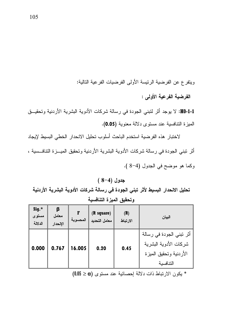ويتفرع عن الفرضية الرئيسة الأولى الفرضيات الفرعية التالية:

الفرضية الفرعية الأولى :

H0-1-1: لا يوجد أثر لتبني الجودة في رسالة شركات الأدوية البشرية الأردنية وتحقيــق الميزة النتافسية عند مستوى دلالة معنوية (0.05).

لاختبار هذه الفرضية استخدم الباحث أسلوب تحليل الانحدار الخطى البسيط لإيجاد أثر تبني الجودة في رسالة شركات الأدوية البشرية الأردنية وتحقيق الميــزة التتافــسية ، وكما هو موضح في الجدول (4-8 ).

#### $(8-4)$  جدول

تحليل الانحدار البسيط لأثر تبني الجودة في رسالة شركات الأدوية البشرية الأردنية وتحقيق الميزة التنافسية

| Sig.*<br>مستوى<br>الدلالة | β<br>معامل<br>الإنحدار | $\mathbf{F}$<br>المحسوبة | (R square)<br>معامل التحديد | (R)<br>الارتباط | البيان                                                                                   |
|---------------------------|------------------------|--------------------------|-----------------------------|-----------------|------------------------------------------------------------------------------------------|
| 0.000                     | 0.767                  | 16.005                   | 0.20                        | 0.45            | أثر نبني الجودة في رسالة<br>شركات الأدوية البشرية<br>الأردنية وتحقيق المبزة<br>التنافسية |

\* يكون الارتباط ذات دلالة إحصائية عند مستوى (0.05 ≥ 0.05)

105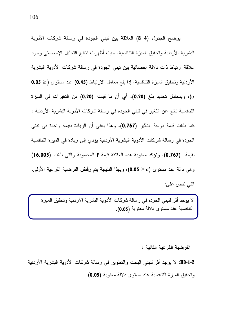يوضح الجدول (4–8) العلاقة بين نبني الجودة في رسالة شركات الأدوية البشرية الأردنية وتحقيق الميزة النتافسية. حيث أظهرت نتائج التحليل الإحصائي وجود علاقة ارتباط ذات دلالة إحصائية بين تبني الجودة في رسالة شركات الأدوية البشرية  $0.05 \geq$ الأردنية وتحقيق الميزة النتافسية، إذا بلغ معامل الارتباط (0.45) عند مستوى ( $\leq 0.05$ )، وبمعامل تحديد بلغ (0.20)، أي أن ما قيمته (0.20) من التغيرات في الميزة التنافسية ناتج عن التغير في تبني الجودة في رسالة شركات الأدوية البشرية الأردنية ، كما بلغت فيمة درجة التأثير (0.767)، وهذا يعني أن الزيادة بقيمة واحدة في تبني الجودة في رسالة شركات الأدوية البشرية الأردنية يؤدي إلى زيادة في الميزة التنافسية بقيمة (0.767). وتؤكد معنوية هذه العلاقة قيمة F المحسوبة والتي بلغت (16.005) وهي دالة عند مستوى (Ω ≤ 2 0.05)، وبهذا النتيجة بتم **رفض** الفرضية الفرعية الأولى، التي نتص على:

لا يوجد أثر لتبني الجودة في رسالة شركات الأدوية البشرية الأردنية وتحقيق الميزة التنافسية عند مستوى دلالة معنوية (0.05).

الفرضية الفرعية الثانية :

H0-1-2: لا يوجد أثر لنبني البحث والنطوير في رسالة شركات الأدوية البشرية الأردنية وتحقيق الميزة التنافسية عند مستوى دلالة معنوية (0.05).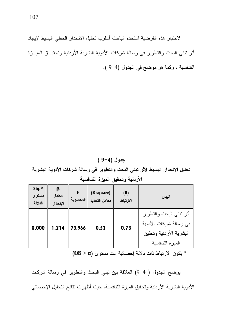لاختبار هذه الفرضية استخدم الباحث أسلوب تحليل الانحدار الخطى البسيط لإيجاد أثر تبني البحث والنطوير في رسالة شركات الأدوية البشرية الأردنية وتحقيــق الميـــزة التنافسية ، وكما هو موضح في الجدول (4-9 ).

 $(9-4)$  جدول تحليل الانحدار البسيط لأثر تبني البحث والتطوير في رسالة شركات الأدوية البشرية الأردنية وتحقيق الميزة التنافسية

| Sig.*<br>مستوى<br>الدلالة | β<br>معامل<br>الإنحدار | F<br>المحسوبة | (R square)<br>معامل التحديد | (R)<br>الارتباط | البيان                                                                                             |
|---------------------------|------------------------|---------------|-----------------------------|-----------------|----------------------------------------------------------------------------------------------------|
| 0.000                     | 1.214                  | 73.966        | 0.53                        | 0.73            | أثر ننبنى البحث والنطوير<br>في رسالة شركات الأدوية<br>البشرية الأردنية وتحقيق<br>الميز ة التنافسية |

\* يكون الارتباط ذات دلالة إحصائية عند مستوى (0.05 ≥ 0.05)

يوضح الجدول ( 4–9) العلاقة بين تبني البحث والتطوير في رسالة شركات الأدوية البشرية الأردنية وتحقيق الميزة التنافسية. حيث أظهرت نتائج التحليل الإحصائي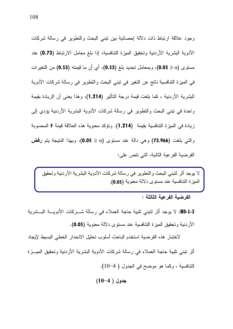وجود علاقة ارتباط ذات دلالة إحصائية بين تبني البحث والتطوير في رسالة شركات الأدوية البشرية الأردنية وتحقيق الميزة التنافسية، إذا بلغ معامل الارتباط (0.73) عند مستوى (0.0 < 0.05)، وبمعامل تحديد بلغ (0.53)، أي أن ما قيمته (0.53) من التغيرات في الميزة التنافسية ناتج عن التغير في تبني البحث والتطوير في رسالة شركات الأدوية البشرية الأردنية ، كما بلغت قيمة درجة التأثير (1.214)، وهذا يعني أن الزيادة بقيمة واحدة في نبني البحث والنطوير في رسالة شركات الأدوية البشرية الأردنية يؤدي إلى زيادة في الميزة التنافسية بقيمة (1.214). وتؤكد معنوية هذه العلاقة قيمة F المحسوبة والتي بلغت (73.966) وهي دالة عند مستوى (a ≤ 0.05)، وبهذا النتيجة بتم رفض الفرضية الفرعية الثانية، التي نتص علي:

لا يوجد أثر لتبني البحث والتطوير في رسالة شركات الأدوية البشرية الأردنية وتحقيق الميزة التنافسية عند مستوى دلالة معنوية (0.05).

الفرضبة الفرعبة الثالثة :

3-H0-1: لا يوجد أثر لنبني نلبية حاجة العملاء في رسالة شـــركات الأدويــــة البـــشرية الأردنية وتحقيق الميزة التنافسية عند مستوى دلالة معنوية (0.05).

لاختبار هذه الفر ضية استخدم الباحث أسلوب تحليل الانحدار الخطى البسيط لإيجاد أثر تبني تلبية حاجة العملاء في رسالة شركات الأدوية البشرية الأردنية وتحقيق الميـــزة التنافسية ، وكما هو موضح في الجدول (4-10).

 $(10-4)$  جدول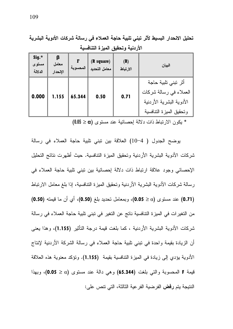| Sig.*<br>مستوى<br>الدلالة | β<br>معامل<br>الإنحدار | F<br>المحسوبة | (R square)<br>معامل التحديد | (R)<br>الارتباط | البيان                                                                                               |
|---------------------------|------------------------|---------------|-----------------------------|-----------------|------------------------------------------------------------------------------------------------------|
| 0.000                     | 1.155                  | 65.344        | 0.50                        | 0.71            | أثر تبني تلبية حاجة<br>العملاء في رسالة شركات<br>الأدوية البشرية الأردنية<br>وتحقيق المبزة التنافسية |

تحليل الانحدار البسيط لأثر تبني تلبية حاجة العملاء في رسالة شركات الأدوية البشرية الأردنية وتحقيق الميزة التنافسية

 $(0.05 \geq \alpha)$  يكون الارتباط ذات دلالة إحصائية عند مستوى  $\alpha$ 

يوضح الجدول ( 4–10) العلاقة بين تبني تلبية حاجة العملاء في رسالة شركات الأدوية البشرية الأردنية وتحقيق الميزة التنافسية. حيث أظهرت نتائج التحليل الإحصائي وجود علاقة ارتباط ذات دلالة إحصائية بين نبني تلبية حاجة العملاء في رسالة شركات الأدوية البشرية الأردنية وتحقيق الميزة التنافسية، إذا بلغ معامل الارتباط  $(0.50)$  عند مستوى  $\alpha$   $\geq 0.05$ ، وبمعامل تحديد بلغ  $(0.50)$ ، أي أن ما قيمته  $(0.71)$ من النغيرات في الميزة التنافسية ناتج عن النغير في نبني نلبية حاجة العملاء في رسالة شركات الأدوية البشرية الأردنية ، كما بلغت قيمة درجة التأثير (1.155)، وهذا يعني أن الزيادة بقيمة واحدة في تبني تلبية حاجة العملاء في رسالة الشركة الأردنية لإنتاج الأدوية يؤدي إلى زيادة في الميزة النتافسية بقيمة (1.155). وتؤكد معنوية هذه العلاقة قيمة F المحسوبة والتبي بلغت (65.344) وهي دالة عند مستوى (0.0 < 0.05)، وبهذا النتيجة يتم **رفض** الفرضية الفرعية الثالثة، التي تتص على: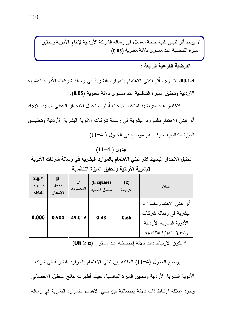لا يوجد أثر لتبني تلبية حاجة العملاء في رسالة الشركة الأردنية لإنتاج الأدوية وتحقيق الميزة التنافسية عند مستوى دلالة معنوية (0.05).

الفرضية الفرعية الرابعة :

H0-1-4: لا يوجد أثر لننبي الاهتمام بالموارد البشرية في رسالة شركات الأدوية البشرية الأردنية وتحقيق الميزة التنافسية عند مستوى دلالة معنوية (0.05).

لاختبار هذه الفرضية استخدم الباحث أسلوب تحليل الانحدار الخطى البسيط لإيجاد أثر تبني الاهتمام بالموارد البشرية في رسالة شركات الأدوية البشرية الأردنية وتحقيــق الميزة التتافسية ، وكما هو موضح في الجدول ( 4-11).

### $(11-4)$  جدول

تحليل الانحدار البسيط لأثر تبني الاهتمام بالموارد البشرية في رسالة شركات الأدوية البشرية الأردنية وتحقيق المبزرة التنافسية

| Sig.*<br>مستوى<br>الدلالة | β<br>معامل<br>الإنحدار | F<br>المحسوبة | (R square)<br>معامل التحديد | (R)<br>الارتباط | البيان                                                                                                       |
|---------------------------|------------------------|---------------|-----------------------------|-----------------|--------------------------------------------------------------------------------------------------------------|
| 0.000                     | 0.984                  | 49.019        | 0.43                        | 0.66            | أثر ننبنى الاهتمام بالموارد<br>البشرية في رسالة شركات<br>الأدوية البشرية الأردنية<br>وتحقيق المبزة التنافسية |

\* يكون الارتباط ذات دلالة اِحصائية عند مستوى (0.05 ≥ 0.05)

يوضح الجدول (4–11) العلاقة بين تبني الاهتمام بالموارد البشرية في شركات الأدوية البشرية الأردنية وتحقيق الميزة التنافسية. حيث أظهرت نتائج التحليل الإحصائي وجود علاقة ارتباط ذات دلالة إحصائية بين تبني الاهتمام بالموارد البشرية في رسالة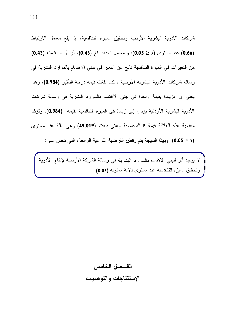شركات الأدوية البشرية الأردنية وتحقيق الميزة التنافسية، إذا بلغ معامل الارتباط (0.66) عند مستوى (0.05  $\alpha$ )، وبمعامل تحديد بلغ (0.43)، أي أن ما قيمته (0.43) من التغيرات في الميزة التنافسية ناتج عن التغير في تبني الاهتمام بالموارد البشرية في رسالة شركات الأدوية البشرية الأردنية ، كما بلغت قيمة درجة التأثير (0.984)، وهذا يعني أن الزيادة بقيمة واحدة في تبني الاهتمام بالموارد البشرية في رسالة شركات الأدوية البشرية الأردنية يؤدي إلى زيادة في الميزة التنافسية بقيمة (0.984). وتؤكد معنوية هذه العلاقة قيمة F المحسوبة والتي بلغت (49.019) وهي دالة عند مستوى (Ω.05 ≥ 0.05)، وبهذا النتيجة يتم رفض الفرضية الفرعية الرابعة، التي تتص على:

لا يوجد أثر لتبني الاهتمام بالموارد البشربة في رسالة الشركة الأردنية لإنتاج الأدوية وتحقيق الميزة التنافسية عند مستوى دلالة معنوية (0.05).

> الفسصل الخامس الإستنتاجات والتوصيات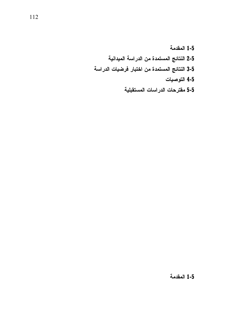- 1-5
- 5-2 النتائج المستمدة من الدراسة الميدانية
- 3-5 النتائج المستمدة من اختبار فرضيات الدراسة
	- 4-5 التوصيات
	- 5-5 مقترحات الدر اسات المستقبلية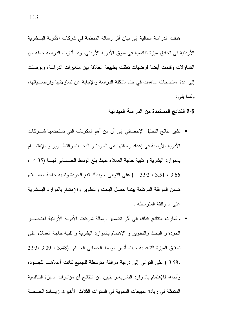هدفت الدراسة الحالية إلى بيان أثر رسالة المنظمة في شركات الأدوية البــشرية الأردنية في تحقيق ميزة تنافسية في سوق الأدوية الأردني. وقد أثارت الدراسة جملة من النساؤلات وقدمت أيضا فرضيات نعلقت بطبيعة العلاقة بين متغيرات الدراسة، ونوصلت إلى عدة استتناجات ساهمت في حل مشكلة الدراسة والإجابة عن تساؤلاتها وفرضـــباتها، وكما يلي:

5-2 النتائج المستمدة من الدر اسة المبدانية

- نشير نتائج التحليل الإحصائي إلى أن من أهم المكونات التي تستخدمها شـــركات الأدوية الأردنية في إعداد رسالتها هي الجودة و البحــث والنطـــوير و الإهتمــــام بالموارد البشرية و تلبية حاجة العملاء حيث بلغ الوسط الحــسابي لهــا (4.35 ، 3.66 ، 3.51 ، 3.92 ) على النوالي ، وبذلك نقع الجودة وتلبية حاجة العصـلاء ضمن الموافقة المرتفعة ببنما حصل البحث والنطوير والإهتمام بالموارد البسشرية على الموافقة المنوسطة .
- وأشارت النتائج كذلك الى أثر نضمين رسالة شركات الأدوية الأردنية لعناصـــر الجودة و البحث والنطوير و الإهتمام بالموارد البشرية و نلبية حاجة العملاء على تحقيق الميزة التنافسية حيث أشار الوسط الحسابي العسام (3.48 ، 3.09 ،3.23 3.58٠ ) على النوالي إلى درجة موافقة متوسطة للجميع كانت أعلاهـــا للجـــودة وأدناها للإهتمام بالموارد البشرية.و يتبين من النتائج أن مؤشرات الميزة التنافسية المتمثلة في زيادة المبيعات السنوية في السنوات الثلاث الأخيرة، زيسادة الحــصة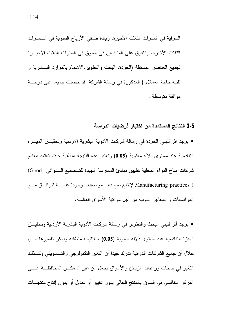السوقية في السنوات الثلاث الأخيرة، زيادة صافي الأرباح السنوية في الــسنوات الثلاث الأخير ة، و النفو ق على المنافسين في السو ق في السنو ات الثلاث الأخيـــر ة لجميع العناصر المستقلة (الجودة، البحث والنطوير ،الاهتمام بالموارد البـــشرية و تلبية حاجة العملاء ) المذكورة في رسالة الشركة قد حصلت جميعا على درجـــة مو افقة منوسطة .

#### 5-3 النتائج المستمدة من اختبار فرضيات الدراسة

• بوجد أثر لنبنى الجودة في رسالة شركات الأدوية البشرية الأردنية وتحقيــق الميـــزة التنافسية عند مستوى دلالة معنوية (0.05) وتعتبر هذه النتيجة منطقية حيث تعتمد معظم شركات إنتاج الدواء المحلية تطبيق مبادئ الممارسة الجيدة للتـــصنيع الـــدوائي Good) Manufacturing practices ) لإنتاج سلع ذات مواصفات وجودة عاليسة نتوافسق مسع المواصفات و المعايير الدولية من أجل مواكبة الأسواق العالمية.

• يوجد أثر لنبني البحث والنطوير في رسالة شركات الأدوية البشرية الأردنية وتحقيــق الميزة التنافسية عند مستوى دلالة معنوية (0.05) ، النتيجة منطقية ويمكن تفسيرها مـــن خلال أن جميع الشركات الدوائية ندرك جيدا أن النغير النكنولوجي والنسسويقي وكــذلك التغير في حاجات ورغبات الزبائن والأسواق يجعل من غير الممكـــن المحافظـــة علــــي المركز النتافسي في السوق بالمنتج الحالي بدون تغيير أو تعديل أو بدون إنتاج منتجـــات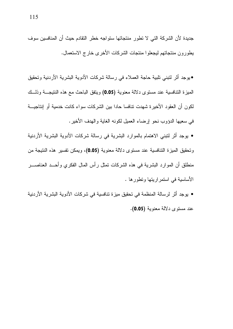جديدة لأن الشركة التي لا تطور منتجاتها ستواجه خطر التقادم حيث أن المنافسين سوف يطورون منتجاتهم ليجعلوا منتجات الشركات الأخرى خارج الاستعمال.

•يوجد أثر لنتبني تلبية حاجة العملاء في رسالة شركات الأدوية البشرية الأردنية وتحقيق المبزة التنافسية عند مستوى دلالة معنوية (0.05) ويتفق الباحث مع هذه النتيجـــة وذلـــك لكون أن العقود الأخيرة شهدت نتافسا حادا بين الشركات سواء كانت خدمية أو إنتاجيـــة في سعيها الدؤوب نحو إرضاء العميل لكونه الغاية والهدف الأخير .

- يوجد أثر لتبني الاهتمام بالموارد البشرية في رسالة شركات الأدوية البشرية الأردنية وتحقيق الميزة التنافسية عند مستوى دلالة معنوية (0.05)، ويمكن تفسير هذه النتيجة من منطلق أن الموارد البشرية في هذه الشركات تمثل رأس المال الفكرى وأحــد العناصـــر الأساسية في استمراريتها وتطورها .
- يوجد أثر لرسالة المنظمة في تحقيق ميزة تنافسية في شركات الأدوية البشرية الأردنية عند مستوى دلالة معنوبة (0.05).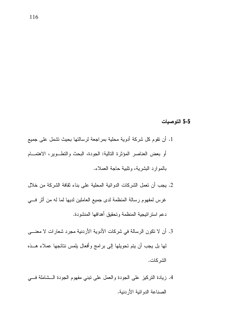#### 5-5 التوصيات

- 1. أن نقوم كل شركة أدوية محلية بمراجعة لرسالتها بحيث نشمل على جميع أو بعض العناصر المؤثرة النالية: الجودة، البحث والنطـــوير، الاهتمـــام بالموارد البشرية، ونلبية حاجة العملاء.
- 2. يجب أن تعمل الشركات الدوائية المحلية على بناء ثقافة الشركة من خلال غرس لمفهوم رسالة المنظمة لدى جميع العاملين لديها لما له من أثر فسي دعم استر اتيجية المنظمة وتحقيق أهدافها المنشودة.
- 3. أن لا نكون الرسالة في شركات الأدوية الأردنية مجرد شعارات لا معنـــي لَّها بل يجب أن يتم تحويلها إلى برامج وأفعال بلمس نتائجها عملاء هــذه الشر كات.
- 4. زيادة النزكيز على الجودة والعمل على نبني مفهوم الجودة الــشاملة فـــي الصناعة الدوائية الأردنية.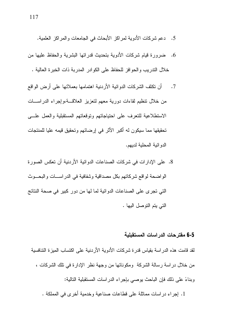- 5. دعم شركات الأدوية لمراكز الأبحاث في الجامعات والمراكز العلمية.
- 6. ضرورة قيام شركات الأدوية بتحديث قدراتها البشرية والحفاظ عليها من خلال الندريب والحوافز للحفاظ على الكوادر المدربة ذات الخبرة العالية .
- أن تكثف الشركات الدوائية الأردنية اهتمامها بعملائها على أرض الواقع  $\cdot$  7 من خلال نتظيم لقاءات دورية معهم لتعزيز العلاقسة،وإجراء الدراسسات الاستطلاعية للتعرف علىي احتياجاتهم وتوقعاتهم المستقبلية والعمل علسى تحقيقها مما سيكون له أكبر الأثر في إرضائهم وتحقيق قيمه عليا للمنتجات الدو ائية المحلية لديهم.
- 8. على الإدارات في شركات الصناعات الدوائية الأردنية أن تعكس الصورة الواضحة لواقع شركاتهم بكل مصداقية وشفافية في الدراســـات والبحـــوث التي تجر ي على الصناعات الدو ائية لما لها من دور كبير في صحة النتائج التي يتم التوصل اليها .

#### 6-5 مقترحات الدراسات المستقبلية

لقد قامت هذه الدر اسة بقياس قدر ة شركات الأدوية الأردنية على اكتساب الميز ة التنافسية من خلال در اسة رسالة الشركة ومكوناتها من وجهة نظر الإدارة في نلك الشركات ، وبناءً على ذلك فإن الباحث يوصى بإجراء الدراسات المستقبلية التالية:

1. إجراء دراسات مماثلة على قطاعات صناعية وخدمية أخرى في المملكة .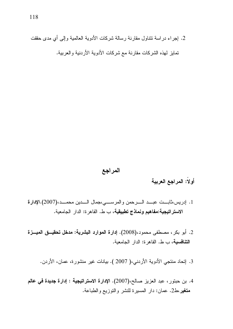2. إجراء دراسة نتتاول مقارنة رسالة شركات الأدوية العالمية وإلى أي مدى حققت تمايز لهذه الشركات مقارنة مع شركات الأدوية الأردنية والعربية.

#### المراجع

أولاً: المراجع العربية

- 1. إدريس،ثابت عبد السرحمن والمرسسي،جمال السدين محمــد،(2007).الإدارة الاستراتيجية:مفاهيم ونماذج تطبيقية، ب ط. القاهر ة: الدار الجامعية.
- 2. أبو بكر ، مصطفى محمود،(2008). إدارة الموارد البشرية: مدخل تحقيــق الميـــزة التنافسية، ب ط. القاهر ة: الدار الجامعية.
	- 3. إتحاد منتجي الأدوية الأردني،( 2007 ). بيانات غير منشورة، عمان، الأردن.
- 4. بن حبتور ، عبد العزيز صالح،(2007). الإدارة الاستراتيجية : إدارة جديدة في عالم **متغير**،ط2. عمان: دار المسيرة للنشر والتوزيع والطباعة.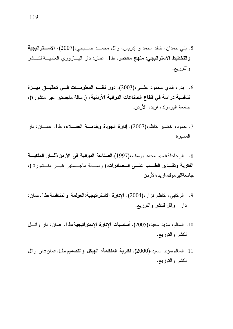- 5. بني حمدان، خالد محمد و إدريس، وائل محمـــد صــــبحي،(2007)، الاســــتراتيجية والتخطيط الاستراتيجي: منهج معاصر، ط1. عمان: دار اليسازوري العلميــة للنـــشر والتوزيع.
- 6. [بدر ، فادى محمود علـــي، (2003). دور نظـــم المعلومـــات فـــي تحقيـــق ميـــزة تنافسية:دراسة في قطاع الصناعات الدوائية الأردنية، (رسالة ماجستير غير منشورة)، جامعة الير موك، اربد، الأردن.
- 7. حمود، خضير كاظم،(2007). إ**دارة الجودة وخدمـــة العمـــلاء**، ط1. عمـــان: دار المسدرة
- 8. الرحاحلة،نسيم محمد يوسف،(1997).الصناعة الدوائية في الأردن:آثـــار الملكيـــة الفكرية وتقــدير الطلــب علـــي الـــصادرات،( رســـالة ماجــستير غيــر منــشورة )، جامعةالير موك،ار بد،الأر دن
- 9. الركابي، كاظم نز ار ،(2004). الإدارة الإستراتيجية:العولمة والمنافسة،ط1.عمان: دار وائل للنشر والنوزيع.
- 10. السالم، مؤيد سعيد،(2005). أ**ساسيات الإدارة الإستراتيجية،**ط1. عمان: دار وائـــل للنشر والتوزيع.
- 11. السالم،مؤيد سعيد،(2000). **نظرية المنظمة: الـهيكل والتصميم،**ط1.عمان:دار وائل للنشر والنوزيع.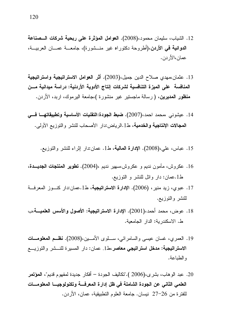- 12. الشياب، سليمان محمود،(2008). العوامل المؤثرة على ربحية شركات السصناعة الدوائية في الأردن،(أطروحة دكتوراه غير منــشورة)، جامعـــة عمـــان العربيـــة، عمان،الأردن.
- 13. عثمان،مهدي صلاح الدين جميل،(2003). أ**ثر الـعوامل الاستراتيجية واستراتيجية** المنافسة على الميزة التنافسية لشركات إنتاج الأدوية الأردنية: دراسة ميدانية مــن **منظور المديرين، (** رسالة ماجستير غير منشورة )،جامعة اليرموك، اربد، الأردن.
- 14. عيشوني ،محمد احمد،(2007). ضبط الجودة:التقنيات الأساسية وتطبيقاتهـا فسي المجالات الإنتاجية والخدمية، ط1.الرياض:دار الأصحاب للنشر والنوزيع الأولى.
	- 15. عباس، علي،(2008). الإدارة المالية، ط1. عمان:دار إثراء للنشر والنوزيع.
- 16. عكروش، مأمون نديم و عكروش،سهير نديم ،(2004). **تطوير المنتجات الجديـــدة**، ط1.عمان: دار وإئل للنشر و النوزيع.
- 17. عبوي، زيد منير ، (2006). الإ**دارة الاستراتيجية**، ط1.عمان:دار كنـــوز المعرفـــة للنشر والتوزيع.
- 18. عوض، محمد أحمد،(2001). الإدارة الاستراتيجية: الأصول والأسس العلميــــة،ب ط. الاسكندرية: الدار الجامعية.
- 19. العمري، غسان عيسى والسامرائي، ســـلوي الأمـــين،(2008). نظـــم المعلومـــات **الاستراتيجية: مدخل استراتيجي معاصر ،**ط1. عمان: دار المسيرة للنـــشر والتوزيــــع والطباعة.
- 20. عبد الو هاب، بشر ي،(2006 )."تكاليف الجودة أفكار جديدة لمفهوم قديم"، المؤتمر العلمي الثاني عن الجودة الشاملة في ظل إدارة المعرفسة وتكنولوجيسا المعلومسات للفتر ة من 26–27 نيسان. جامعة العلوم التطبيقية، عمان، الأردن.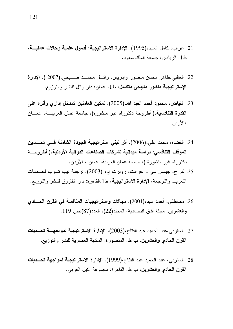- 21. غراب، كامل السيد،(1995). الإدارة الاستراتيجية: أصول علمية وحالات عمليــــة، ط1. الرياض: حامعة الملك سعود.
- 22. الغالبي،طاهر محسن منصور وإدريس، وائـــل محمـــد صـــبحي،(2007 ). الإدارة الإستراتيجية منظور منهجي متكامل، ط1. عمان: دار وائل للنشر والنوزيع.
- 23. الفياض، محمود أحمد العبد الله،(2005). **تمكين العاملين كمدخل إداري وأثره على القدرة التنافسية،(** أطروحة دكتوراه غير منشورة)، جامعة عمان العربيـــة، عمـــان ،الأردن
- 24. القضاة، محمد علي،(2006). أثَّر تبني استراتيجية الجودة الشاملة فسي تحسسين الموقف التنافسي: در اسة ميدانية لشركات الصناعات الدوائية الأردنية،( أطر وحسة دكتور اه غير منشورة )، جامعة عمان العربية، عمان ، الأردن.
- 25. كراج، جيمس سي و جرانت، روبرت إم، (2003). ترجمة تيب تـــوب لخـــدمات النعر بب و التر جمة، الإدارة الاستراتيجية، ط1.القاهر ة: دار الفار و ق للنشر و التوز يع.
- 26. مصطفى، أحمد سبد،(2001). مجالات واستراتيجيات المنافسة في القرن الحسادي والعشرين، مجلة آفاق اقتصادية، المجلد(22)، العدد(87)،ص 119.
- 27. المغربي،عبد الحميد عبد الفتاح،(2003). الإدارة الاستراتيجية لمواجهــــة تحـــديات القرن الحادي والعشرين، ب ط. المنصورة: المكتبة العصرية للنشر والتوزيع.
- 28. المغربي، عبد الحميد عبد الفتاح،(1999). الإدارة الاستراتيجية لمواجهة تحــديات القرن الحادي والعشرين، ب ط. القاهرة: مجموعة النبل العربي.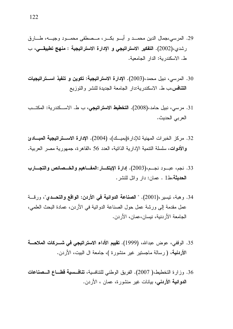- 29. المرسى،جمال الدين محمــد و أبـــو بكـــر، مـــصطفى محمـــود وجيـــه، طــــارق رشدي،(2002). التفكير الاستراتيجي و الإدارة الاستراتيجية : منهج تطبيقـــي، ب ط. الاسكندر بة: الدار الجامعية.
- 30. المرسى، نبيل محمد،(2003). الإدارة الاستراتيجية: تكوين و تنفيذ اســـتراتيجيات التنافس،ب ط. الاسكندرية:دار الجامعة الجديدة للنشر والنوزيع
- 31. مرسى، نبيل حامد،(2008). ا**لتخطيط الاستراتيجي**، ب ط. الاســكندرية: المكتــب العربي الحديث.
- 32. مركز الخبرات المهنية للإدار ة(بميــك)، (2004). الإدارة الاســتراتيجية المبـــادئ والأدوات، سلسلة النتمية الإدارية الذاتية، العدد 56 ،القاهر ة، جمهورية مصبر العربية.
- 33. نجم، عبـــود نجـــم،(2003). إدارة الإبتكـــار:المفـــاهيم والخـــصائص والتجـــارب الحديثة،ط1. عمان: دار وائل للنشر.
- 34. وهبة، نيسير ،(2001). " الصناعة الدوائية في الأردن: الواقع والتحــدي"، ورقـــة عمل مقدمة إلى ورشة عمل حول الصناعة الدوائية في الأردن، عمادة البحث العلمي، الجامعة الأر دنبة، نبسان،عمان، الأر دن.
- 35. الوقفي، عوض عبدالله، (1999). تقييم الأداء الاستراتيجي في شـــركات الملاحــــة الأردنية، ( رسالة ماجستير غير منشورة )، جامعة ال البيت، الأردن.
- 36. وزارة التخطيط،( 2007). الفريق الوطني للتنافسية، تنافسية قطباع السصناعات **الدوائية الأردني**، بيانات غير منشورة، عمان ، الأردن.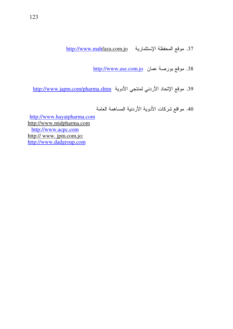37. موقع المحفظة الإستثمارية <u>http://www.mahfaza.com.jo</u>

18. موقع بورصة عمان http://www.ase.com.jo

39. موقع الإتحاد الأردني لمنتجي الأدوية <u>http://www.japm.com/pharma.shtm</u>

40. مواقع شركات الأدوية الأردنية المساهمة العامة

http://www.hayatpharma.com http://www.midpharma.com http://www.acpc.com http:// www. jpm.com.jo: http://www.dadgroup.com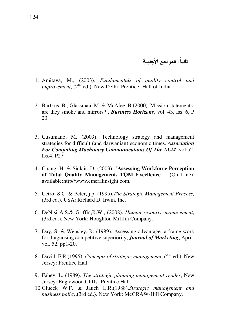## ثانيا: المراجع الأجنبية

- 1. Amitava, M., (2003). *Fundamentals of quality control and improvement*, (2<sup>nd</sup> ed.). New Delhi: Prentice- Hall of India.
- 2. Bartkus, B., Glassman, M. & McAfee, B.(2000). Mission statements: are they smoke and mirrors? , *Business Horizons*, vol. 43, Iss. 6, P 23.
- 3. Cusumano, M. (2009). Technology strategy and management strategies for difficult (and darwanian) economic times. *Association For Computing Machinary Communications Of The ACM*, vol.52, Iss.4, P27.
- 4. Chang, H. & Siclair, D. (2003). "**Assessing Workforce Perception of Total Quality Management, TQM Excellence** ". (On Line), available:http//www.emeralinsight.com.
- 5. Cetro, S.C. & Peter, j.p. (1995).*The Strategic Management Process,* (3rd ed.). USA: Richard D. Irwin, Inc.
- 6. DeNisi A.S.& Griffin,R.W., (2008). *Human resource management*, (3rd ed.). New York: Houghton Mifflin Company.
- 7. Day, S. & Wensley, R. (1989). Assessing advantage: a frame work for diagnosing competitive superiority, *Journal of Marketing*, April, vol. 52, pp1-20.
- 8. David, F.R (1995). *Concepts of strategic management*, (5th ed.), New Jersey: Prentice Hall.
- 9. Fahey, L. (1989). *The strategic planning management reader*, New Jersey: Englewood Cliffs- Prentice Hall.
- 10.Glueck W.F. & Jauch L.R.(1988).*Strategic management and business policy*,(3rd ed.). New York: McGRAW-Hill Company.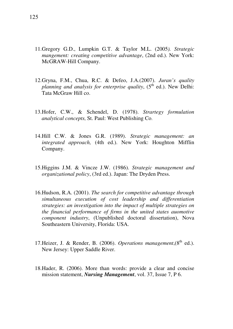- 11.Gregory G.D., Lumpkin G.T. & Taylor M.L. (2005*). Strategic mangement: creating competitive advantage*, (2nd ed.). New York: McGRAW-Hill Company.
- 12.Gryna, F.M., Chua, R.C. & Defeo, J.A.(2007). *Juran's quality planning and analysis for enterprise quality*, (5<sup>th</sup> ed.). New Delhi: Tata McGraw Hill co.
- 13.Hofer, C.W., & Schendel, D. (1978). *Strartegy formulation analytical concepts,* St. Paul: West Publishing Co.
- 14.Hill C.W. & Jones G.R. (1989). *Strategic management: an integrated approach,* (4th ed.). New York: Houghton Mifflin Company.
- 15.Higgins J.M. & Vincze J.W. (1986). *Strategic management and organizational policy*, (3rd ed.). Japan: The Dryden Press.
- 16.Hudson, R.A. (2001). *The search for competitive advantage through simultaneous execution of cost leadership and differentiation strategies: an investigation into the impact of multiple strategies on the financial performance of firms in the united states auomotive component industry*, (Unpublished doctoral dissertation), Nova Southeastern University, Florida: USA.
- 17. Heizer, J. & Render, B.  $(2006)$ . *Operations management*,  $(8<sup>th</sup>$  ed.). New Jersey: Upper Saddle River.
- 18.Hader, R. (2006). More than words: provide a clear and concise mission statement, *Nursing Management*, vol. 37, Issue 7, P 6.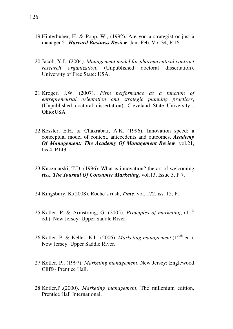- 19.Hinterhuber, H. & Popp, W., (1992). Are you a strategist or just a manager ? , *Harvard Business Review*, Jan- Feb. Vol 34, P 16.
- 20.Jacob, Y.J., (2004). *Management model for pharmaceutical contract research organization*, (Unpublished doctoral dissertation), University of Free State: USA.
- 21.Kroger, J.W. (2007). *Firm performance as a function of entrepreneurial orientation and strategic planning practices*, (Unpublished doctoral dissertation), Cleveland State University , Ohio:USA.
- 22.Kessler, E.H. & Chakrabati, A.K. (1996). Innovation speed: a conceptual model of context, antecedents and outcomes. *Academy Of Management: The Academy Of Management Review*, vol.21, Iss.4, P143.
- 23.Kuczmarski, T.D. (1996). What is innovation? the art of welcoming risk, *The Journal Of Consumer Marketing,* vol.13, Issue 5, P 7.
- 24.Kingsbury, K.(2008). Roche's rush, *Time*, vol. 172, iss. 15, P1.
- 25.Kotler, P. & Armstrong, G. (2005). *Principles of marketing*, (11<sup>th</sup>) ed.). New Jersey: Upper Saddle River.
- 26. Kotler, P. & Keller, K.L. (2006). *Marketing management*, (12<sup>th</sup> ed.). New Jersey: Upper Saddle River.
- 27.Kotler, P., (1997). *Marketing management*, New Jersey: Englewood Cliffs- Prentice Hall.
- 28.Kotler,P.,(2000). *Marketing management*, The millenium edition, Prentice Hall International.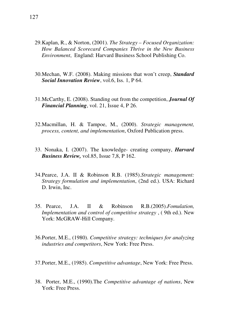- 29.Kaplan, R., & Norton, (2001). *The Strategy Focused Organization: How Balanced Scorecard Companies Thrive in the New Business Environment*, England: Harvard Business School Publishing Co.
- 30.Mechan, W.F. (2008). Making missions that won't creep, *Standard Social Innovation Review*, vol.6, Iss. 1, P 64.
- 31.McCarthy, E. (2008). Standing out from the competition, *Journal Of Financial Planning*, vol. 21, Issue 4, P 26.
- 32.Macmillan, H. & Tampoe, M., (2000). *Strategic management, process, content, and implementation*, Oxford Publication press.
- 33.Nonaka, I. (2007). The knowledge- creating company, *Harvard Business Review,* vol.85, Issue 7,8, P 162.
- 34.Pearce, J.A. II & Robinson R.B. (1985).*Strategic management: Strategy formulation and implementation*, (2nd ed.). USA: Richard D. Irwin, Inc.
- 35. Pearce, J.A. II & Robinson R.B.(2005).*Fomulation, Implementation and control of competitive strategy* , ( 9th ed.). New York: McGRAW-Hill Company.
- 36.Porter, M.E., (1980). *Competitive strategy: techniques for analyzing industries and competitors*, New York: Free Press.
- 37.Porter, M.E., (1985). *Competitive advantage*, New York: Free Press.
- 38. Porter, M.E., (1990).The *Competitive advantage of nations*, New York: Free Press.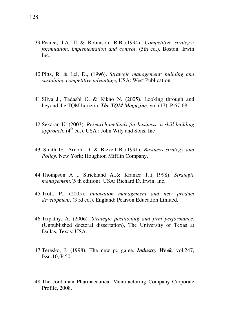- 39.Pearce, J.A. II & Robinson, R.B.,(1994). *Competitive strategy: formulation, implementation and control*, (5th ed.). Boston: Irwin Inc.
- 40.Pitts, R. & Lei, D., (1996). *Strategic management: building and sustaining competitive advantage*, USA: West Publication.
- 41.Silva J., Tadashi O. & Kikno N. (2005). Looking through and beyond the TQM horizon. *The TQM Magazine*, vol (17), P 67-68.
- 42.Sekaran U. (2003). *Research methods for business: a skill building approach*,  $(4<sup>th</sup>$  ed.). USA : John Wily and Sons, Inc.
- 43. Smith G., Arnold D. & Bizzell B.,(1991). *Business strategy and Policy,* New York: Houghton Mifflin Company.
- 44.Thompson A ., Strickland A..& Kramer T.,( 1998). *Strategic management,*(5 th edition). USA: Richard D. Irwin, Inc.
- 45.Trott, P., (2005). *Innovation management and new product development*, (3 rd ed.). England: Pearson Education Limited.
- 46.Tripathy, A. (2006). *Strategic positioning and firm performance*, (Unpublished doctoral dissertation), The University of Texas at Dallas, Texas: USA.
- 47.Teresko, J. (1998). The new pc game. *Industry Week,* vol.247, Issu.10, P 50.
- 48.The Jordanian Pharmaceutical Manufacturing Company Corporate Profile, 2008.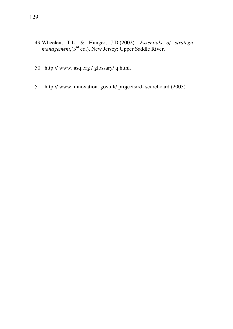- 49.Wheelen, T.L. & Hunger, J.D.(2002). *Essentials of strategic management*,(3<sup>rd</sup> ed.). New Jersey: Upper Saddle River.
- 50. http:// www. asq.org / glossary/ q.html.
- 51. http:// www. innovation. gov.uk/ projects/rd- scoreboard (2003).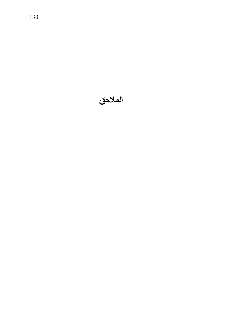### الملاحق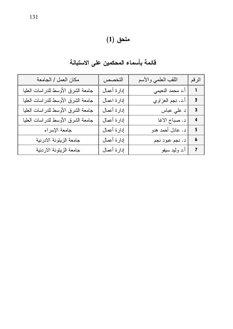| مكان العمل / الجامعة               | التخصص      | اللقب العلمي والأسم | الرقم |
|------------------------------------|-------------|---------------------|-------|
| جامعة الشرق الأوسط للدراسات العليا | إدارة أعمال | أ.د محمد النعيمي    |       |
| جامعة الشرق الأوسط للدراسات العليا | إدارة اعمال | أ.د. نجم العزاوي    | 2     |
| جامعة الشرق الأوسط للدراسات العليا | إدارة أعمال | د علي عباس          | 3     |
| جامعة الشرق الأوسط للدراسات العليا | إدارة أعمال | د. صباح الاغا       | 4     |
| جامعة الإسراء                      | إدارة أعمال | د. عادل أحمد هدو    | 5     |
| جامعة الزيتونة الادرنية            | إدارة أعمال | د. نجم عبود نجم     | 6     |
| جامعة الزيتونة الاردنية            | إدارة أعمال | أ.د وليد سيفو       |       |

فآئمة بأسماء المحكمين على الاستبانة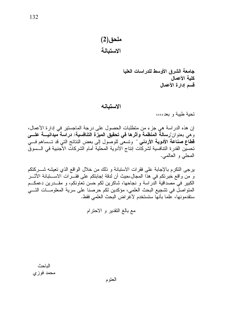## ملحق(2)

الاستبانة

جامعة الشرق الأوسط للدراسات العليا كلية الأعمال قسم إدارة الأعمال

### الاستبانه

تحية طيبة و بعد،،،،

إن هذه الدراسة هي جزء من متطلبات الحصول على درجة الماجستير في إدارة الأعمال، و هي بعنوان رسالة المنظمة وأثرها في تحقيق الميزة التنافسية: دراسة ميدانيــــة علــــى قطاع صناعة الأدوية الأردني " وتسعى للوصول إلى بعض النتائج التي قد تـــساهم فـــي تحسين القدرة الننافسية لشركات إنتاج الأدوية المحلية أمام الشركات الأجنبية في السسوق المحلبي و العالمي.

يرجى النكرم بالإجابة على فقرات الاستبانة و ذلك من خلال الواقع الذي تعيشه شــــركتكم و من واقع خبرتكم في هذا المجال،حيث أن لدقة إجابتكم على فقـــرات الاســـتبانة الأثـــر الكبير في مصداقية الدراسة و نجاحها، شاكرين لكم حسن تعاونكم، و مقـــدرين دعمكـــم المنواصل في تشجيع البحث العلمي، مؤكدين لكم حرصنا على سرية المعلومـــات النــــي ستقدمونها، علما بأنها ستستخدم لأغراض البحث العلمي فقط.

مع بالغ النقدير و الاحترام

الناحث محمد فوزي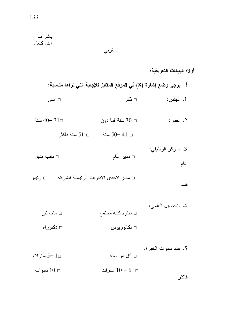|                   |                       |                                         | أولا: البيانات التعريفية:                                             |
|-------------------|-----------------------|-----------------------------------------|-----------------------------------------------------------------------|
|                   |                       |                                         | أ.   يرجى وضع إشار ة (X) في الموقع المقابل للإجابة التي تراها مناسبة: |
| □ أنثى            |                       | □ ذكر                                   | 1. الجنس:                                                             |
| سنة $40 - 31$ سنة |                       | ا 30 سنة فما دون E                      | 2. العمر:                                                             |
|                   | سنة فأكثر $51$ $\Box$ | سنة $50-41$ سنة $\,$                    |                                                                       |
|                   |                       |                                         | 3. المركز الوظيفي:                                                    |
| □ نائب مدير       |                       | □ مدیر عام                              | عام                                                                   |
| $\Box$ رئيس       |                       | □ مدير  لإحدى الإدار ات الرئيسية للشركة | قسم                                                                   |
| □ ماجستير         |                       | □ دبلوم كلية مجتمع                      | 4. التحصيل العلمي:                                                    |
| □ دکتور اه        |                       | □ بكالوريوس                             |                                                                       |
|                   |                       |                                         | 5. عدد سنوات الخبر ة:                                                 |

المغربي

□ أقل من سنة سنوات  $5-1$ 

 $10$  سنوات سنوات  $10-6$   $-$ 

فأكثر

133

باشراف<br>ا.د. کامل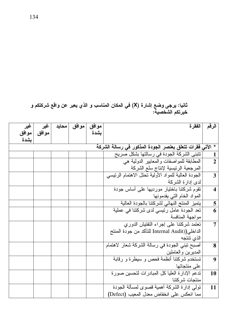# ثانيا: يرجى وضع إشارة (X) في المكان المناسب و الذي يعبر عن واقع شركتكم و<br>خبرتكم الشخصية:

| الرقم                   | الفقرة                                                 | موافق | موافق | محايد | غير   | غير   |
|-------------------------|--------------------------------------------------------|-------|-------|-------|-------|-------|
|                         |                                                        | بشدة  |       |       | موافق | موافق |
|                         |                                                        |       |       |       |       | بشدة  |
| $\ast$                  | الآتي فقرات تتعلق بعنصر الجودة المذكور في رسالة الشركة |       |       |       |       |       |
| $\mathbf{1}$            | نتبني الشركة الجودة في رسالتها بشكل صريح               |       |       |       |       |       |
| $\overline{2}$          | المطابقة للمو اصفات والمعابير الدولية هي               |       |       |       |       |       |
|                         | المرجعية الرئيسية لإنتاج سلع الشركة                    |       |       |       |       |       |
| $\overline{\mathbf{3}}$ | الجودة العالية للمواد الأولية نحنل الاهتمام الرئيسي    |       |       |       |       |       |
|                         | لدى إدارة الشركة                                       |       |       |       |       |       |
| $\overline{\mathbf{4}}$ | نقوم شركتنا باختيار مورديها على أساس جودة              |       |       |       |       |       |
|                         | المواد الخام التبي بقدمونها                            |       |       |       |       |       |
| 5                       | يتميز المنتج النهائي لشركتنا بالجودة العالية           |       |       |       |       |       |
| $\overline{6}$          | تعد الجودة عامل رئيسي لدى شركتنا في عملية              |       |       |       |       |       |
|                         | مواجهة المنافسة                                        |       |       |       |       |       |
| $\overline{7}$          | تعتمد شركتنا على إجراء التفتيش الدوري                  |       |       |       |       |       |
|                         | الداخلي(Internal Audit) للتأكد من جودة المنتج          |       |       |       |       |       |
|                         | الذي نتتجه                                             |       |       |       |       |       |
| 8                       | أصبح تبني الجودة في رسالة الشركة شعار لاهتمام          |       |       |       |       |       |
|                         | المدبرين والعاملين                                     |       |       |       |       |       |
| 9                       | نستخدم شركتنا أنظمة فحص و سيطرة و رقابة                |       |       |       |       |       |
|                         | علي منتجاتها                                           |       |       |       |       |       |
| 10                      | تدعم الإدارة العليا كل المبادرات لتحسين صورة           |       |       |       |       |       |
|                         | منتجات شركتنا                                          |       |       |       |       |       |
| 11                      | نولَّمي إدار ة الشركة أهمية قصوى لمسألة الجودة         |       |       |       |       |       |
|                         | مما انعكس على انخفاض معدل المعيب (Defect)              |       |       |       |       |       |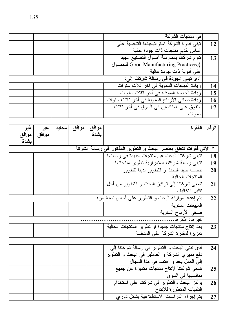| ِ في منتجات الشركة                           |           |
|----------------------------------------------|-----------|
| تبني إدارة الشركة استراتيجيتها التتافسية على | <b>12</b> |
| أساس تقديم منتجات ذات جودة عالية             |           |
| نقوم شركتنا بممارسة أصول التصنيع الجيد       | 13        |
| Good Manufacturing Practices))               |           |
| علي أدوية ذات جودة عالية                     |           |
| أدى تبنى الجودة فى رسالة شَركتنا إلى:        |           |
| زيادة المبيعات السنوية في أخر ثلاث سنوات     | 14        |
| زيادة الحصة السوقية في أخر ثلاث سنوات        | 15        |
| زيادة صافى الأرباح السنوية في أخر ثلاث سنوات | 16        |
| النفوق على المنافسين في السوق في أخر ثلاث    | 17        |
| سنو ات                                       |           |

| غیر   | غير   | محايد | مو افق | موافق | الفقرة                                                          | الرقم     |
|-------|-------|-------|--------|-------|-----------------------------------------------------------------|-----------|
| موافق | موافق |       |        | بشدة  |                                                                 |           |
| بشدة  |       |       |        |       |                                                                 |           |
|       |       |       |        |       | الآتي فقرات تتعلق بعنصر البحث و التطوير المذكور في رسالة الشركة | ☀         |
|       |       |       |        |       | تتبنى شركتنا البحث عن منتجات جديدة في رسالتها                   | 18        |
|       |       |       |        |       | نتبنى رسالة شركتنا استمرارية تطوير منتجاتها                     | 19        |
|       |       |       |        |       | ينصب جهد البحث و النطوير لدينا لنطوير                           | <b>20</b> |
|       |       |       |        |       | المنتجات الحالبة                                                |           |
|       |       |       |        |       | نسعي شركتنا إلى نركيز البحث و النطوير من أجل                    | 21        |
|       |       |       |        |       | نقليل النكاليف                                                  |           |
|       |       |       |        |       | بِنَّم إعداد موازنة البحث و النَّطوير على أساس نسبة من:         | 22        |
|       |       |       |        |       | المببعات السنوبة                                                |           |
|       |       |       |        |       | صافى الأرباح السنوية                                            |           |
|       |       |       |        |       | غبر ها: أذكر ها.                                                |           |
|       |       |       |        |       | يعد إنتاج منتجات جديدة أو نطوير المنتجات الحالية                | 23        |
|       |       |       |        |       | تعزيزا لمقدرة الشركة على المنافسة                               |           |

| أدى تبني البحث و النطوير في رسالة شركتنا إلى   | 24        |
|------------------------------------------------|-----------|
| دفع مديري الشركة و العاملين في البحث و النطوير |           |
| إلى العمل بجد و اهتمام في هذا المجال           |           |
| تسعى شركتنا لإنتاج منتجات متميزة عن جميع       | 25        |
| منافسيها في السوق                              |           |
| يركز البحث والنطوير في شركتنا على استخدام      | <b>26</b> |
| النقنيات المتطورة للإنتاج                      |           |
| بيتم إجراء الدراسات الاستطلاعية بشكل دوري      | 27        |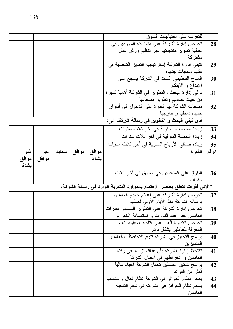|       | للتعرف على احتياجات السوق                                                              |       |       |       |       |       |
|-------|----------------------------------------------------------------------------------------|-------|-------|-------|-------|-------|
| 28    | تحرص إدارة الشركة على مشاركة الموردين في                                               |       |       |       |       |       |
|       | عملية نطوير منتجاتها عبر نتظيم ورش عمل                                                 |       |       |       |       |       |
|       | مشتركة                                                                                 |       |       |       |       |       |
| 29    | نتبنى إدار ة الشركة إستراتيجية التمايز النتافسية في                                    |       |       |       |       |       |
|       | تقديم منتجات جديدة                                                                     |       |       |       |       |       |
| 30    | المناخ التنظيمي السائد في الشركة يشجع على<br>الإبداع و الابتكار                        |       |       |       |       |       |
| 31    | تولَّى إدارة البحث والنطوير في الشركة أهمية كبيرة                                      |       |       |       |       |       |
|       | من حيث تصميم وتطوير منتجاتها                                                           |       |       |       |       |       |
| 32    | منتجات الشركة لمها القدرة على الدخول إلىي أسواق                                        |       |       |       |       |       |
|       | جديدة داخليا و خارجيا                                                                  |       |       |       |       |       |
|       | أدى تبنى البحث و التطوير في رسالة شركتنا إلى:                                          |       |       |       |       |       |
| 33    | زيادة المبيعات السنوية في أخر ثلاث سنوات                                               |       |       |       |       |       |
| 34    | زيادة الحصة السوقية في أخر ثلاث سنوات                                                  |       |       |       |       |       |
| 35    | زيادة صافى الأرباح السنوية في أخر ثلاث سنوات                                           |       |       |       |       |       |
| الرقم | الفقرة                                                                                 | موافق | موافق | محايد | غير   | غير   |
|       |                                                                                        | بشدة  |       |       | موافق | موافق |
|       |                                                                                        |       |       |       |       | بشدة  |
| 36    | التفوق على المنافسين في السوق في أخر ثلاث                                              |       |       |       |       |       |
|       | سنو ات                                                                                 |       |       |       |       |       |
|       | *الآتي فقرات تتعلق بعنصر الاهتمام بالموارد البشرية الوارد في رسالة الشركة:             |       |       |       |       |       |
| 37    | تحرص إدارة الشركة على إعلام جميع العاملين                                              |       |       |       |       |       |
| 38    | برسالة الشركة منذ الأيام الأولى لعملهم<br>نحرص إدارة الشركة على النطوير المسنمر لقدرات |       |       |       |       |       |
|       | العاملين عبر عقد الندوات و استضافة الخبراء                                             |       |       |       |       |       |
| 39    | تحريص الإدارة العليا على إناحة المعلومات و                                             |       |       |       |       |       |
|       | المعرفة للعاملين بشكل دائم                                                             |       |       |       |       |       |
| 40    | بر امج التحفيز في الشركة تتيح الاحتفاظ  بالعاملين                                      |       |       |       |       |       |
|       | المتميزين                                                                              |       |       |       |       |       |
| 41    | تلاحظ إدارة الشركة بأن هناك ازدياد في ولاء                                             |       |       |       |       |       |
|       | العاملين و انخر اطهم في أعمال الشركة                                                   |       |       |       |       |       |
| 42    | برامج نمكين العاملين نحمل الشركة أعباء مالية                                           |       |       |       |       |       |
|       | أكثر من الفوائد                                                                        |       |       |       |       |       |
| 43    | يعتبر نظام الحوافز في الشركة نظام فعال و مناسب                                         |       |       |       |       |       |
|       |                                                                                        |       |       |       |       |       |
| 44    | يسهم نظام الحو افز في الشركة في دعم إنتاجية<br>العاملين                                |       |       |       |       |       |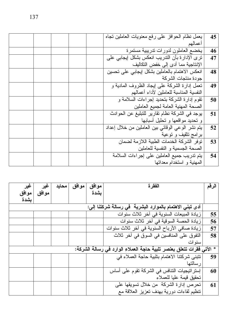| يعمل نظام الحوافز على رفع معنويات العاملين نجاه  | 45 |
|--------------------------------------------------|----|
| أعمالهم                                          |    |
| يخضع العاملون لدورات تدريبية مستمرة              | 46 |
| ترى الإدارة بأن التدريب انعكس بشكل إيجابي على    | 47 |
| الإنتاجية مما أدى إلى خفض التكاليف               |    |
| انعكس الاهتمام بالعاملين بشكل إيجابي على تحسين   | 48 |
| جودة منتجات الشركة                               |    |
| نعمل إدارة الشركة على إيجاد الظروف المادية و     | 49 |
| النفسية المناسبة للعاملين لأداء أعمالهم          |    |
| نقوم إدارة الشركة بتحديد إجراءات السلامة و       | 50 |
| الصحة المهنية العامة لجميع العاملين              |    |
| يوجد في الشركة نظام نقارير للتبليغ عن الحوادث    | 51 |
| و نحدید مواقعها و نحلیل أسبابها                  |    |
| يتم نشر الوعي الوقائي بين العاملين من خلال إعداد | 52 |
| برامج ننقيف و نوعية                              |    |
| تو فر الشركة الخدمات الطبية اللاز مة لضمان       | 53 |
| الصحة الجسمية و النفسية للعاملين                 |    |
| يتم تدريب جميع العاملين على إجراءات السلامة      | 54 |
| المهنية و استخدام معداتها                        |    |

| غير   | غير   | محايد | موافق | موافق | الفقر ة                                                              | الرقم |
|-------|-------|-------|-------|-------|----------------------------------------------------------------------|-------|
| موافق | موافق |       |       | بشدة  |                                                                      |       |
| بشدة  |       |       |       |       |                                                                      |       |
|       |       |       |       |       | أدى تبنى الاهتمام بالموارد البشرية  في رسالة شركتنا إلى:             |       |
|       |       |       |       |       | زيادة المبيعات السنوية في آخر ثلاث سنوات                             | 55    |
|       |       |       |       |       | زيادة الحصة السوقية في أخر ثلاث سنوات                                | 56    |
|       |       |       |       |       | زيادة صافىي الأرباح السنوية في أخر ثلاث سنوات                        | 57    |
|       |       |       |       |       | التفوق على المنافسين في السوق في أخر ثلاث                            | 58    |
|       |       |       |       |       | سنو ات                                                               |       |
|       |       |       |       |       | * الآتى فقرات تتعلق بعفصر تلبية حاجة العملاء الوارد في رسالة الشركة: |       |
|       |       |       |       |       | تتبنى شركتنا الاهتمام بتلبية حاجة العملاء في                         | 59    |
|       |       |       |       |       | ر سالتها                                                             |       |
|       |       |       |       |       | إستراتيجيات النتافس في الشركة تقوم على أساس                          | 60    |
|       |       |       |       |       | تحقيق قيمة عليا للعملاء                                              |       |
|       |       |       |       |       | تحرص إدارة الشركة ً من خلال تسويقها على                              | 61    |
|       |       |       |       |       | تنظيم لقاءات دورية بهدف تعزيز العلاقة مع                             |       |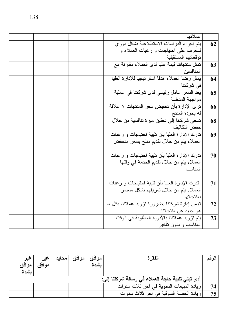|    | عملائها                                          |  |
|----|--------------------------------------------------|--|
| 62 | يتم إجراء الدراسات الاستطلاعية بشكل دورى         |  |
|    | للنعرف على احتياجات و رغبات العملاء و            |  |
|    | نوقعاتهم المستقبلية                              |  |
| 63 | تمثِّل منتجاتنا قيمة عليا لدى العملاء مقارنة مع  |  |
|    | المنافسبن                                        |  |
| 64 | بمثل رضا العملاء هدفا استر انبجيا للإدارة العليا |  |
|    | فی شرکتنا                                        |  |
| 65 | يعد السعر عامل رئيسي لدى شركتنا في عملية         |  |
|    | مواجهة المنافسة                                  |  |
| 66 | ترى الإدارة بأن تخفيض سعر المنتجات لا علاقة      |  |
|    | له بجودة المنتج                                  |  |
| 68 | تسعى شركتنا إلى تحقيق ميزة تنافسية من خلال       |  |
|    | خفض التكاليف                                     |  |
| 69 | تدرك الإدارة العليا بأن تلبية احتياجات و رغبات   |  |
|    | العملاء يتم من خلال تقديم منتج بسعر منخفض        |  |
|    |                                                  |  |
| 70 | تدرك الإدار ة العليا بأن تلبية احتياجات و ر غبات |  |
|    | العملاء يتم من خلال تقديم الخدمة في وقتها        |  |
|    | المناسب                                          |  |
|    |                                                  |  |
| 71 | تدرك الإدارة العليا بأن تلبية احتياجات و رغبات   |  |
|    | العملاء يتم من خلال تعريفهم بشكل مستمر           |  |
|    | بمنتجاتها                                        |  |
| 72 | نؤمن إدارة شركتنا بضرورة نزويد عملائنا بكل ما    |  |
|    | هو جديد عن منتجاتنا                              |  |
| 73 | يتم تزويد عملائنا بالأدوية المطلوبة في الوقت     |  |
|    | المناسب و بدون تأخير                             |  |

| غير<br>موافق<br>ىشدة | غير<br>موافق | محايد | مو افق | موافق<br>ىشدة | الفقر ة                                          | الرقم |
|----------------------|--------------|-------|--------|---------------|--------------------------------------------------|-------|
|                      |              |       |        |               | أدى تبنى تلبية حاجة العملاء في رسالة شركتنا إلى: |       |
|                      |              |       |        |               | زيادة المبيعات السنوية في أخر ثلاث سنوات         | 74    |
|                      |              |       |        |               | زيادة الحصة السوقية في أخر ثلاث سنوات            | 75    |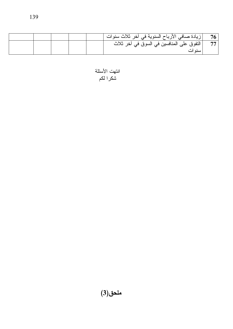|  |  | النفوق على المنافسين في السوق في أخر ثلاث | 77 |
|--|--|-------------------------------------------|----|
|  |  | سنو ات                                    |    |

انتهت الأسئلة<br>شكر الكم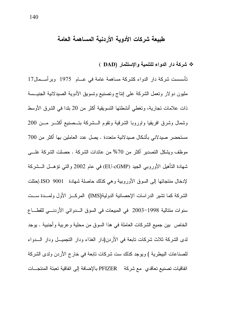### طبيعة شركات الأدوية الأردنية المساهمة العامة

### \* شركة دار الدواء للتنمية والإستثمار (DAD )

تأسسست شركة دار الدواء كشركة مساهمة عامة في عــام 1975 وبر أســمال17 مليون دولار وتعمل الشركة على إنتاج وتصنيع وتسويق الأدوية الصيدلانية الجنيسة ذات علامات تجارية، وتغطى أنشطتها التسويقية أكثر من 20 بلدا في الشرق الأوسط وشمال وشرق افريقيا واوروبا الشرقية ونقوم المشركة بتسصنيع أكثسر مسن 200 مستحضر صيدلاني بأشكال صيدلانية متعددة . يصل عدد العاملين بها أكثر من 700 موظف ويشكل التصدير أكثر من 70% من عائدات الشركة . حصلت الشركة علــــى شهادة التأهيل الأوروبي الجيد (EU-cGMP) في عام 2002 والتي نؤهـــل الـــشركة لإدخال منتجاتها إلى السوق الأوروبية وهي كذلك حاصلة شهادة ISO 9001.إحتلت الشركة كما نشير الدر اسات الإحصائية الدولية(IMS) المركـــز الأول ولمـــدة ســـت سنوات منتالية 1998–2003 في المبيعات في السوق السدوائي الأردنسي للقطـــاع الخاص بين جميع الشركات العاملة في هذا السوق من محلية وعربية وأجنبية . يوجد لدى الشركة ثلاث شركات تابعة في الأردن(دار الغذاء ودار التجميــل ودار الـــدواء للصناعات البيطرية ) ويوجد كذلك ست شركات نابعة في خارج الأردن ولدى الشركة اتفاقيات تصنيع تعاقدي مع شركة PFIZER بالإضافة إلى اتفاقية تعبئة المنتجـــات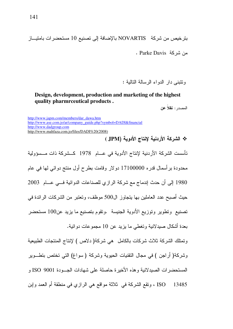بتر خيص من شركة NOVARTIS بالإضافة إلى تصنيع 10 مستحضر ات بامتيـــاز

من شركة Parke Davis .

وتتبنى دار الدواء الرسالة التالبة :

### Design, development, production and marketing of the highest quality pharmreeutical products.

المصدر : **نقلاً عن** 

http://www.japm.com/members/dar\_dawa.htm http://www.ase.com.jo/ar/company\_guide.php?symbol=DADI&financial http://www.dadgroup.com http://www.mahfaza.com.jo/files/DADI%20(2008)

\* الشركة الأردنية لإنتاج الأدوية (JPM) تأسست الشركة الأردنية لإنتاج الأدوية في عــام 1978 كــشركة ذات مــسؤولية محدودة برأسمال قدره 17100000 دولار وقامت بطرح أول منتج دوائبي لها في عام 1980 إلى أن حدث إندماج مع شركة الرازي للصناعات الدوائية في عبام 2003 حيث أصبح عدد العاملين بها يتجاوز ال500 موظف، وتعتبر من الشركات الرائدة في تصنيع وتطوير وتوزيع الأدوية الجنيسة وتقوم بتصنيع ما يزيد عن100 مستحضر بعدة أشكال صبدلانية وتغطي ما يزيد عن 10 مجمو عات دو ائية. وتمتلك الشركة ثلاث شركات بالكامل هي شركة( دلاص ) لإنتاج المنتجات الطبيعية وشركة( أراجن ) في مجال التقنيات الحيوية وشركة ( سواغ) التي تختص بتطــوير المستحضر ات الصبدلانية و هذه الأخيرة حاصلة على شهادات الجـودة ISO 9001 و ISO ، وتقع الشركة في ثلاثة مواقع هي الرازي في منطقة أم العمد وإبن 13485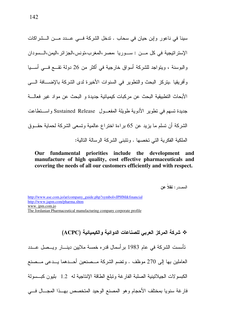سينا في ناعور وإين حيان في سحاب . ندخل الشركة فـــي عـــدد مـــن الـــشراكات الإستر انتِجِية في كل مـــن : ســـو ريا ،مصـر ،المغر ب،تو نس،الجز ائر ،اليمن،الـــسو دان والبوسنة ، ويتواجد للشركة أسواق خارجية في أكثر من 26 دولة تقع فسي أســيا وأفريقيا .يتركز البحث والنطوير في السنوات الأخيرة لدى الشركة بالإضـــافة الــــى الأبحاث التطبيقية البحث عن مركبات كيميائية جديدة و البحث عن مواد غير فعالــــة جديدة تسهم في تطوير الأدوية طويلة المفعـــول Sustained Release واســـتطاعت الشركة أن تسلم ما بزيد عن 65 بر اءة اختر اع عالمية وتسعى الشركة لحماية حقــوق الملكبة الفكر بة التي تخصبها . وتتبنى الشركة الرسالة التالبة:

Our fundamental priorities include the development and manufacture of high quality, cost effective pharmaceuticals and covering the needs of all our customers efficiently and with respect.

المصدر : **نقلاً عن** 

http://www.ase.com.jo/ar/company\_guide.php?symbol=JPHM&financial http://www.japm.com/pharma.shtm www.jpm.com.jo The Jordanian Pharmaceutical manufacturing company corporate profile

\* شركة المركز العربي للصناعات الدوائية والكيميائية (ACPC) تأسست الشركة في عام 1983 برأسمال قدره خمسة ملايين دينــــار ويــــصل عــــدد العاملين بها إلى 270 موظف . ونضم الشركة مــصنعين أحــدهما يــدعى مــصنع الكبسو لات الجيلاتينية الصلبة الفار غة وتبلغ الطاقة الإنتاجية له 1.2٪ بليون كبــسولة فارغة سنويا بمختلف الأحجام وهو المصنع الوحيد المتخصص بهبذا المجسال فسي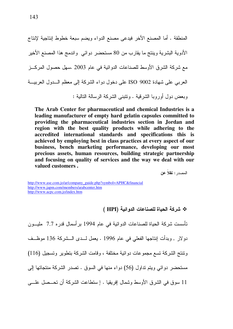The Arab Center for pharmaceutical and chemical Industries is a leading manufacturer of empty hard gelatin capsules committed to providing the pharmaceutical industries section in Jordan and region with the best quality products while adhering to the accredited international standards and specifications this is achieved by employing best in class practices at every aspect of our business, bench marketing performance, developing our most precious assets, human resources, building strategic partnership and focusing on quality of services and the way we deal with our valued customers.

المصدر : نقلاً عن

http://www.ase.com.jo/ar/company\_guide.php?symbol=APHC&financial http://www.japm.com/members/arabcenter.htm http://www.acpc.com.jo/index.htm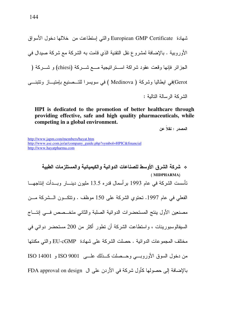شهادة Europiean GMP Certificate و التبي اِستطاعت من خلالها دخول الأسواق الأور وبية . بالإضافة لمشروع نقل النقنية الذي قامت به الشركة مع شركة صبدال في الجزائر فإنها وقعت عقود شراكة اســـتراتيجية مـــع شـــركة (chiesi) و شـــركة ( Gerot)في ايطاليا وشركة ( Medinova ) في سويسرا للتـــصنيع بإمتيـــاز وتتبنــــي الشركة الرسالة التالبة:

HPI is dedicated to the promotion of better healthcare through providing effective, safe and high quality pharmaceuticals, while competing in a global environment.

المصدر : نقلاً عن

http://www.japm.com/members/hayat.htm http://www.ase.com.jo/ar/company\_guide.php?symbol=HPIC&financial http://www.hayatpharma.com

(MIDPHARMA) تأسست الشركة في عام 1993 بر أسمال قدر م 13.5 مليون دينـــار وبـــدأت إنتاجهـــا الفعلي في عام 1997. نحتوى الشركة على 150 موظف . وتتكــون الـــشركة مـــن مصنعين الأول ينتج المستحضرات الدوائية الصلبة والثاني متخــصص فـــي إنتـــاج السبفالو سبور بنات ، و استطاعت الشركة أن تطور أكثر من 200 مستحضر دو ائے في مختلف المجمو عات الدو ائية . حصلت الشركة على شهادة EU-cGMP و التي مكنتها من دخول السوق الأوروبي وحسطت كـذلك علــي ISO 9001 و ISO 14001 بالإضافة إلى حصولها كأول شركة في الأردن على ال FDA approval on design